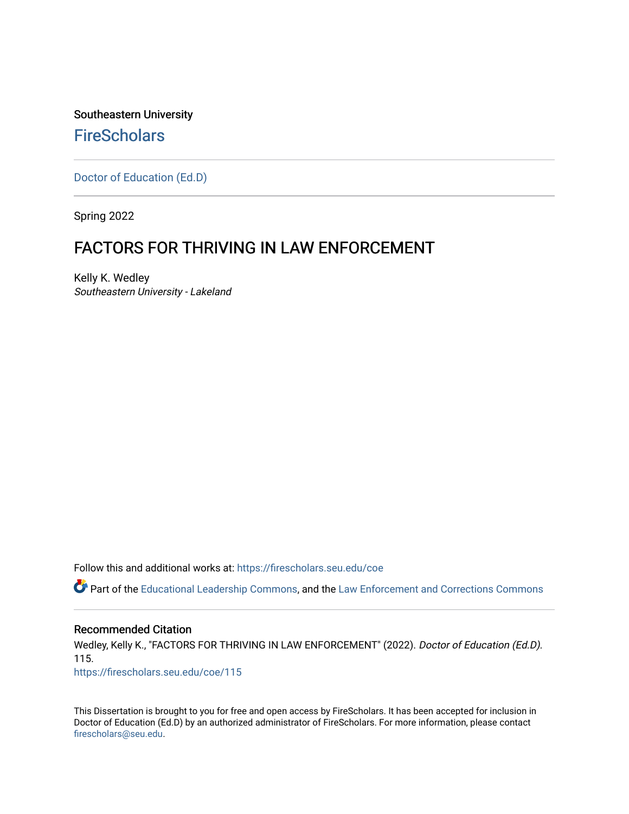# Southeastern University **FireScholars**

[Doctor of Education \(Ed.D\)](https://firescholars.seu.edu/coe) 

Spring 2022

# FACTORS FOR THRIVING IN LAW ENFORCEMENT

Kelly K. Wedley Southeastern University - Lakeland

Follow this and additional works at: [https://firescholars.seu.edu/coe](https://firescholars.seu.edu/coe?utm_source=firescholars.seu.edu%2Fcoe%2F115&utm_medium=PDF&utm_campaign=PDFCoverPages)

Part of the [Educational Leadership Commons,](http://network.bepress.com/hgg/discipline/1230?utm_source=firescholars.seu.edu%2Fcoe%2F115&utm_medium=PDF&utm_campaign=PDFCoverPages) and the [Law Enforcement and Corrections Commons](http://network.bepress.com/hgg/discipline/854?utm_source=firescholars.seu.edu%2Fcoe%2F115&utm_medium=PDF&utm_campaign=PDFCoverPages)

# Recommended Citation

Wedley, Kelly K., "FACTORS FOR THRIVING IN LAW ENFORCEMENT" (2022). Doctor of Education (Ed.D). 115.

[https://firescholars.seu.edu/coe/115](https://firescholars.seu.edu/coe/115?utm_source=firescholars.seu.edu%2Fcoe%2F115&utm_medium=PDF&utm_campaign=PDFCoverPages) 

This Dissertation is brought to you for free and open access by FireScholars. It has been accepted for inclusion in Doctor of Education (Ed.D) by an authorized administrator of FireScholars. For more information, please contact [firescholars@seu.edu.](mailto:firescholars@seu.edu)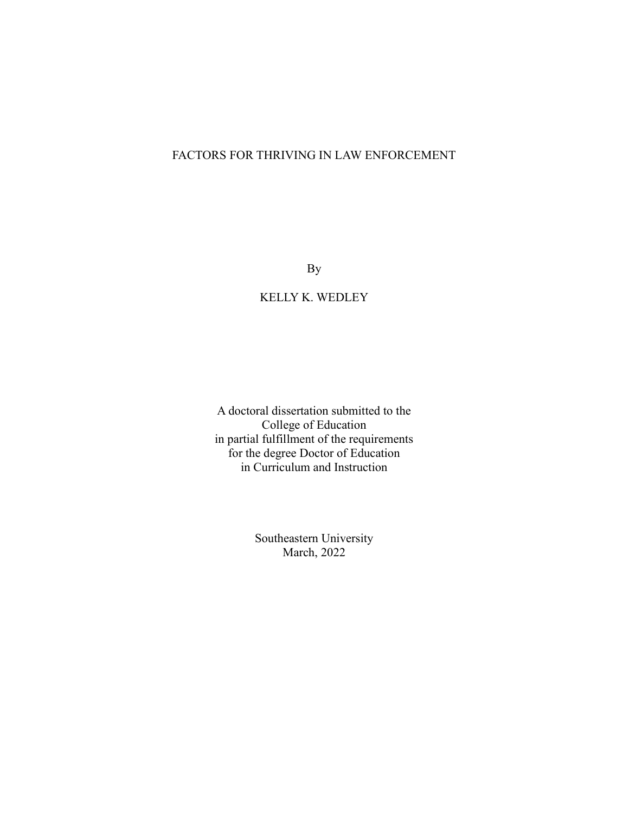# FACTORS FOR THRIVING IN LAW ENFORCEMENT

By

# KELLY K. WEDLEY

A doctoral dissertation submitted to the College of Education in partial fulfillment of the requirements for the degree Doctor of Education in Curriculum and Instruction

> Southeastern University March, 2022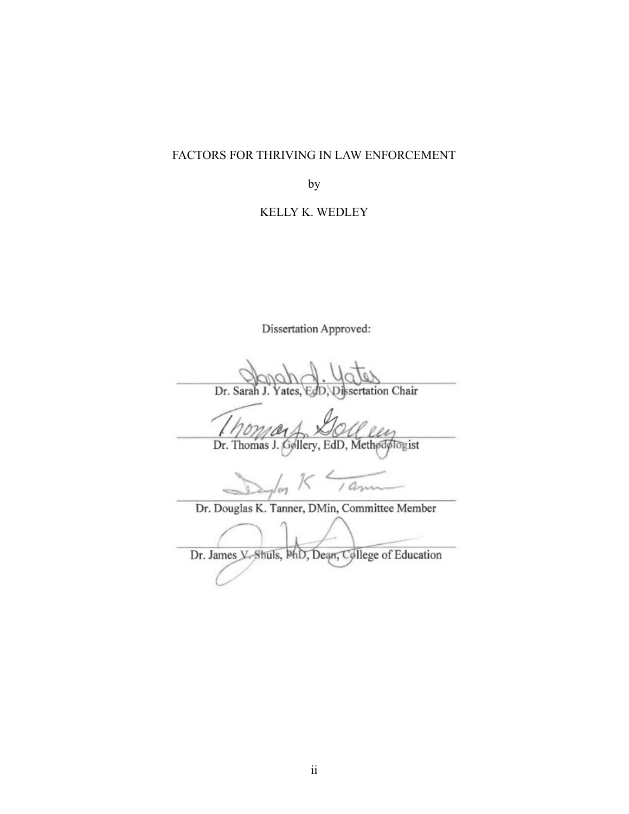# FACTORS FOR THRIVING IN LAW ENFORCEMENT

by

# KELLY K. WEDLEY

Dissertation Approved:

EdD, Dissertation Chair

Dr. Sarah J. Yates.

Dr. Thomas J. Gøllery, EdD, Method **Mogist** 

an  $\sim$ 

Dr. Douglas K. Tanner, DMin, Committee Member

Dr. James V. Shuls, PhD, Dean, College of Education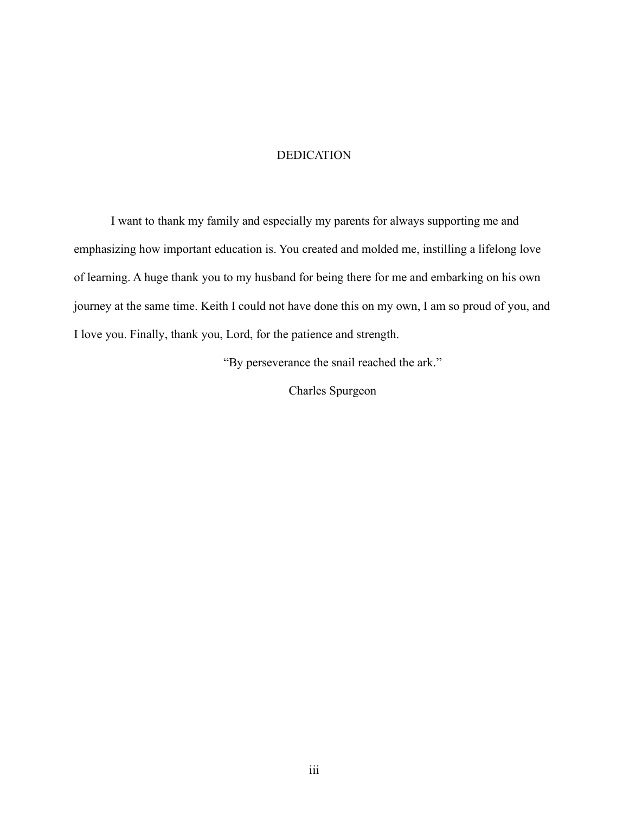# DEDICATION

I want to thank my family and especially my parents for always supporting me and emphasizing how important education is. You created and molded me, instilling a lifelong love of learning. A huge thank you to my husband for being there for me and embarking on his own journey at the same time. Keith I could not have done this on my own, I am so proud of you, and I love you. Finally, thank you, Lord, for the patience and strength.

"By perseverance the snail reached the ark."

Charles Spurgeon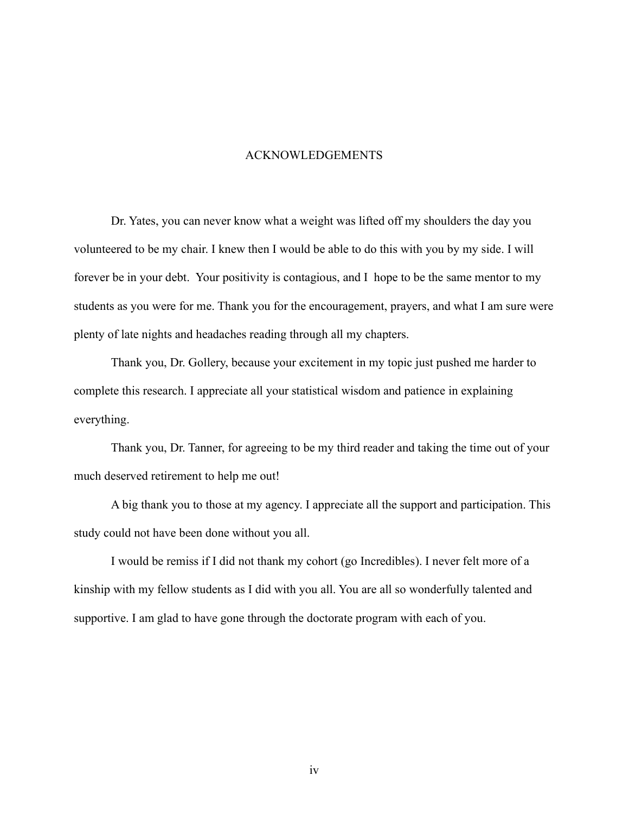#### ACKNOWLEDGEMENTS

Dr. Yates, you can never know what a weight was lifted off my shoulders the day you volunteered to be my chair. I knew then I would be able to do this with you by my side. I will forever be in your debt. Your positivity is contagious, and I hope to be the same mentor to my students as you were for me. Thank you for the encouragement, prayers, and what I am sure were plenty of late nights and headaches reading through all my chapters.

Thank you, Dr. Gollery, because your excitement in my topic just pushed me harder to complete this research. I appreciate all your statistical wisdom and patience in explaining everything.

Thank you, Dr. Tanner, for agreeing to be my third reader and taking the time out of your much deserved retirement to help me out!

A big thank you to those at my agency. I appreciate all the support and participation. This study could not have been done without you all.

I would be remiss if I did not thank my cohort (go Incredibles). I never felt more of a kinship with my fellow students as I did with you all. You are all so wonderfully talented and supportive. I am glad to have gone through the doctorate program with each of you.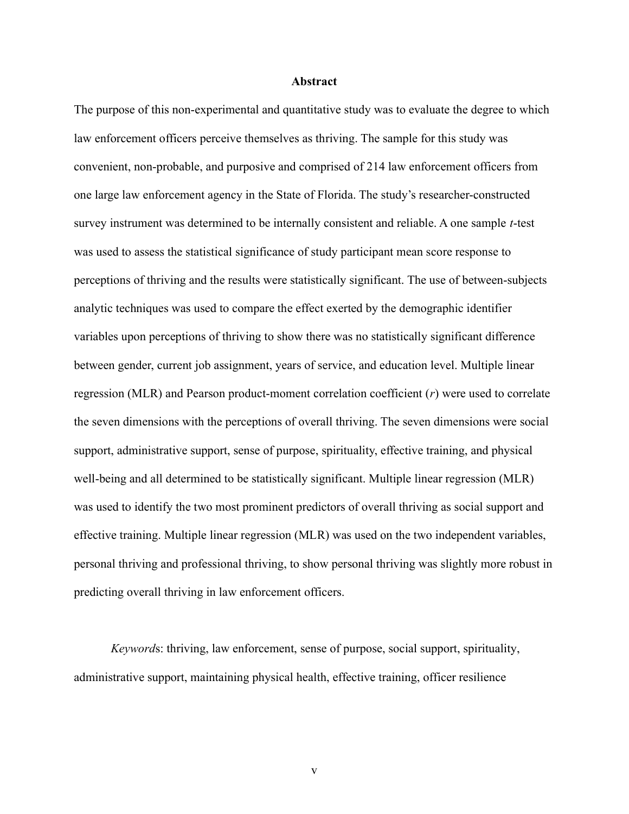## **Abstract**

The purpose of this non-experimental and quantitative study was to evaluate the degree to which law enforcement officers perceive themselves as thriving. The sample for this study was convenient, non-probable, and purposive and comprised of 214 law enforcement officers from one large law enforcement agency in the State of Florida. The study's researcher-constructed survey instrument was determined to be internally consistent and reliable. A one sample  $t$ -test was used to assess the statistical significance of study participant mean score response to perceptions of thriving and the results were statistically significant. The use of between-subjects analytic techniques was used to compare the effect exerted by the demographic identifier variables upon perceptions of thriving to show there was no statistically significant difference between gender, current job assignment, years of service, and education level. Multiple linear regression (MLR) and Pearson product-moment correlation coefficient  $(r)$  were used to correlate the seven dimensions with the perceptions of overall thriving. The seven dimensions were social support, administrative support, sense of purpose, spirituality, effective training, and physical well-being and all determined to be statistically significant. Multiple linear regression (MLR) was used to identify the two most prominent predictors of overall thriving as social support and effective training. Multiple linear regression (MLR) was used on the two independent variables, personal thriving and professional thriving, to show personal thriving was slightly more robust in predicting overall thriving in law enforcement officers.

Keywords: thriving, law enforcement, sense of purpose, social support, spirituality, administrative support, maintaining physical health, effective training, officer resilience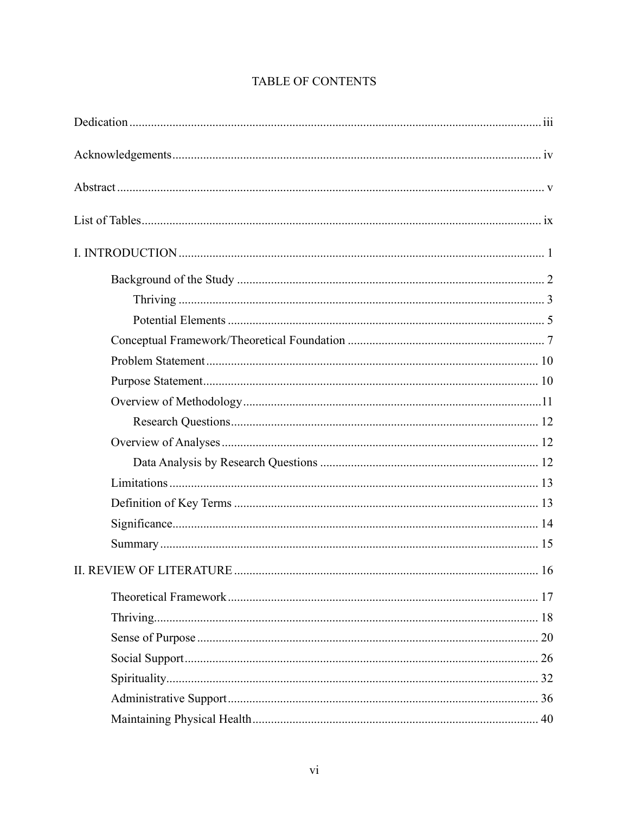| 16 |
|----|
|    |
|    |
|    |
|    |
|    |
|    |
|    |

# TABLE OF CONTENTS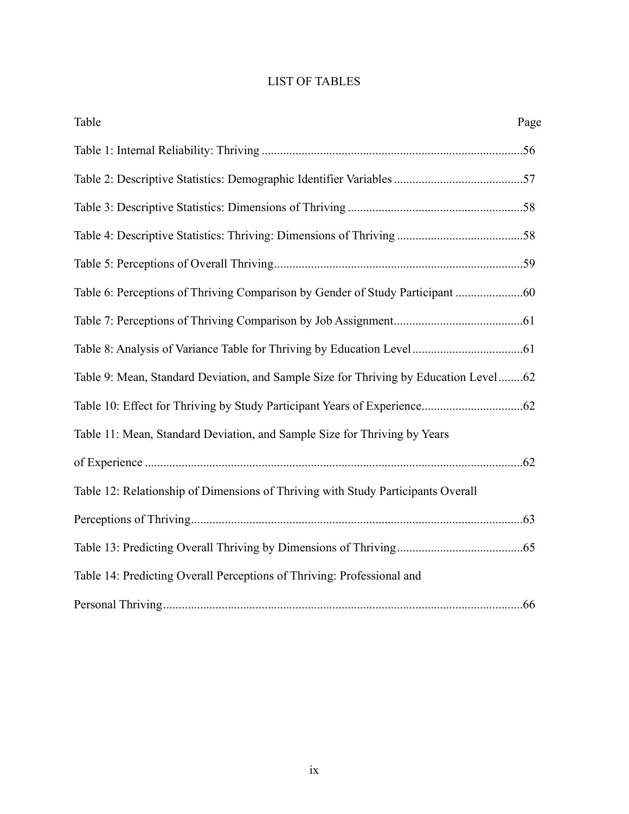# LIST OF TABLES

| Table                                                                                | Page |
|--------------------------------------------------------------------------------------|------|
|                                                                                      |      |
|                                                                                      |      |
|                                                                                      |      |
|                                                                                      |      |
|                                                                                      |      |
| Table 6: Perceptions of Thriving Comparison by Gender of Study Participant 60        |      |
|                                                                                      |      |
|                                                                                      |      |
| Table 9: Mean, Standard Deviation, and Sample Size for Thriving by Education Level62 |      |
|                                                                                      |      |
| Table 11: Mean, Standard Deviation, and Sample Size for Thriving by Years            |      |
|                                                                                      |      |
| Table 12: Relationship of Dimensions of Thriving with Study Participants Overall     |      |
|                                                                                      |      |
|                                                                                      |      |
| Table 14: Predicting Overall Perceptions of Thriving: Professional and               |      |
|                                                                                      |      |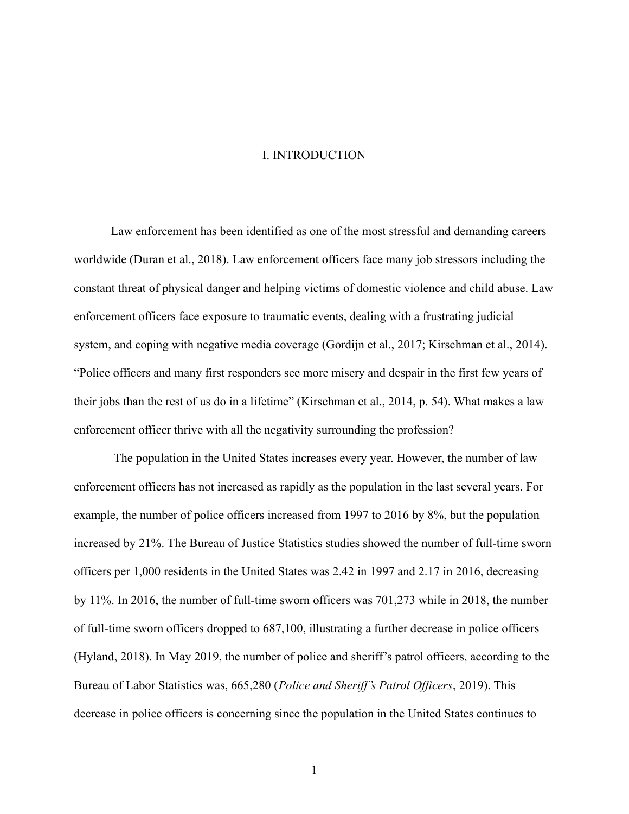#### I. INTRODUCTION

Law enforcement has been identified as one of the most stressful and demanding careers worldwide (Duran et al., 2018). Law enforcement officers face many job stressors including the constant threat of physical danger and helping victims of domestic violence and child abuse. Law enforcement officers face exposure to traumatic events, dealing with a frustrating judicial system, and coping with negative media coverage (Gordijn et al., 2017; Kirschman et al., 2014). "Police officers and many first responders see more misery and despair in the first few years of their jobs than the rest of us do in a lifetime" (Kirschman et al., 2014, p. 54). What makes a law enforcement officer thrive with all the negativity surrounding the profession?

 The population in the United States increases every year. However, the number of law enforcement officers has not increased as rapidly as the population in the last several years. For example, the number of police officers increased from 1997 to 2016 by 8%, but the population increased by 21%. The Bureau of Justice Statistics studies showed the number of full-time sworn officers per 1,000 residents in the United States was 2.42 in 1997 and 2.17 in 2016, decreasing by 11%. In 2016, the number of full-time sworn officers was 701,273 while in 2018, the number of full-time sworn officers dropped to 687,100, illustrating a further decrease in police officers (Hyland, 2018). In May 2019, the number of police and sheriff's patrol officers, according to the Bureau of Labor Statistics was, 665,280 (Police and Sheriff's Patrol Officers, 2019). This decrease in police officers is concerning since the population in the United States continues to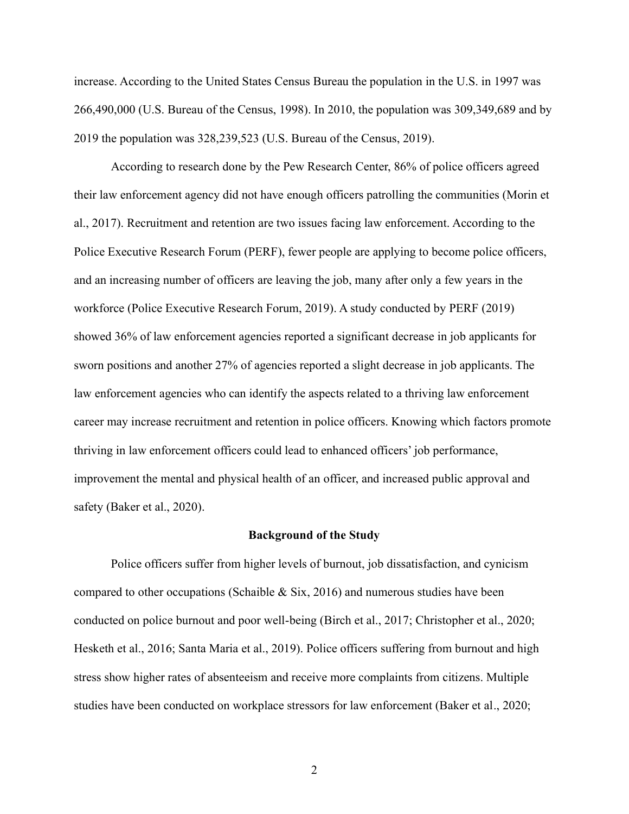increase. According to the United States Census Bureau the population in the U.S. in 1997 was 266,490,000 (U.S. Bureau of the Census, 1998). In 2010, the population was 309,349,689 and by 2019 the population was 328,239,523 (U.S. Bureau of the Census, 2019).

According to research done by the Pew Research Center, 86% of police officers agreed their law enforcement agency did not have enough officers patrolling the communities (Morin et al., 2017). Recruitment and retention are two issues facing law enforcement. According to the Police Executive Research Forum (PERF), fewer people are applying to become police officers, and an increasing number of officers are leaving the job, many after only a few years in the workforce (Police Executive Research Forum, 2019). A study conducted by PERF (2019) showed 36% of law enforcement agencies reported a significant decrease in job applicants for sworn positions and another 27% of agencies reported a slight decrease in job applicants. The law enforcement agencies who can identify the aspects related to a thriving law enforcement career may increase recruitment and retention in police officers. Knowing which factors promote thriving in law enforcement officers could lead to enhanced officers' job performance, improvement the mental and physical health of an officer, and increased public approval and safety (Baker et al., 2020).

#### Background of the Study

Police officers suffer from higher levels of burnout, job dissatisfaction, and cynicism compared to other occupations (Schaible & Six, 2016) and numerous studies have been conducted on police burnout and poor well-being (Birch et al., 2017; Christopher et al., 2020; Hesketh et al., 2016; Santa Maria et al., 2019). Police officers suffering from burnout and high stress show higher rates of absenteeism and receive more complaints from citizens. Multiple studies have been conducted on workplace stressors for law enforcement (Baker et al., 2020;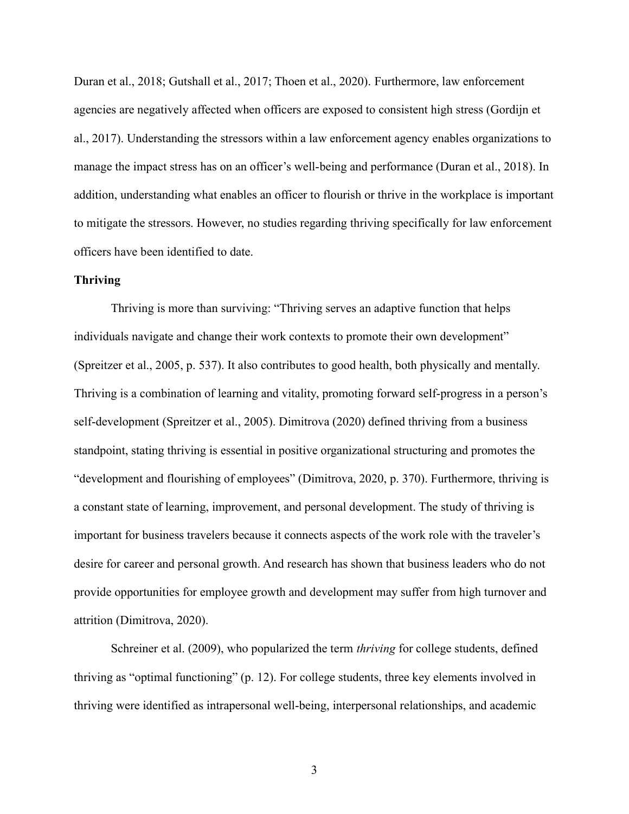Duran et al., 2018; Gutshall et al., 2017; Thoen et al., 2020). Furthermore, law enforcement agencies are negatively affected when officers are exposed to consistent high stress (Gordijn et al., 2017). Understanding the stressors within a law enforcement agency enables organizations to manage the impact stress has on an officer's well-being and performance (Duran et al., 2018). In addition, understanding what enables an officer to flourish or thrive in the workplace is important to mitigate the stressors. However, no studies regarding thriving specifically for law enforcement officers have been identified to date.

# Thriving

Thriving is more than surviving: "Thriving serves an adaptive function that helps individuals navigate and change their work contexts to promote their own development" (Spreitzer et al., 2005, p. 537). It also contributes to good health, both physically and mentally. Thriving is a combination of learning and vitality, promoting forward self-progress in a person's self-development (Spreitzer et al., 2005). Dimitrova (2020) defined thriving from a business standpoint, stating thriving is essential in positive organizational structuring and promotes the "development and flourishing of employees" (Dimitrova, 2020, p. 370). Furthermore, thriving is a constant state of learning, improvement, and personal development. The study of thriving is important for business travelers because it connects aspects of the work role with the traveler's desire for career and personal growth. And research has shown that business leaders who do not provide opportunities for employee growth and development may suffer from high turnover and attrition (Dimitrova, 2020).

Schreiner et al. (2009), who popularized the term *thriving* for college students, defined thriving as "optimal functioning" (p. 12). For college students, three key elements involved in thriving were identified as intrapersonal well-being, interpersonal relationships, and academic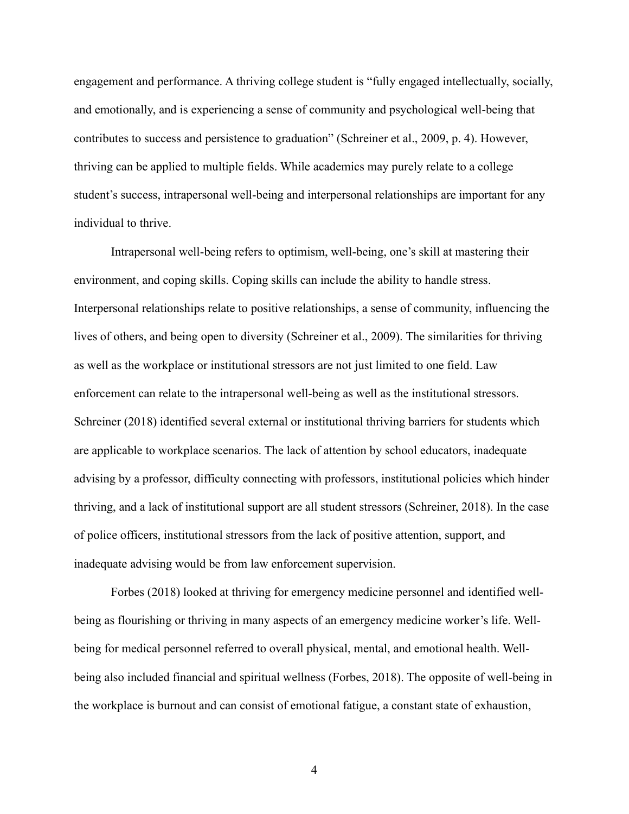engagement and performance. A thriving college student is "fully engaged intellectually, socially, and emotionally, and is experiencing a sense of community and psychological well-being that contributes to success and persistence to graduation" (Schreiner et al., 2009, p. 4). However, thriving can be applied to multiple fields. While academics may purely relate to a college student's success, intrapersonal well-being and interpersonal relationships are important for any individual to thrive.

Intrapersonal well-being refers to optimism, well-being, one's skill at mastering their environment, and coping skills. Coping skills can include the ability to handle stress. Interpersonal relationships relate to positive relationships, a sense of community, influencing the lives of others, and being open to diversity (Schreiner et al., 2009). The similarities for thriving as well as the workplace or institutional stressors are not just limited to one field. Law enforcement can relate to the intrapersonal well-being as well as the institutional stressors. Schreiner (2018) identified several external or institutional thriving barriers for students which are applicable to workplace scenarios. The lack of attention by school educators, inadequate advising by a professor, difficulty connecting with professors, institutional policies which hinder thriving, and a lack of institutional support are all student stressors (Schreiner, 2018). In the case of police officers, institutional stressors from the lack of positive attention, support, and inadequate advising would be from law enforcement supervision.

Forbes (2018) looked at thriving for emergency medicine personnel and identified wellbeing as flourishing or thriving in many aspects of an emergency medicine worker's life. Wellbeing for medical personnel referred to overall physical, mental, and emotional health. Wellbeing also included financial and spiritual wellness (Forbes, 2018). The opposite of well-being in the workplace is burnout and can consist of emotional fatigue, a constant state of exhaustion,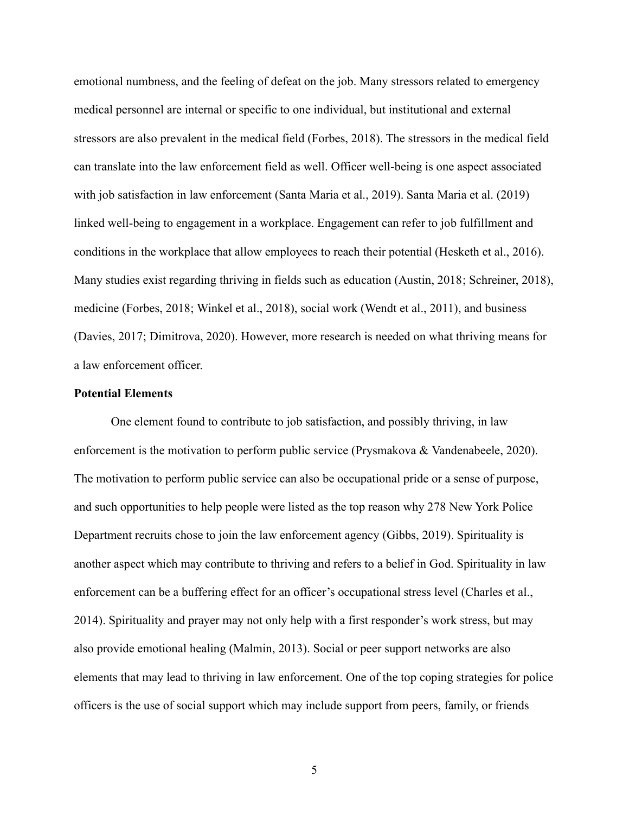emotional numbness, and the feeling of defeat on the job. Many stressors related to emergency medical personnel are internal or specific to one individual, but institutional and external stressors are also prevalent in the medical field (Forbes, 2018). The stressors in the medical field can translate into the law enforcement field as well. Officer well-being is one aspect associated with job satisfaction in law enforcement (Santa Maria et al., 2019). Santa Maria et al. (2019) linked well-being to engagement in a workplace. Engagement can refer to job fulfillment and conditions in the workplace that allow employees to reach their potential (Hesketh et al., 2016). Many studies exist regarding thriving in fields such as education (Austin, 2018; Schreiner, 2018), medicine (Forbes, 2018; Winkel et al., 2018), social work (Wendt et al., 2011), and business (Davies, 2017; Dimitrova, 2020). However, more research is needed on what thriving means for a law enforcement officer.

## Potential Elements

One element found to contribute to job satisfaction, and possibly thriving, in law enforcement is the motivation to perform public service (Prysmakova & Vandenabeele, 2020). The motivation to perform public service can also be occupational pride or a sense of purpose, and such opportunities to help people were listed as the top reason why 278 New York Police Department recruits chose to join the law enforcement agency (Gibbs, 2019). Spirituality is another aspect which may contribute to thriving and refers to a belief in God. Spirituality in law enforcement can be a buffering effect for an officer's occupational stress level (Charles et al., 2014). Spirituality and prayer may not only help with a first responder's work stress, but may also provide emotional healing (Malmin, 2013). Social or peer support networks are also elements that may lead to thriving in law enforcement. One of the top coping strategies for police officers is the use of social support which may include support from peers, family, or friends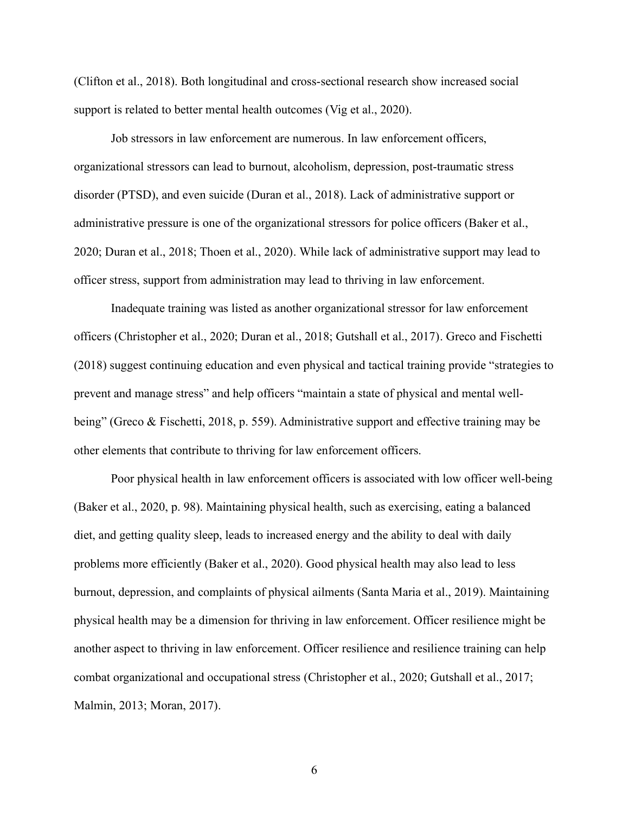(Clifton et al., 2018). Both longitudinal and cross-sectional research show increased social support is related to better mental health outcomes (Vig et al., 2020).

Job stressors in law enforcement are numerous. In law enforcement officers, organizational stressors can lead to burnout, alcoholism, depression, post-traumatic stress disorder (PTSD), and even suicide (Duran et al., 2018). Lack of administrative support or administrative pressure is one of the organizational stressors for police officers (Baker et al., 2020; Duran et al., 2018; Thoen et al., 2020). While lack of administrative support may lead to officer stress, support from administration may lead to thriving in law enforcement.

Inadequate training was listed as another organizational stressor for law enforcement officers (Christopher et al., 2020; Duran et al., 2018; Gutshall et al., 2017). Greco and Fischetti (2018) suggest continuing education and even physical and tactical training provide "strategies to prevent and manage stress" and help officers "maintain a state of physical and mental wellbeing" (Greco & Fischetti, 2018, p. 559). Administrative support and effective training may be other elements that contribute to thriving for law enforcement officers.

Poor physical health in law enforcement officers is associated with low officer well-being (Baker et al., 2020, p. 98). Maintaining physical health, such as exercising, eating a balanced diet, and getting quality sleep, leads to increased energy and the ability to deal with daily problems more efficiently (Baker et al., 2020). Good physical health may also lead to less burnout, depression, and complaints of physical ailments (Santa Maria et al., 2019). Maintaining physical health may be a dimension for thriving in law enforcement. Officer resilience might be another aspect to thriving in law enforcement. Officer resilience and resilience training can help combat organizational and occupational stress (Christopher et al., 2020; Gutshall et al., 2017; Malmin, 2013; Moran, 2017).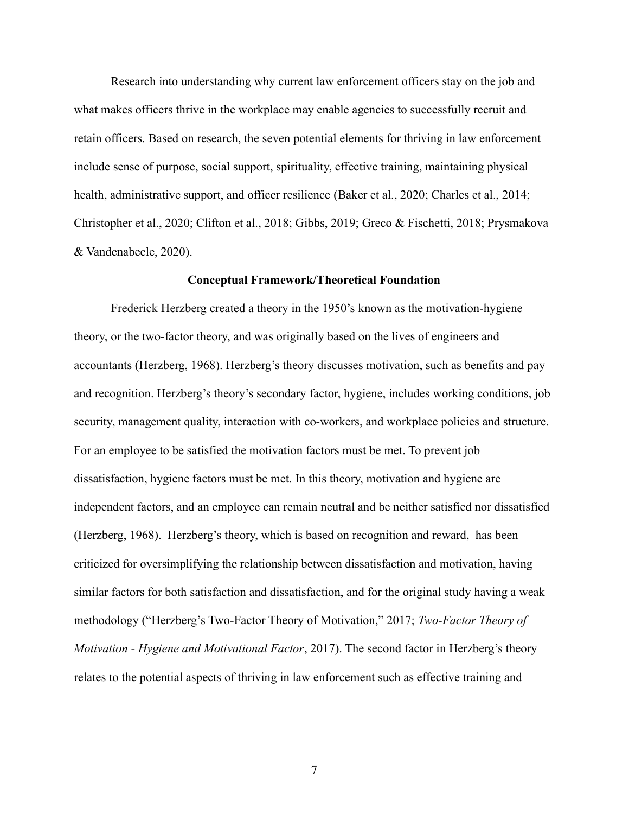Research into understanding why current law enforcement officers stay on the job and what makes officers thrive in the workplace may enable agencies to successfully recruit and retain officers. Based on research, the seven potential elements for thriving in law enforcement include sense of purpose, social support, spirituality, effective training, maintaining physical health, administrative support, and officer resilience (Baker et al., 2020; Charles et al., 2014; Christopher et al., 2020; Clifton et al., 2018; Gibbs, 2019; Greco & Fischetti, 2018; Prysmakova & Vandenabeele, 2020).

#### Conceptual Framework/Theoretical Foundation

Frederick Herzberg created a theory in the 1950's known as the motivation-hygiene theory, or the two-factor theory, and was originally based on the lives of engineers and accountants (Herzberg, 1968). Herzberg's theory discusses motivation, such as benefits and pay and recognition. Herzberg's theory's secondary factor, hygiene, includes working conditions, job security, management quality, interaction with co-workers, and workplace policies and structure. For an employee to be satisfied the motivation factors must be met. To prevent job dissatisfaction, hygiene factors must be met. In this theory, motivation and hygiene are independent factors, and an employee can remain neutral and be neither satisfied nor dissatisfied (Herzberg, 1968). Herzberg's theory, which is based on recognition and reward, has been criticized for oversimplifying the relationship between dissatisfaction and motivation, having similar factors for both satisfaction and dissatisfaction, and for the original study having a weak methodology ("Herzberg's Two-Factor Theory of Motivation," 2017; Two-Factor Theory of Motivation - Hygiene and Motivational Factor, 2017). The second factor in Herzberg's theory relates to the potential aspects of thriving in law enforcement such as effective training and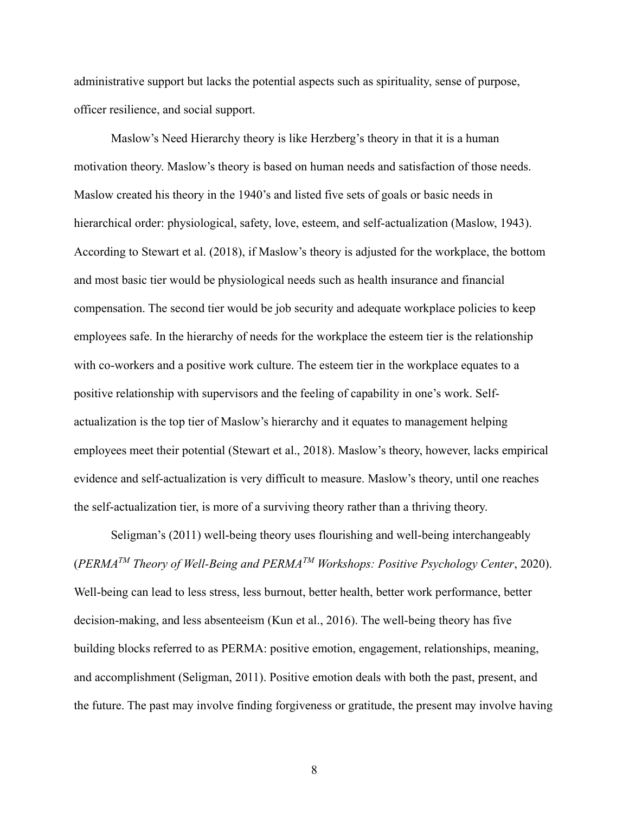administrative support but lacks the potential aspects such as spirituality, sense of purpose, officer resilience, and social support.

Maslow's Need Hierarchy theory is like Herzberg's theory in that it is a human motivation theory. Maslow's theory is based on human needs and satisfaction of those needs. Maslow created his theory in the 1940's and listed five sets of goals or basic needs in hierarchical order: physiological, safety, love, esteem, and self-actualization (Maslow, 1943). According to Stewart et al. (2018), if Maslow's theory is adjusted for the workplace, the bottom and most basic tier would be physiological needs such as health insurance and financial compensation. The second tier would be job security and adequate workplace policies to keep employees safe. In the hierarchy of needs for the workplace the esteem tier is the relationship with co-workers and a positive work culture. The esteem tier in the workplace equates to a positive relationship with supervisors and the feeling of capability in one's work. Selfactualization is the top tier of Maslow's hierarchy and it equates to management helping employees meet their potential (Stewart et al., 2018). Maslow's theory, however, lacks empirical evidence and self-actualization is very difficult to measure. Maslow's theory, until one reaches the self-actualization tier, is more of a surviving theory rather than a thriving theory.

Seligman's (2011) well-being theory uses flourishing and well-being interchangeably (PERMA<sup>TM</sup> Theory of Well-Being and PERMA<sup>TM</sup> Workshops: Positive Psychology Center, 2020). Well-being can lead to less stress, less burnout, better health, better work performance, better decision-making, and less absenteeism (Kun et al., 2016). The well-being theory has five building blocks referred to as PERMA: positive emotion, engagement, relationships, meaning, and accomplishment (Seligman, 2011). Positive emotion deals with both the past, present, and the future. The past may involve finding forgiveness or gratitude, the present may involve having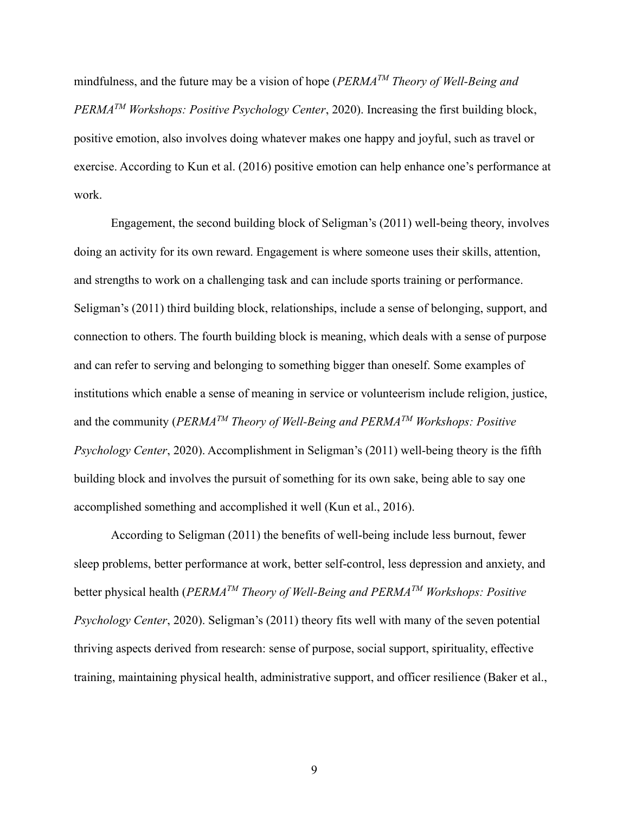mindfulness, and the future may be a vision of hope ( $PERMA^{TM}$  Theory of Well-Being and  $PERMA^{TM}$  Workshops: Positive Psychology Center, 2020). Increasing the first building block, positive emotion, also involves doing whatever makes one happy and joyful, such as travel or exercise. According to Kun et al. (2016) positive emotion can help enhance one's performance at work.

Engagement, the second building block of Seligman's (2011) well-being theory, involves doing an activity for its own reward. Engagement is where someone uses their skills, attention, and strengths to work on a challenging task and can include sports training or performance. Seligman's (2011) third building block, relationships, include a sense of belonging, support, and connection to others. The fourth building block is meaning, which deals with a sense of purpose and can refer to serving and belonging to something bigger than oneself. Some examples of institutions which enable a sense of meaning in service or volunteerism include religion, justice, and the community ( $PERMA^{TM}$  Theory of Well-Being and  $PERMA^{TM}$  Workshops: Positive Psychology Center, 2020). Accomplishment in Seligman's (2011) well-being theory is the fifth building block and involves the pursuit of something for its own sake, being able to say one accomplished something and accomplished it well (Kun et al., 2016).

According to Seligman (2011) the benefits of well-being include less burnout, fewer sleep problems, better performance at work, better self-control, less depression and anxiety, and better physical health ( $PERMA^{TM}$  Theory of Well-Being and  $PERMA^{TM}$  Workshops: Positive Psychology Center, 2020). Seligman's (2011) theory fits well with many of the seven potential thriving aspects derived from research: sense of purpose, social support, spirituality, effective training, maintaining physical health, administrative support, and officer resilience (Baker et al.,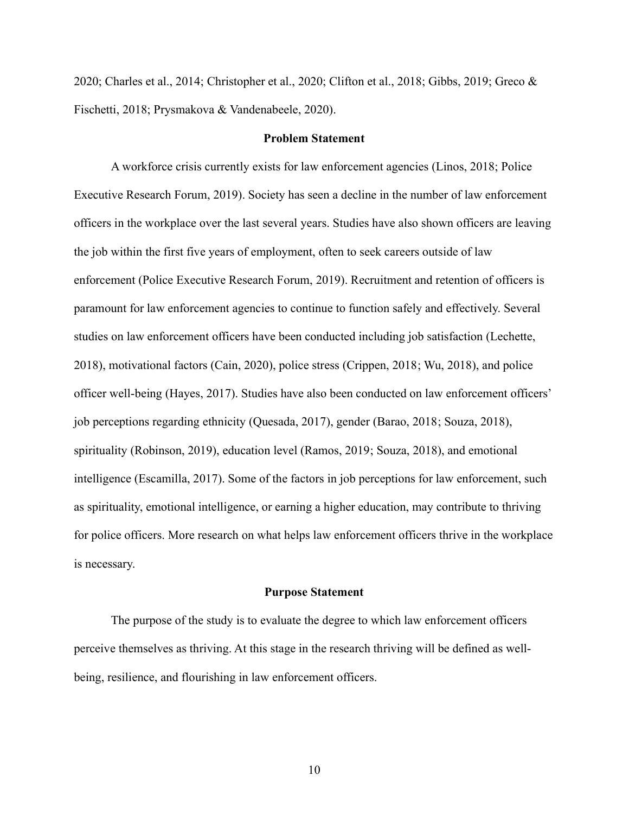2020; Charles et al., 2014; Christopher et al., 2020; Clifton et al., 2018; Gibbs, 2019; Greco & Fischetti, 2018; Prysmakova & Vandenabeele, 2020).

### Problem Statement

A workforce crisis currently exists for law enforcement agencies (Linos, 2018; Police Executive Research Forum, 2019). Society has seen a decline in the number of law enforcement officers in the workplace over the last several years. Studies have also shown officers are leaving the job within the first five years of employment, often to seek careers outside of law enforcement (Police Executive Research Forum, 2019). Recruitment and retention of officers is paramount for law enforcement agencies to continue to function safely and effectively. Several studies on law enforcement officers have been conducted including job satisfaction (Lechette, 2018), motivational factors (Cain, 2020), police stress (Crippen, 2018; Wu, 2018), and police officer well-being (Hayes, 2017). Studies have also been conducted on law enforcement officers' job perceptions regarding ethnicity (Quesada, 2017), gender (Barao, 2018; Souza, 2018), spirituality (Robinson, 2019), education level (Ramos, 2019; Souza, 2018), and emotional intelligence (Escamilla, 2017). Some of the factors in job perceptions for law enforcement, such as spirituality, emotional intelligence, or earning a higher education, may contribute to thriving for police officers. More research on what helps law enforcement officers thrive in the workplace is necessary.

#### Purpose Statement

The purpose of the study is to evaluate the degree to which law enforcement officers perceive themselves as thriving. At this stage in the research thriving will be defined as wellbeing, resilience, and flourishing in law enforcement officers.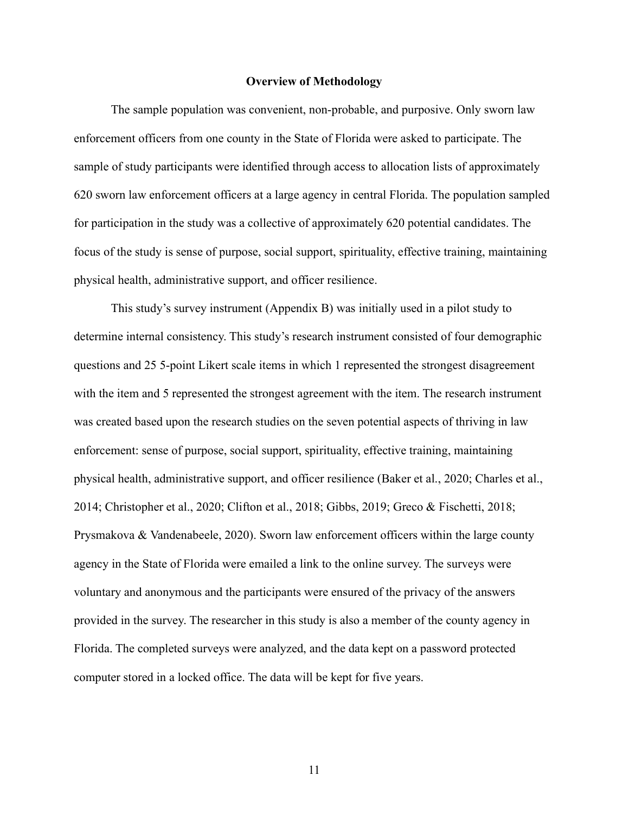#### Overview of Methodology

The sample population was convenient, non-probable, and purposive. Only sworn law enforcement officers from one county in the State of Florida were asked to participate. The sample of study participants were identified through access to allocation lists of approximately 620 sworn law enforcement officers at a large agency in central Florida. The population sampled for participation in the study was a collective of approximately 620 potential candidates. The focus of the study is sense of purpose, social support, spirituality, effective training, maintaining physical health, administrative support, and officer resilience.

This study's survey instrument (Appendix B) was initially used in a pilot study to determine internal consistency. This study's research instrument consisted of four demographic questions and 25 5-point Likert scale items in which 1 represented the strongest disagreement with the item and 5 represented the strongest agreement with the item. The research instrument was created based upon the research studies on the seven potential aspects of thriving in law enforcement: sense of purpose, social support, spirituality, effective training, maintaining physical health, administrative support, and officer resilience (Baker et al., 2020; Charles et al., 2014; Christopher et al., 2020; Clifton et al., 2018; Gibbs, 2019; Greco & Fischetti, 2018; Prysmakova & Vandenabeele, 2020). Sworn law enforcement officers within the large county agency in the State of Florida were emailed a link to the online survey. The surveys were voluntary and anonymous and the participants were ensured of the privacy of the answers provided in the survey. The researcher in this study is also a member of the county agency in Florida. The completed surveys were analyzed, and the data kept on a password protected computer stored in a locked office. The data will be kept for five years.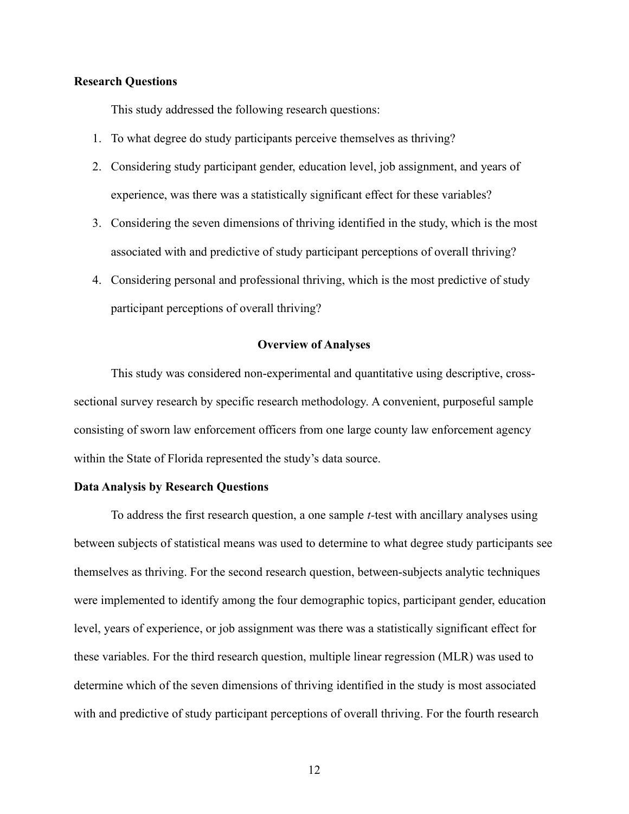# Research Questions

This study addressed the following research questions:

- 1. To what degree do study participants perceive themselves as thriving?
- 2. Considering study participant gender, education level, job assignment, and years of experience, was there was a statistically significant effect for these variables?
- 3. Considering the seven dimensions of thriving identified in the study, which is the most associated with and predictive of study participant perceptions of overall thriving?
- 4. Considering personal and professional thriving, which is the most predictive of study participant perceptions of overall thriving?

### Overview of Analyses

This study was considered non-experimental and quantitative using descriptive, crosssectional survey research by specific research methodology. A convenient, purposeful sample consisting of sworn law enforcement officers from one large county law enforcement agency within the State of Florida represented the study's data source.

# Data Analysis by Research Questions

To address the first research question, a one sample t-test with ancillary analyses using between subjects of statistical means was used to determine to what degree study participants see themselves as thriving. For the second research question, between-subjects analytic techniques were implemented to identify among the four demographic topics, participant gender, education level, years of experience, or job assignment was there was a statistically significant effect for these variables. For the third research question, multiple linear regression (MLR) was used to determine which of the seven dimensions of thriving identified in the study is most associated with and predictive of study participant perceptions of overall thriving. For the fourth research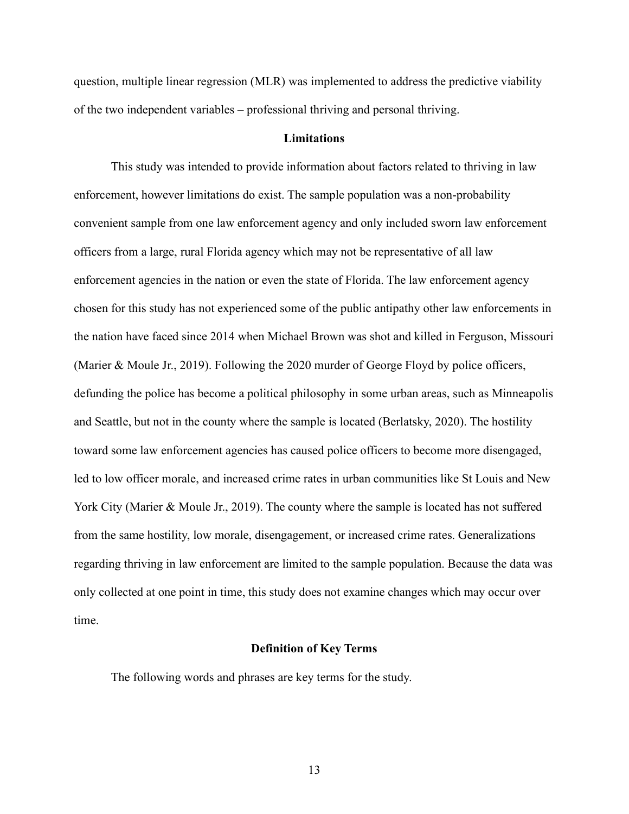question, multiple linear regression (MLR) was implemented to address the predictive viability of the two independent variables – professional thriving and personal thriving.

### **Limitations**

This study was intended to provide information about factors related to thriving in law enforcement, however limitations do exist. The sample population was a non-probability convenient sample from one law enforcement agency and only included sworn law enforcement officers from a large, rural Florida agency which may not be representative of all law enforcement agencies in the nation or even the state of Florida. The law enforcement agency chosen for this study has not experienced some of the public antipathy other law enforcements in the nation have faced since 2014 when Michael Brown was shot and killed in Ferguson, Missouri (Marier & Moule Jr., 2019). Following the 2020 murder of George Floyd by police officers, defunding the police has become a political philosophy in some urban areas, such as Minneapolis and Seattle, but not in the county where the sample is located (Berlatsky, 2020). The hostility toward some law enforcement agencies has caused police officers to become more disengaged, led to low officer morale, and increased crime rates in urban communities like St Louis and New York City (Marier & Moule Jr., 2019). The county where the sample is located has not suffered from the same hostility, low morale, disengagement, or increased crime rates. Generalizations regarding thriving in law enforcement are limited to the sample population. Because the data was only collected at one point in time, this study does not examine changes which may occur over time.

#### Definition of Key Terms

The following words and phrases are key terms for the study.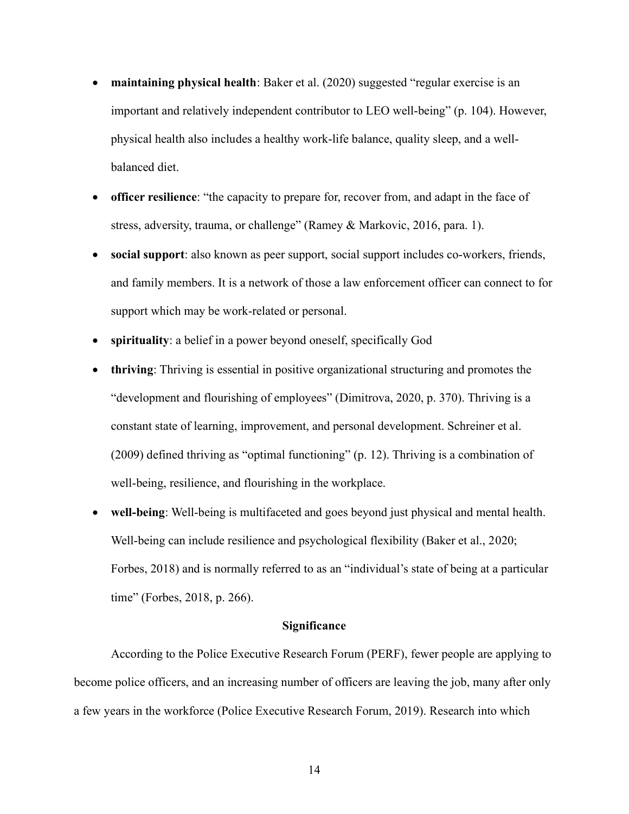- maintaining physical health: Baker et al. (2020) suggested "regular exercise is an important and relatively independent contributor to LEO well-being" (p. 104). However, physical health also includes a healthy work-life balance, quality sleep, and a wellbalanced diet.
- officer resilience: "the capacity to prepare for, recover from, and adapt in the face of stress, adversity, trauma, or challenge" (Ramey & Markovic, 2016, para. 1).
- social support: also known as peer support, social support includes co-workers, friends, and family members. It is a network of those a law enforcement officer can connect to for support which may be work-related or personal.
- spirituality: a belief in a power beyond oneself, specifically God
- thriving: Thriving is essential in positive organizational structuring and promotes the "development and flourishing of employees" (Dimitrova, 2020, p. 370). Thriving is a constant state of learning, improvement, and personal development. Schreiner et al. (2009) defined thriving as "optimal functioning" (p. 12). Thriving is a combination of well-being, resilience, and flourishing in the workplace.
- well-being: Well-being is multifaceted and goes beyond just physical and mental health. Well-being can include resilience and psychological flexibility (Baker et al., 2020; Forbes, 2018) and is normally referred to as an "individual's state of being at a particular time" (Forbes, 2018, p. 266).

#### Significance

According to the Police Executive Research Forum (PERF), fewer people are applying to become police officers, and an increasing number of officers are leaving the job, many after only a few years in the workforce (Police Executive Research Forum, 2019). Research into which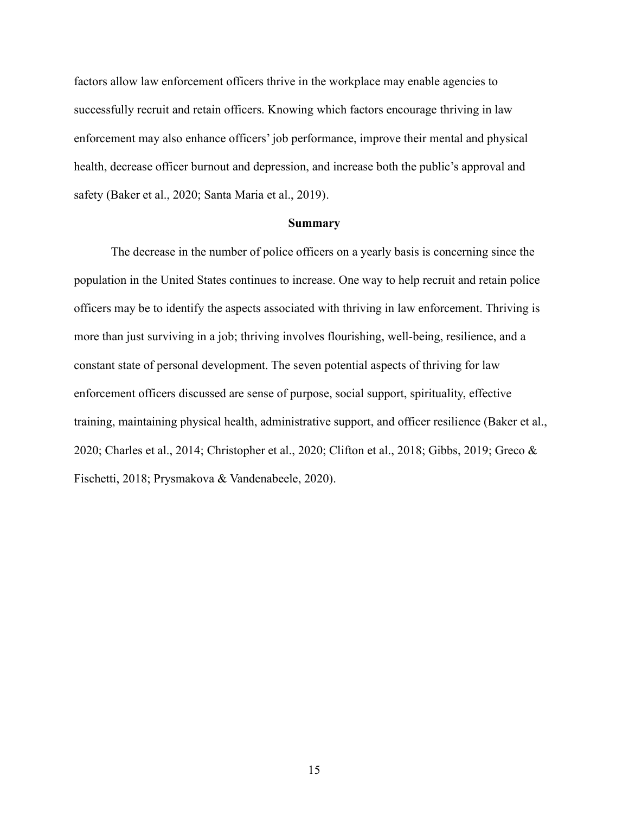factors allow law enforcement officers thrive in the workplace may enable agencies to successfully recruit and retain officers. Knowing which factors encourage thriving in law enforcement may also enhance officers' job performance, improve their mental and physical health, decrease officer burnout and depression, and increase both the public's approval and safety (Baker et al., 2020; Santa Maria et al., 2019).

#### Summary

The decrease in the number of police officers on a yearly basis is concerning since the population in the United States continues to increase. One way to help recruit and retain police officers may be to identify the aspects associated with thriving in law enforcement. Thriving is more than just surviving in a job; thriving involves flourishing, well-being, resilience, and a constant state of personal development. The seven potential aspects of thriving for law enforcement officers discussed are sense of purpose, social support, spirituality, effective training, maintaining physical health, administrative support, and officer resilience (Baker et al., 2020; Charles et al., 2014; Christopher et al., 2020; Clifton et al., 2018; Gibbs, 2019; Greco & Fischetti, 2018; Prysmakova & Vandenabeele, 2020).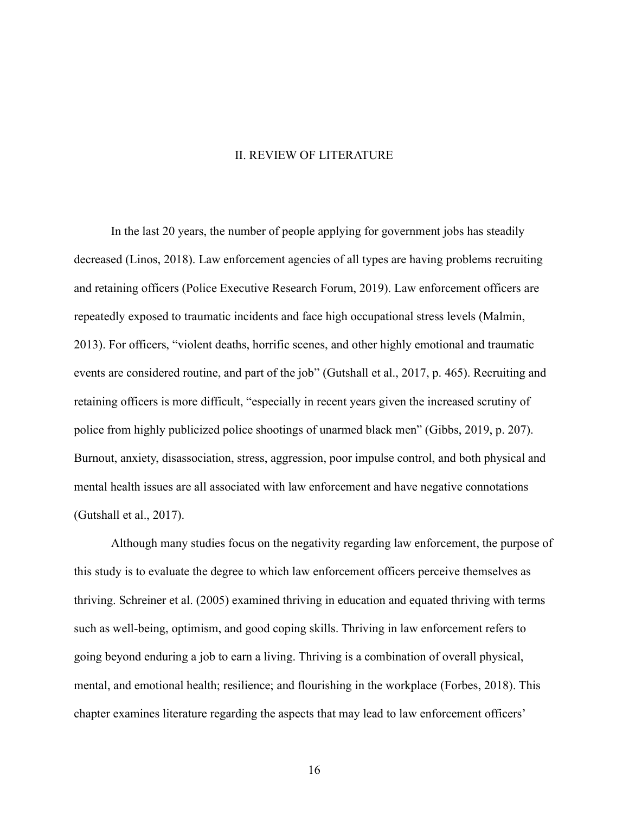### II. REVIEW OF LITERATURE

In the last 20 years, the number of people applying for government jobs has steadily decreased (Linos, 2018). Law enforcement agencies of all types are having problems recruiting and retaining officers (Police Executive Research Forum, 2019). Law enforcement officers are repeatedly exposed to traumatic incidents and face high occupational stress levels (Malmin, 2013). For officers, "violent deaths, horrific scenes, and other highly emotional and traumatic events are considered routine, and part of the job" (Gutshall et al., 2017, p. 465). Recruiting and retaining officers is more difficult, "especially in recent years given the increased scrutiny of police from highly publicized police shootings of unarmed black men" (Gibbs, 2019, p. 207). Burnout, anxiety, disassociation, stress, aggression, poor impulse control, and both physical and mental health issues are all associated with law enforcement and have negative connotations (Gutshall et al., 2017).

Although many studies focus on the negativity regarding law enforcement, the purpose of this study is to evaluate the degree to which law enforcement officers perceive themselves as thriving. Schreiner et al. (2005) examined thriving in education and equated thriving with terms such as well-being, optimism, and good coping skills. Thriving in law enforcement refers to going beyond enduring a job to earn a living. Thriving is a combination of overall physical, mental, and emotional health; resilience; and flourishing in the workplace (Forbes, 2018). This chapter examines literature regarding the aspects that may lead to law enforcement officers'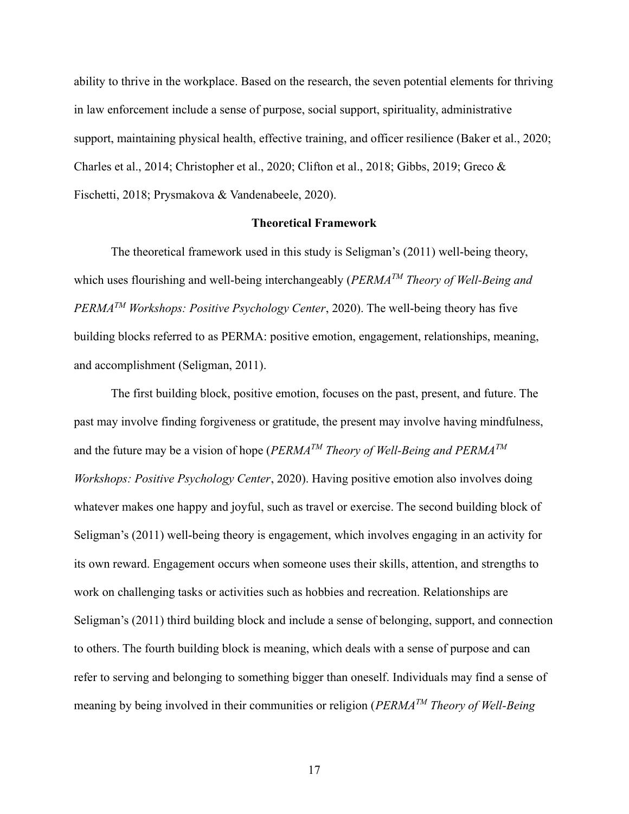ability to thrive in the workplace. Based on the research, the seven potential elements for thriving in law enforcement include a sense of purpose, social support, spirituality, administrative support, maintaining physical health, effective training, and officer resilience (Baker et al., 2020; Charles et al., 2014; Christopher et al., 2020; Clifton et al., 2018; Gibbs, 2019; Greco & Fischetti, 2018; Prysmakova & Vandenabeele, 2020).

## Theoretical Framework

The theoretical framework used in this study is Seligman's (2011) well-being theory, which uses flourishing and well-being interchangeably ( $PERMA^{TM}$  Theory of Well-Being and  $PERMA^{TM}$  Workshops: Positive Psychology Center, 2020). The well-being theory has five building blocks referred to as PERMA: positive emotion, engagement, relationships, meaning, and accomplishment (Seligman, 2011).

The first building block, positive emotion, focuses on the past, present, and future. The past may involve finding forgiveness or gratitude, the present may involve having mindfulness, and the future may be a vision of hope ( $PERMA^{TM}$  Theory of Well-Being and  $PERMA^{TM}$ Workshops: Positive Psychology Center, 2020). Having positive emotion also involves doing whatever makes one happy and joyful, such as travel or exercise. The second building block of Seligman's (2011) well-being theory is engagement, which involves engaging in an activity for its own reward. Engagement occurs when someone uses their skills, attention, and strengths to work on challenging tasks or activities such as hobbies and recreation. Relationships are Seligman's (2011) third building block and include a sense of belonging, support, and connection to others. The fourth building block is meaning, which deals with a sense of purpose and can refer to serving and belonging to something bigger than oneself. Individuals may find a sense of meaning by being involved in their communities or religion ( $PERMA^{TM}$  Theory of Well-Being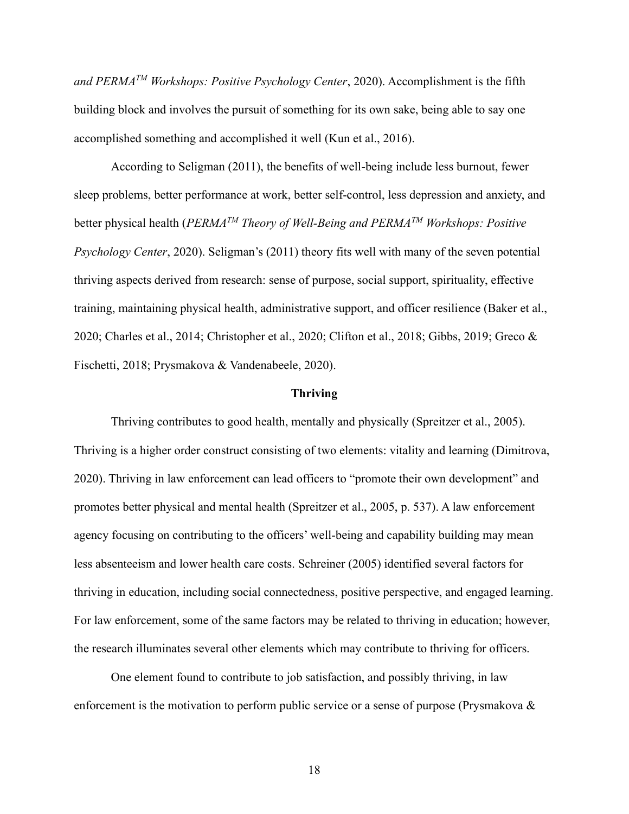and PERMA<sup>TM</sup> Workshops: Positive Psychology Center, 2020). Accomplishment is the fifth building block and involves the pursuit of something for its own sake, being able to say one accomplished something and accomplished it well (Kun et al., 2016).

According to Seligman (2011), the benefits of well-being include less burnout, fewer sleep problems, better performance at work, better self-control, less depression and anxiety, and better physical health ( $PERMA^{TM}$  Theory of Well-Being and  $PERMA^{TM}$  Workshops: Positive Psychology Center, 2020). Seligman's (2011) theory fits well with many of the seven potential thriving aspects derived from research: sense of purpose, social support, spirituality, effective training, maintaining physical health, administrative support, and officer resilience (Baker et al., 2020; Charles et al., 2014; Christopher et al., 2020; Clifton et al., 2018; Gibbs, 2019; Greco & Fischetti, 2018; Prysmakova & Vandenabeele, 2020).

## Thriving

Thriving contributes to good health, mentally and physically (Spreitzer et al., 2005). Thriving is a higher order construct consisting of two elements: vitality and learning (Dimitrova, 2020). Thriving in law enforcement can lead officers to "promote their own development" and promotes better physical and mental health (Spreitzer et al., 2005, p. 537). A law enforcement agency focusing on contributing to the officers' well-being and capability building may mean less absenteeism and lower health care costs. Schreiner (2005) identified several factors for thriving in education, including social connectedness, positive perspective, and engaged learning. For law enforcement, some of the same factors may be related to thriving in education; however, the research illuminates several other elements which may contribute to thriving for officers.

One element found to contribute to job satisfaction, and possibly thriving, in law enforcement is the motivation to perform public service or a sense of purpose (Prysmakova &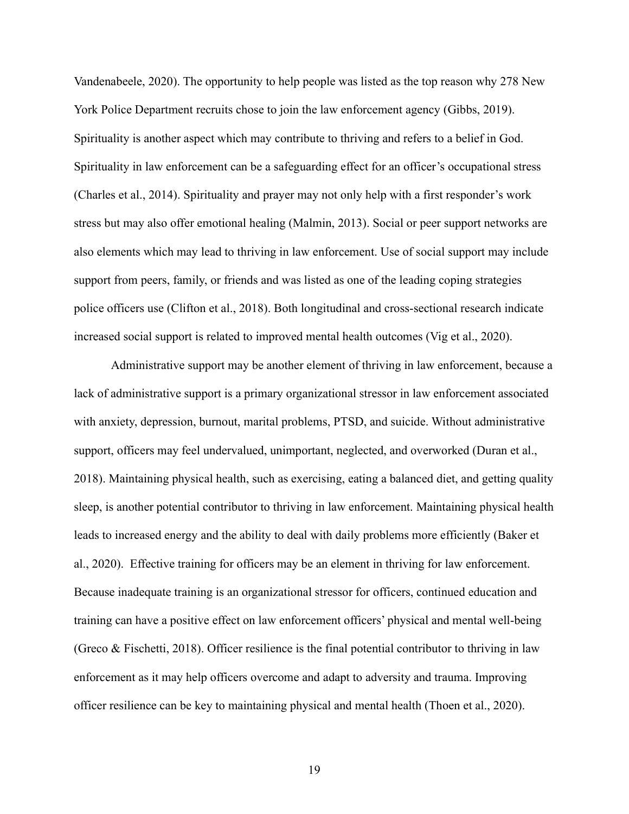Vandenabeele, 2020). The opportunity to help people was listed as the top reason why 278 New York Police Department recruits chose to join the law enforcement agency (Gibbs, 2019). Spirituality is another aspect which may contribute to thriving and refers to a belief in God. Spirituality in law enforcement can be a safeguarding effect for an officer's occupational stress (Charles et al., 2014). Spirituality and prayer may not only help with a first responder's work stress but may also offer emotional healing (Malmin, 2013). Social or peer support networks are also elements which may lead to thriving in law enforcement. Use of social support may include support from peers, family, or friends and was listed as one of the leading coping strategies police officers use (Clifton et al., 2018). Both longitudinal and cross-sectional research indicate increased social support is related to improved mental health outcomes (Vig et al., 2020).

Administrative support may be another element of thriving in law enforcement, because a lack of administrative support is a primary organizational stressor in law enforcement associated with anxiety, depression, burnout, marital problems, PTSD, and suicide. Without administrative support, officers may feel undervalued, unimportant, neglected, and overworked (Duran et al., 2018). Maintaining physical health, such as exercising, eating a balanced diet, and getting quality sleep, is another potential contributor to thriving in law enforcement. Maintaining physical health leads to increased energy and the ability to deal with daily problems more efficiently (Baker et al., 2020). Effective training for officers may be an element in thriving for law enforcement. Because inadequate training is an organizational stressor for officers, continued education and training can have a positive effect on law enforcement officers' physical and mental well-being (Greco & Fischetti, 2018). Officer resilience is the final potential contributor to thriving in law enforcement as it may help officers overcome and adapt to adversity and trauma. Improving officer resilience can be key to maintaining physical and mental health (Thoen et al., 2020).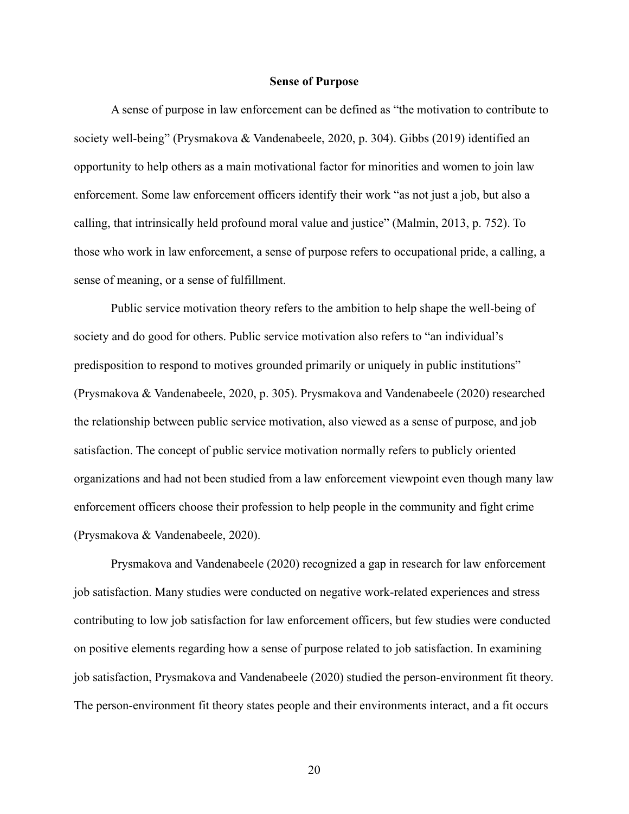#### Sense of Purpose

A sense of purpose in law enforcement can be defined as "the motivation to contribute to society well-being" (Prysmakova & Vandenabeele, 2020, p. 304). Gibbs (2019) identified an opportunity to help others as a main motivational factor for minorities and women to join law enforcement. Some law enforcement officers identify their work "as not just a job, but also a calling, that intrinsically held profound moral value and justice" (Malmin, 2013, p. 752). To those who work in law enforcement, a sense of purpose refers to occupational pride, a calling, a sense of meaning, or a sense of fulfillment.

Public service motivation theory refers to the ambition to help shape the well-being of society and do good for others. Public service motivation also refers to "an individual's predisposition to respond to motives grounded primarily or uniquely in public institutions" (Prysmakova & Vandenabeele, 2020, p. 305). Prysmakova and Vandenabeele (2020) researched the relationship between public service motivation, also viewed as a sense of purpose, and job satisfaction. The concept of public service motivation normally refers to publicly oriented organizations and had not been studied from a law enforcement viewpoint even though many law enforcement officers choose their profession to help people in the community and fight crime (Prysmakova & Vandenabeele, 2020).

Prysmakova and Vandenabeele (2020) recognized a gap in research for law enforcement job satisfaction. Many studies were conducted on negative work-related experiences and stress contributing to low job satisfaction for law enforcement officers, but few studies were conducted on positive elements regarding how a sense of purpose related to job satisfaction. In examining job satisfaction, Prysmakova and Vandenabeele (2020) studied the person-environment fit theory. The person-environment fit theory states people and their environments interact, and a fit occurs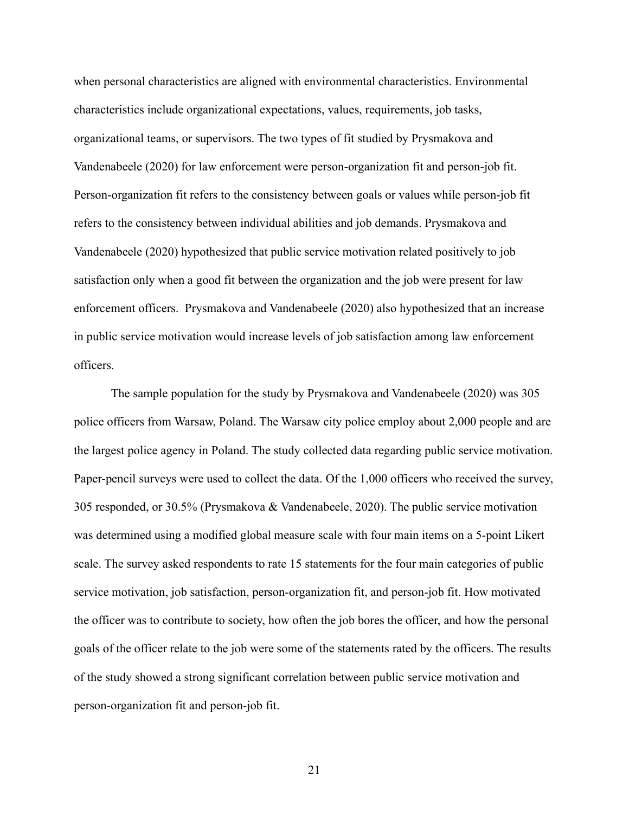when personal characteristics are aligned with environmental characteristics. Environmental characteristics include organizational expectations, values, requirements, job tasks, organizational teams, or supervisors. The two types of fit studied by Prysmakova and Vandenabeele (2020) for law enforcement were person-organization fit and person-job fit. Person-organization fit refers to the consistency between goals or values while person-job fit refers to the consistency between individual abilities and job demands. Prysmakova and Vandenabeele (2020) hypothesized that public service motivation related positively to job satisfaction only when a good fit between the organization and the job were present for law enforcement officers. Prysmakova and Vandenabeele (2020) also hypothesized that an increase in public service motivation would increase levels of job satisfaction among law enforcement officers.

The sample population for the study by Prysmakova and Vandenabeele (2020) was 305 police officers from Warsaw, Poland. The Warsaw city police employ about 2,000 people and are the largest police agency in Poland. The study collected data regarding public service motivation. Paper-pencil surveys were used to collect the data. Of the 1,000 officers who received the survey, 305 responded, or 30.5% (Prysmakova & Vandenabeele, 2020). The public service motivation was determined using a modified global measure scale with four main items on a 5-point Likert scale. The survey asked respondents to rate 15 statements for the four main categories of public service motivation, job satisfaction, person-organization fit, and person-job fit. How motivated the officer was to contribute to society, how often the job bores the officer, and how the personal goals of the officer relate to the job were some of the statements rated by the officers. The results of the study showed a strong significant correlation between public service motivation and person-organization fit and person-job fit.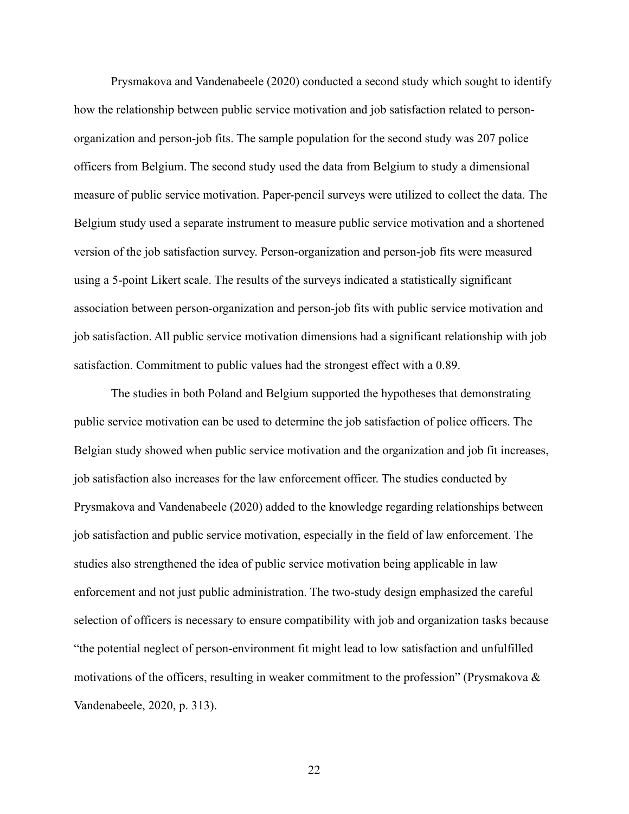Prysmakova and Vandenabeele (2020) conducted a second study which sought to identify how the relationship between public service motivation and job satisfaction related to personorganization and person-job fits. The sample population for the second study was 207 police officers from Belgium. The second study used the data from Belgium to study a dimensional measure of public service motivation. Paper-pencil surveys were utilized to collect the data. The Belgium study used a separate instrument to measure public service motivation and a shortened version of the job satisfaction survey. Person-organization and person-job fits were measured using a 5-point Likert scale. The results of the surveys indicated a statistically significant association between person-organization and person-job fits with public service motivation and job satisfaction. All public service motivation dimensions had a significant relationship with job satisfaction. Commitment to public values had the strongest effect with a 0.89.

The studies in both Poland and Belgium supported the hypotheses that demonstrating public service motivation can be used to determine the job satisfaction of police officers. The Belgian study showed when public service motivation and the organization and job fit increases, job satisfaction also increases for the law enforcement officer. The studies conducted by Prysmakova and Vandenabeele (2020) added to the knowledge regarding relationships between job satisfaction and public service motivation, especially in the field of law enforcement. The studies also strengthened the idea of public service motivation being applicable in law enforcement and not just public administration. The two-study design emphasized the careful selection of officers is necessary to ensure compatibility with job and organization tasks because "the potential neglect of person-environment fit might lead to low satisfaction and unfulfilled motivations of the officers, resulting in weaker commitment to the profession" (Prysmakova & Vandenabeele, 2020, p. 313).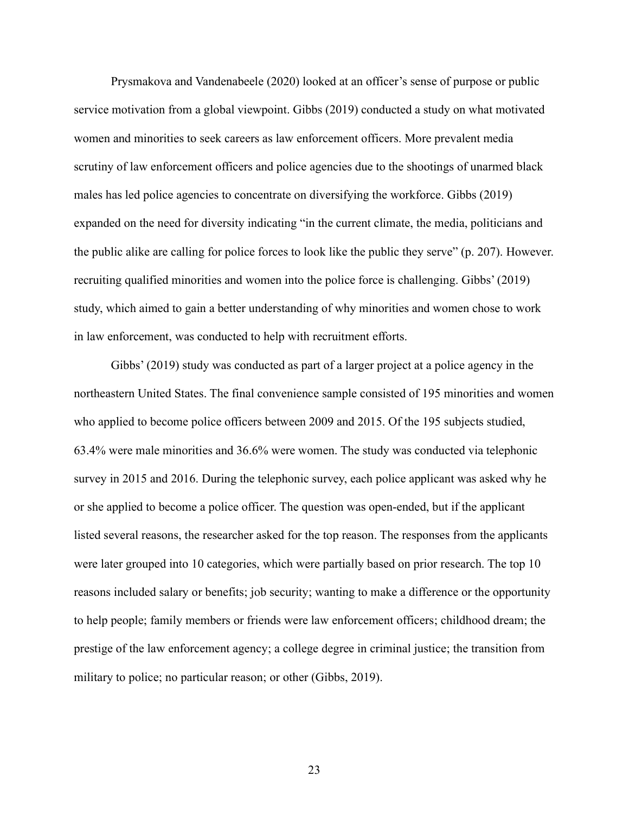Prysmakova and Vandenabeele (2020) looked at an officer's sense of purpose or public service motivation from a global viewpoint. Gibbs (2019) conducted a study on what motivated women and minorities to seek careers as law enforcement officers. More prevalent media scrutiny of law enforcement officers and police agencies due to the shootings of unarmed black males has led police agencies to concentrate on diversifying the workforce. Gibbs (2019) expanded on the need for diversity indicating "in the current climate, the media, politicians and the public alike are calling for police forces to look like the public they serve" (p. 207). However. recruiting qualified minorities and women into the police force is challenging. Gibbs' (2019) study, which aimed to gain a better understanding of why minorities and women chose to work in law enforcement, was conducted to help with recruitment efforts.

Gibbs' (2019) study was conducted as part of a larger project at a police agency in the northeastern United States. The final convenience sample consisted of 195 minorities and women who applied to become police officers between 2009 and 2015. Of the 195 subjects studied, 63.4% were male minorities and 36.6% were women. The study was conducted via telephonic survey in 2015 and 2016. During the telephonic survey, each police applicant was asked why he or she applied to become a police officer. The question was open-ended, but if the applicant listed several reasons, the researcher asked for the top reason. The responses from the applicants were later grouped into 10 categories, which were partially based on prior research. The top 10 reasons included salary or benefits; job security; wanting to make a difference or the opportunity to help people; family members or friends were law enforcement officers; childhood dream; the prestige of the law enforcement agency; a college degree in criminal justice; the transition from military to police; no particular reason; or other (Gibbs, 2019).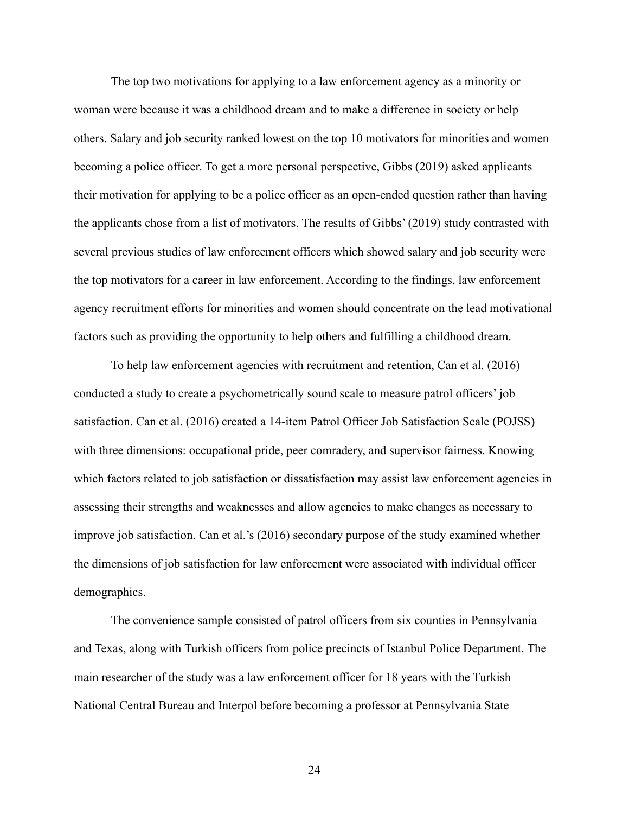The top two motivations for applying to a law enforcement agency as a minority or woman were because it was a childhood dream and to make a difference in society or help others. Salary and job security ranked lowest on the top 10 motivators for minorities and women becoming a police officer. To get a more personal perspective, Gibbs (2019) asked applicants their motivation for applying to be a police officer as an open-ended question rather than having the applicants chose from a list of motivators. The results of Gibbs' (2019) study contrasted with several previous studies of law enforcement officers which showed salary and job security were the top motivators for a career in law enforcement. According to the findings, law enforcement agency recruitment efforts for minorities and women should concentrate on the lead motivational factors such as providing the opportunity to help others and fulfilling a childhood dream.

To help law enforcement agencies with recruitment and retention, Can et al. (2016) conducted a study to create a psychometrically sound scale to measure patrol officers' job satisfaction. Can et al. (2016) created a 14-item Patrol Officer Job Satisfaction Scale (POJSS) with three dimensions: occupational pride, peer comradery, and supervisor fairness. Knowing which factors related to job satisfaction or dissatisfaction may assist law enforcement agencies in assessing their strengths and weaknesses and allow agencies to make changes as necessary to improve job satisfaction. Can et al.'s (2016) secondary purpose of the study examined whether the dimensions of job satisfaction for law enforcement were associated with individual officer demographics.

The convenience sample consisted of patrol officers from six counties in Pennsylvania and Texas, along with Turkish officers from police precincts of Istanbul Police Department. The main researcher of the study was a law enforcement officer for 18 years with the Turkish National Central Bureau and Interpol before becoming a professor at Pennsylvania State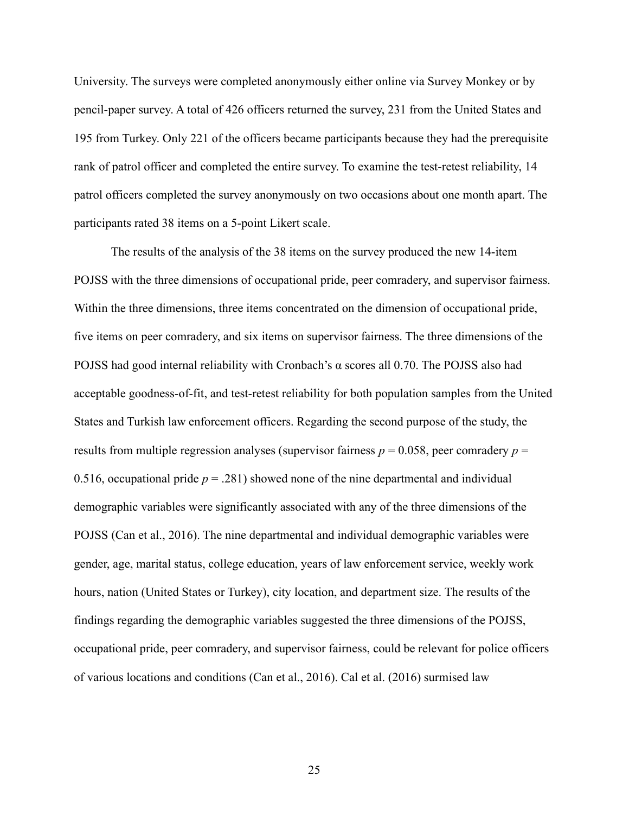University. The surveys were completed anonymously either online via Survey Monkey or by pencil-paper survey. A total of 426 officers returned the survey, 231 from the United States and 195 from Turkey. Only 221 of the officers became participants because they had the prerequisite rank of patrol officer and completed the entire survey. To examine the test-retest reliability, 14 patrol officers completed the survey anonymously on two occasions about one month apart. The participants rated 38 items on a 5-point Likert scale.

The results of the analysis of the 38 items on the survey produced the new 14-item POJSS with the three dimensions of occupational pride, peer comradery, and supervisor fairness. Within the three dimensions, three items concentrated on the dimension of occupational pride, five items on peer comradery, and six items on supervisor fairness. The three dimensions of the POJSS had good internal reliability with Cronbach's α scores all 0.70. The POJSS also had acceptable goodness-of-fit, and test-retest reliability for both population samples from the United States and Turkish law enforcement officers. Regarding the second purpose of the study, the results from multiple regression analyses (supervisor fairness  $p = 0.058$ , peer comradery  $p =$ 0.516, occupational pride  $p = 0.281$ ) showed none of the nine departmental and individual demographic variables were significantly associated with any of the three dimensions of the POJSS (Can et al., 2016). The nine departmental and individual demographic variables were gender, age, marital status, college education, years of law enforcement service, weekly work hours, nation (United States or Turkey), city location, and department size. The results of the findings regarding the demographic variables suggested the three dimensions of the POJSS, occupational pride, peer comradery, and supervisor fairness, could be relevant for police officers of various locations and conditions (Can et al., 2016). Cal et al. (2016) surmised law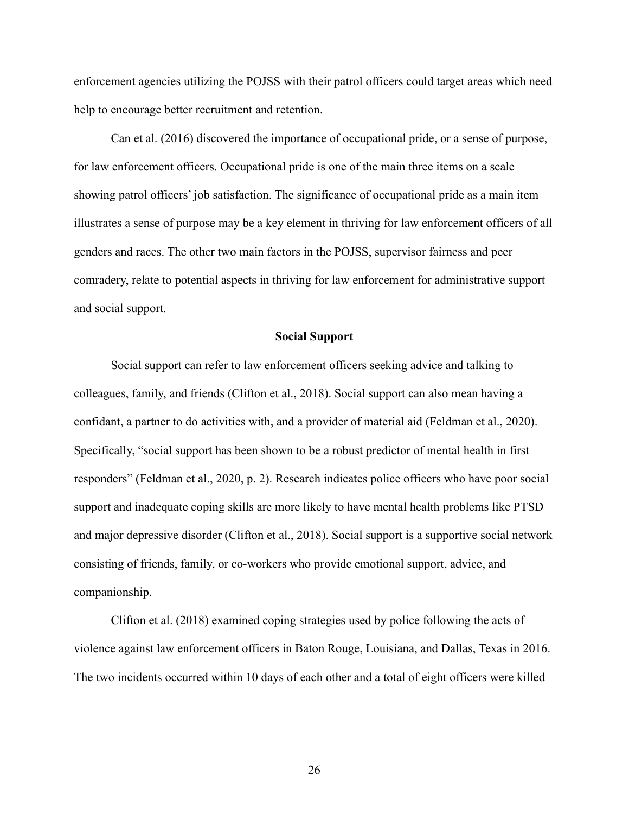enforcement agencies utilizing the POJSS with their patrol officers could target areas which need help to encourage better recruitment and retention.

Can et al. (2016) discovered the importance of occupational pride, or a sense of purpose, for law enforcement officers. Occupational pride is one of the main three items on a scale showing patrol officers' job satisfaction. The significance of occupational pride as a main item illustrates a sense of purpose may be a key element in thriving for law enforcement officers of all genders and races. The other two main factors in the POJSS, supervisor fairness and peer comradery, relate to potential aspects in thriving for law enforcement for administrative support and social support.

#### Social Support

Social support can refer to law enforcement officers seeking advice and talking to colleagues, family, and friends (Clifton et al., 2018). Social support can also mean having a confidant, a partner to do activities with, and a provider of material aid (Feldman et al., 2020). Specifically, "social support has been shown to be a robust predictor of mental health in first responders" (Feldman et al., 2020, p. 2). Research indicates police officers who have poor social support and inadequate coping skills are more likely to have mental health problems like PTSD and major depressive disorder (Clifton et al., 2018). Social support is a supportive social network consisting of friends, family, or co-workers who provide emotional support, advice, and companionship.

Clifton et al. (2018) examined coping strategies used by police following the acts of violence against law enforcement officers in Baton Rouge, Louisiana, and Dallas, Texas in 2016. The two incidents occurred within 10 days of each other and a total of eight officers were killed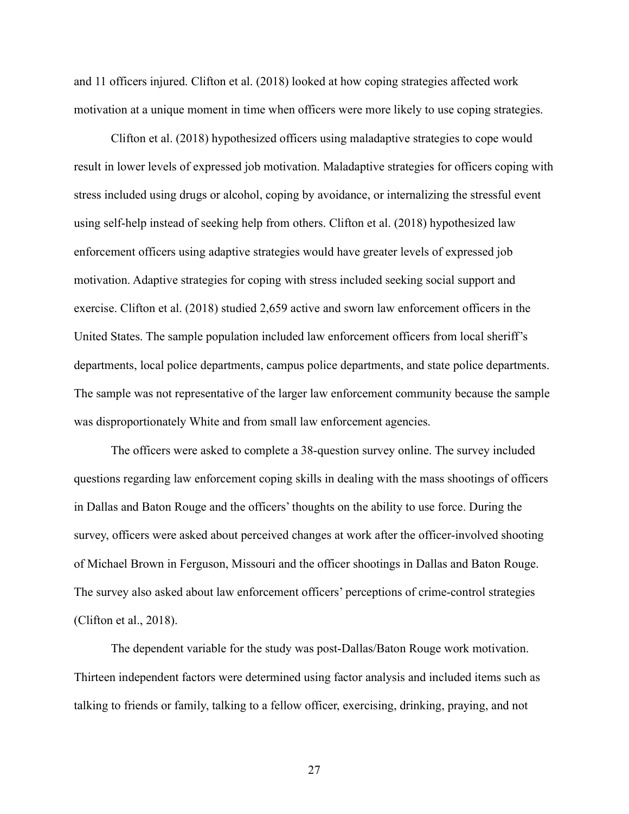and 11 officers injured. Clifton et al. (2018) looked at how coping strategies affected work motivation at a unique moment in time when officers were more likely to use coping strategies.

Clifton et al. (2018) hypothesized officers using maladaptive strategies to cope would result in lower levels of expressed job motivation. Maladaptive strategies for officers coping with stress included using drugs or alcohol, coping by avoidance, or internalizing the stressful event using self-help instead of seeking help from others. Clifton et al. (2018) hypothesized law enforcement officers using adaptive strategies would have greater levels of expressed job motivation. Adaptive strategies for coping with stress included seeking social support and exercise. Clifton et al. (2018) studied 2,659 active and sworn law enforcement officers in the United States. The sample population included law enforcement officers from local sheriff's departments, local police departments, campus police departments, and state police departments. The sample was not representative of the larger law enforcement community because the sample was disproportionately White and from small law enforcement agencies.

The officers were asked to complete a 38-question survey online. The survey included questions regarding law enforcement coping skills in dealing with the mass shootings of officers in Dallas and Baton Rouge and the officers' thoughts on the ability to use force. During the survey, officers were asked about perceived changes at work after the officer-involved shooting of Michael Brown in Ferguson, Missouri and the officer shootings in Dallas and Baton Rouge. The survey also asked about law enforcement officers' perceptions of crime-control strategies (Clifton et al., 2018).

The dependent variable for the study was post-Dallas/Baton Rouge work motivation. Thirteen independent factors were determined using factor analysis and included items such as talking to friends or family, talking to a fellow officer, exercising, drinking, praying, and not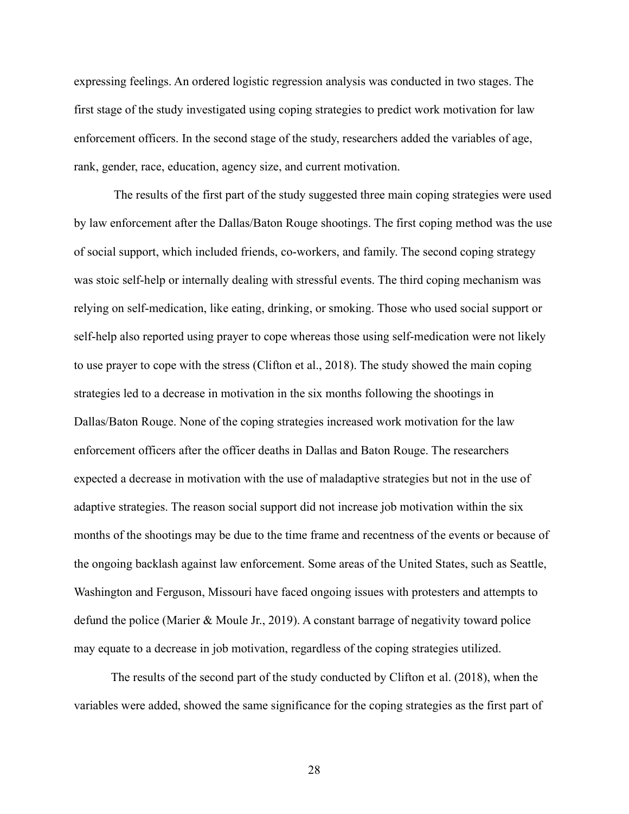expressing feelings. An ordered logistic regression analysis was conducted in two stages. The first stage of the study investigated using coping strategies to predict work motivation for law enforcement officers. In the second stage of the study, researchers added the variables of age, rank, gender, race, education, agency size, and current motivation.

 The results of the first part of the study suggested three main coping strategies were used by law enforcement after the Dallas/Baton Rouge shootings. The first coping method was the use of social support, which included friends, co-workers, and family. The second coping strategy was stoic self-help or internally dealing with stressful events. The third coping mechanism was relying on self-medication, like eating, drinking, or smoking. Those who used social support or self-help also reported using prayer to cope whereas those using self-medication were not likely to use prayer to cope with the stress (Clifton et al., 2018). The study showed the main coping strategies led to a decrease in motivation in the six months following the shootings in Dallas/Baton Rouge. None of the coping strategies increased work motivation for the law enforcement officers after the officer deaths in Dallas and Baton Rouge. The researchers expected a decrease in motivation with the use of maladaptive strategies but not in the use of adaptive strategies. The reason social support did not increase job motivation within the six months of the shootings may be due to the time frame and recentness of the events or because of the ongoing backlash against law enforcement. Some areas of the United States, such as Seattle, Washington and Ferguson, Missouri have faced ongoing issues with protesters and attempts to defund the police (Marier & Moule Jr., 2019). A constant barrage of negativity toward police may equate to a decrease in job motivation, regardless of the coping strategies utilized.

The results of the second part of the study conducted by Clifton et al. (2018), when the variables were added, showed the same significance for the coping strategies as the first part of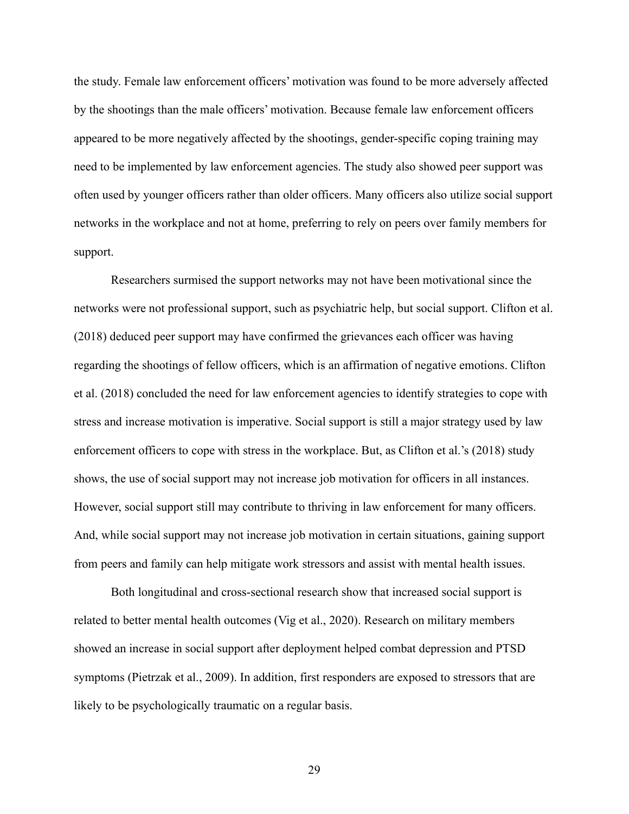the study. Female law enforcement officers' motivation was found to be more adversely affected by the shootings than the male officers' motivation. Because female law enforcement officers appeared to be more negatively affected by the shootings, gender-specific coping training may need to be implemented by law enforcement agencies. The study also showed peer support was often used by younger officers rather than older officers. Many officers also utilize social support networks in the workplace and not at home, preferring to rely on peers over family members for support.

Researchers surmised the support networks may not have been motivational since the networks were not professional support, such as psychiatric help, but social support. Clifton et al. (2018) deduced peer support may have confirmed the grievances each officer was having regarding the shootings of fellow officers, which is an affirmation of negative emotions. Clifton et al. (2018) concluded the need for law enforcement agencies to identify strategies to cope with stress and increase motivation is imperative. Social support is still a major strategy used by law enforcement officers to cope with stress in the workplace. But, as Clifton et al.'s (2018) study shows, the use of social support may not increase job motivation for officers in all instances. However, social support still may contribute to thriving in law enforcement for many officers. And, while social support may not increase job motivation in certain situations, gaining support from peers and family can help mitigate work stressors and assist with mental health issues.

Both longitudinal and cross-sectional research show that increased social support is related to better mental health outcomes (Vig et al., 2020). Research on military members showed an increase in social support after deployment helped combat depression and PTSD symptoms (Pietrzak et al., 2009). In addition, first responders are exposed to stressors that are likely to be psychologically traumatic on a regular basis.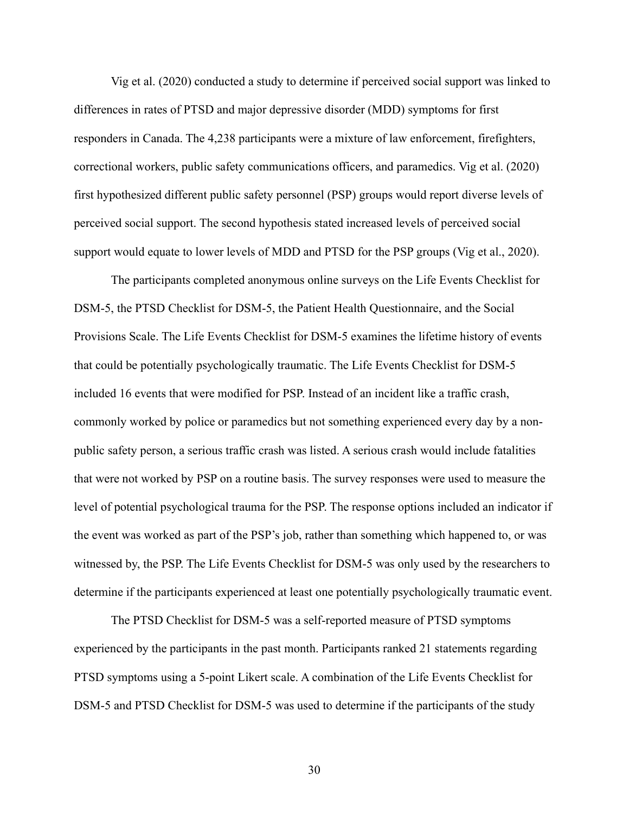Vig et al. (2020) conducted a study to determine if perceived social support was linked to differences in rates of PTSD and major depressive disorder (MDD) symptoms for first responders in Canada. The 4,238 participants were a mixture of law enforcement, firefighters, correctional workers, public safety communications officers, and paramedics. Vig et al. (2020) first hypothesized different public safety personnel (PSP) groups would report diverse levels of perceived social support. The second hypothesis stated increased levels of perceived social support would equate to lower levels of MDD and PTSD for the PSP groups (Vig et al., 2020).

The participants completed anonymous online surveys on the Life Events Checklist for DSM-5, the PTSD Checklist for DSM-5, the Patient Health Questionnaire, and the Social Provisions Scale. The Life Events Checklist for DSM-5 examines the lifetime history of events that could be potentially psychologically traumatic. The Life Events Checklist for DSM-5 included 16 events that were modified for PSP. Instead of an incident like a traffic crash, commonly worked by police or paramedics but not something experienced every day by a nonpublic safety person, a serious traffic crash was listed. A serious crash would include fatalities that were not worked by PSP on a routine basis. The survey responses were used to measure the level of potential psychological trauma for the PSP. The response options included an indicator if the event was worked as part of the PSP's job, rather than something which happened to, or was witnessed by, the PSP. The Life Events Checklist for DSM-5 was only used by the researchers to determine if the participants experienced at least one potentially psychologically traumatic event.

The PTSD Checklist for DSM-5 was a self-reported measure of PTSD symptoms experienced by the participants in the past month. Participants ranked 21 statements regarding PTSD symptoms using a 5-point Likert scale. A combination of the Life Events Checklist for DSM-5 and PTSD Checklist for DSM-5 was used to determine if the participants of the study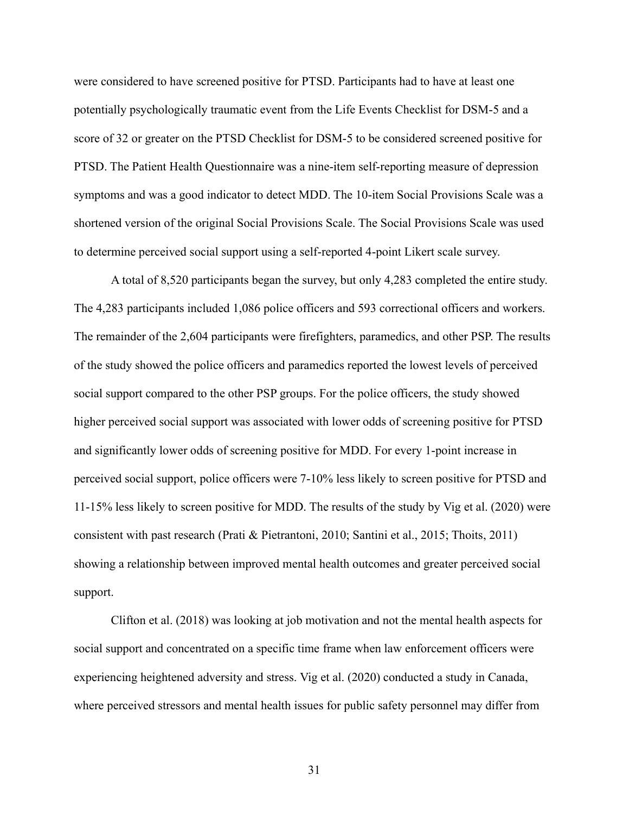were considered to have screened positive for PTSD. Participants had to have at least one potentially psychologically traumatic event from the Life Events Checklist for DSM-5 and a score of 32 or greater on the PTSD Checklist for DSM-5 to be considered screened positive for PTSD. The Patient Health Questionnaire was a nine-item self-reporting measure of depression symptoms and was a good indicator to detect MDD. The 10-item Social Provisions Scale was a shortened version of the original Social Provisions Scale. The Social Provisions Scale was used to determine perceived social support using a self-reported 4-point Likert scale survey.

A total of 8,520 participants began the survey, but only 4,283 completed the entire study. The 4,283 participants included 1,086 police officers and 593 correctional officers and workers. The remainder of the 2,604 participants were firefighters, paramedics, and other PSP. The results of the study showed the police officers and paramedics reported the lowest levels of perceived social support compared to the other PSP groups. For the police officers, the study showed higher perceived social support was associated with lower odds of screening positive for PTSD and significantly lower odds of screening positive for MDD. For every 1-point increase in perceived social support, police officers were 7-10% less likely to screen positive for PTSD and 11-15% less likely to screen positive for MDD. The results of the study by Vig et al. (2020) were consistent with past research (Prati & Pietrantoni, 2010; Santini et al., 2015; Thoits, 2011) showing a relationship between improved mental health outcomes and greater perceived social support.

Clifton et al. (2018) was looking at job motivation and not the mental health aspects for social support and concentrated on a specific time frame when law enforcement officers were experiencing heightened adversity and stress. Vig et al. (2020) conducted a study in Canada, where perceived stressors and mental health issues for public safety personnel may differ from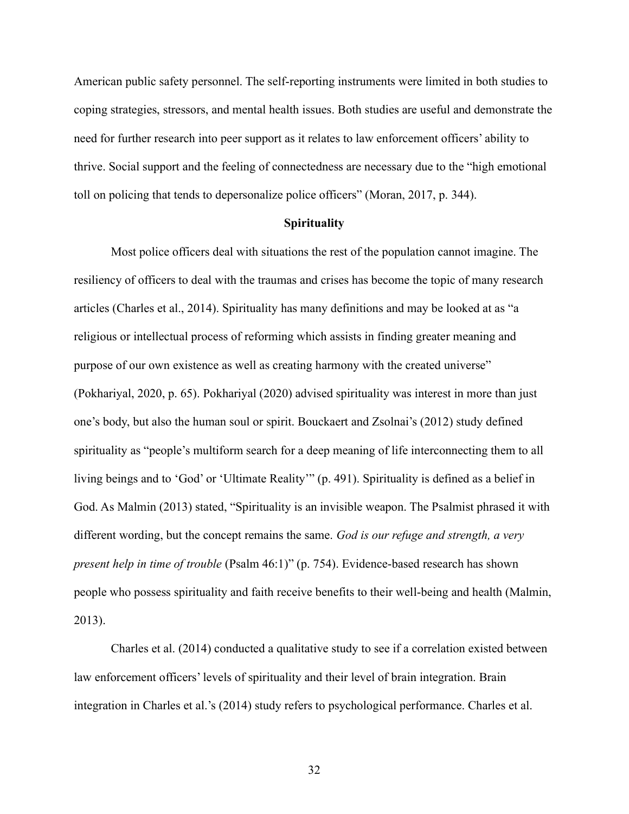American public safety personnel. The self-reporting instruments were limited in both studies to coping strategies, stressors, and mental health issues. Both studies are useful and demonstrate the need for further research into peer support as it relates to law enforcement officers' ability to thrive. Social support and the feeling of connectedness are necessary due to the "high emotional toll on policing that tends to depersonalize police officers" (Moran, 2017, p. 344).

### **Spirituality**

Most police officers deal with situations the rest of the population cannot imagine. The resiliency of officers to deal with the traumas and crises has become the topic of many research articles (Charles et al., 2014). Spirituality has many definitions and may be looked at as "a religious or intellectual process of reforming which assists in finding greater meaning and purpose of our own existence as well as creating harmony with the created universe" (Pokhariyal, 2020, p. 65). Pokhariyal (2020) advised spirituality was interest in more than just one's body, but also the human soul or spirit. Bouckaert and Zsolnai's (2012) study defined spirituality as "people's multiform search for a deep meaning of life interconnecting them to all living beings and to 'God' or 'Ultimate Reality'" (p. 491). Spirituality is defined as a belief in God. As Malmin (2013) stated, "Spirituality is an invisible weapon. The Psalmist phrased it with different wording, but the concept remains the same. God is our refuge and strength, a very present help in time of trouble (Psalm 46:1)" (p. 754). Evidence-based research has shown people who possess spirituality and faith receive benefits to their well-being and health (Malmin, 2013).

Charles et al. (2014) conducted a qualitative study to see if a correlation existed between law enforcement officers' levels of spirituality and their level of brain integration. Brain integration in Charles et al.'s (2014) study refers to psychological performance. Charles et al.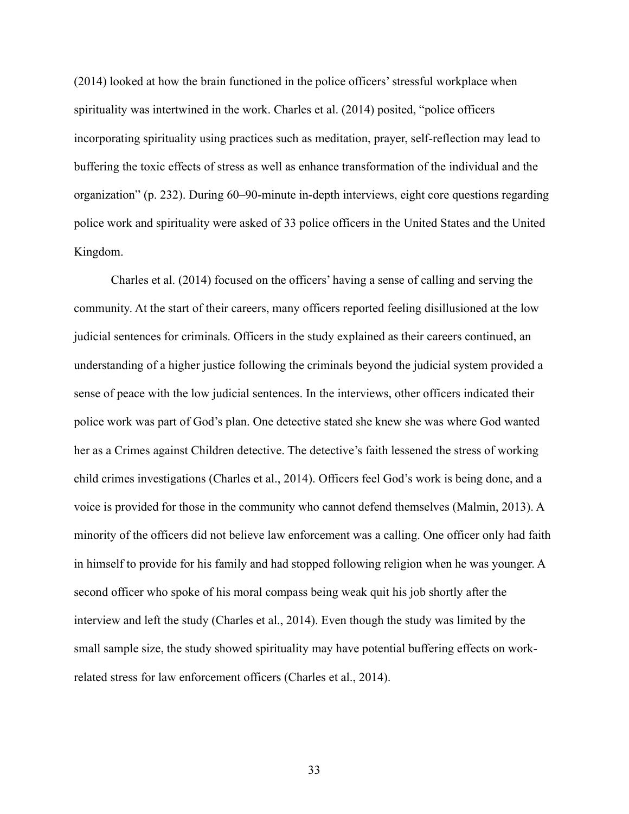(2014) looked at how the brain functioned in the police officers' stressful workplace when spirituality was intertwined in the work. Charles et al. (2014) posited, "police officers incorporating spirituality using practices such as meditation, prayer, self-reflection may lead to buffering the toxic effects of stress as well as enhance transformation of the individual and the organization" (p. 232). During 60–90-minute in-depth interviews, eight core questions regarding police work and spirituality were asked of 33 police officers in the United States and the United Kingdom.

Charles et al. (2014) focused on the officers' having a sense of calling and serving the community. At the start of their careers, many officers reported feeling disillusioned at the low judicial sentences for criminals. Officers in the study explained as their careers continued, an understanding of a higher justice following the criminals beyond the judicial system provided a sense of peace with the low judicial sentences. In the interviews, other officers indicated their police work was part of God's plan. One detective stated she knew she was where God wanted her as a Crimes against Children detective. The detective's faith lessened the stress of working child crimes investigations (Charles et al., 2014). Officers feel God's work is being done, and a voice is provided for those in the community who cannot defend themselves (Malmin, 2013). A minority of the officers did not believe law enforcement was a calling. One officer only had faith in himself to provide for his family and had stopped following religion when he was younger. A second officer who spoke of his moral compass being weak quit his job shortly after the interview and left the study (Charles et al., 2014). Even though the study was limited by the small sample size, the study showed spirituality may have potential buffering effects on workrelated stress for law enforcement officers (Charles et al., 2014).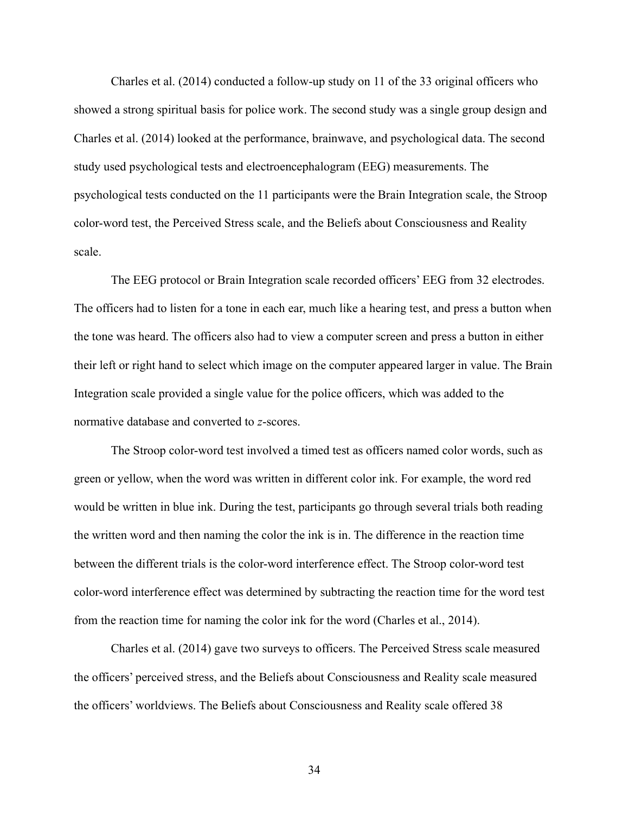Charles et al. (2014) conducted a follow-up study on 11 of the 33 original officers who showed a strong spiritual basis for police work. The second study was a single group design and Charles et al. (2014) looked at the performance, brainwave, and psychological data. The second study used psychological tests and electroencephalogram (EEG) measurements. The psychological tests conducted on the 11 participants were the Brain Integration scale, the Stroop color-word test, the Perceived Stress scale, and the Beliefs about Consciousness and Reality scale.

The EEG protocol or Brain Integration scale recorded officers' EEG from 32 electrodes. The officers had to listen for a tone in each ear, much like a hearing test, and press a button when the tone was heard. The officers also had to view a computer screen and press a button in either their left or right hand to select which image on the computer appeared larger in value. The Brain Integration scale provided a single value for the police officers, which was added to the normative database and converted to z-scores.

The Stroop color-word test involved a timed test as officers named color words, such as green or yellow, when the word was written in different color ink. For example, the word red would be written in blue ink. During the test, participants go through several trials both reading the written word and then naming the color the ink is in. The difference in the reaction time between the different trials is the color-word interference effect. The Stroop color-word test color-word interference effect was determined by subtracting the reaction time for the word test from the reaction time for naming the color ink for the word (Charles et al., 2014).

Charles et al. (2014) gave two surveys to officers. The Perceived Stress scale measured the officers' perceived stress, and the Beliefs about Consciousness and Reality scale measured the officers' worldviews. The Beliefs about Consciousness and Reality scale offered 38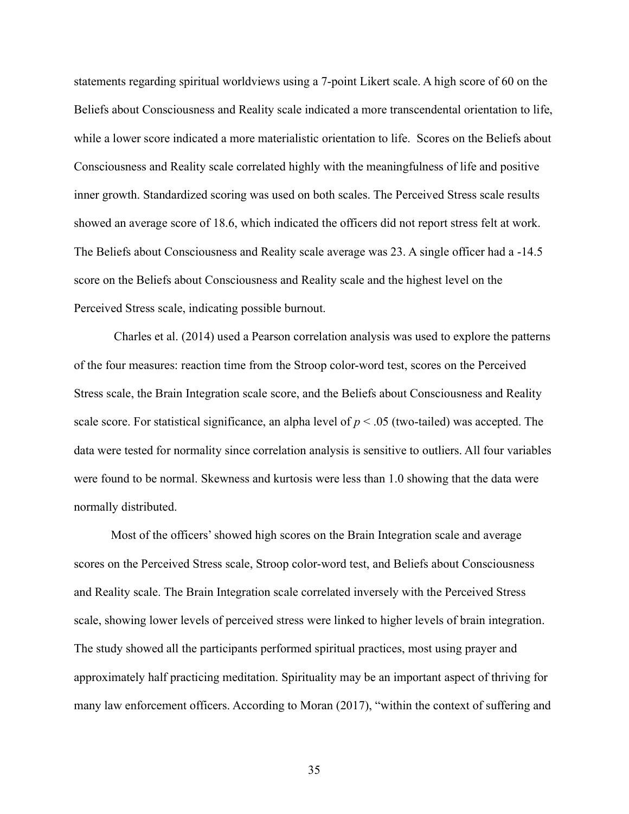statements regarding spiritual worldviews using a 7-point Likert scale. A high score of 60 on the Beliefs about Consciousness and Reality scale indicated a more transcendental orientation to life, while a lower score indicated a more materialistic orientation to life. Scores on the Beliefs about Consciousness and Reality scale correlated highly with the meaningfulness of life and positive inner growth. Standardized scoring was used on both scales. The Perceived Stress scale results showed an average score of 18.6, which indicated the officers did not report stress felt at work. The Beliefs about Consciousness and Reality scale average was 23. A single officer had a -14.5 score on the Beliefs about Consciousness and Reality scale and the highest level on the Perceived Stress scale, indicating possible burnout.

 Charles et al. (2014) used a Pearson correlation analysis was used to explore the patterns of the four measures: reaction time from the Stroop color-word test, scores on the Perceived Stress scale, the Brain Integration scale score, and the Beliefs about Consciousness and Reality scale score. For statistical significance, an alpha level of  $p < .05$  (two-tailed) was accepted. The data were tested for normality since correlation analysis is sensitive to outliers. All four variables were found to be normal. Skewness and kurtosis were less than 1.0 showing that the data were normally distributed.

Most of the officers' showed high scores on the Brain Integration scale and average scores on the Perceived Stress scale, Stroop color-word test, and Beliefs about Consciousness and Reality scale. The Brain Integration scale correlated inversely with the Perceived Stress scale, showing lower levels of perceived stress were linked to higher levels of brain integration. The study showed all the participants performed spiritual practices, most using prayer and approximately half practicing meditation. Spirituality may be an important aspect of thriving for many law enforcement officers. According to Moran (2017), "within the context of suffering and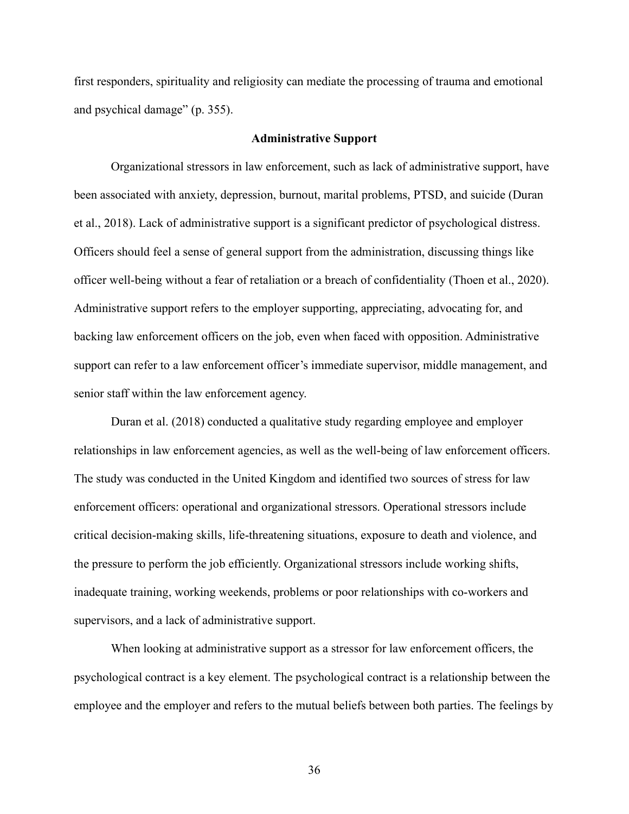first responders, spirituality and religiosity can mediate the processing of trauma and emotional and psychical damage" (p. 355).

### Administrative Support

Organizational stressors in law enforcement, such as lack of administrative support, have been associated with anxiety, depression, burnout, marital problems, PTSD, and suicide (Duran et al., 2018). Lack of administrative support is a significant predictor of psychological distress. Officers should feel a sense of general support from the administration, discussing things like officer well-being without a fear of retaliation or a breach of confidentiality (Thoen et al., 2020). Administrative support refers to the employer supporting, appreciating, advocating for, and backing law enforcement officers on the job, even when faced with opposition. Administrative support can refer to a law enforcement officer's immediate supervisor, middle management, and senior staff within the law enforcement agency.

Duran et al. (2018) conducted a qualitative study regarding employee and employer relationships in law enforcement agencies, as well as the well-being of law enforcement officers. The study was conducted in the United Kingdom and identified two sources of stress for law enforcement officers: operational and organizational stressors. Operational stressors include critical decision-making skills, life-threatening situations, exposure to death and violence, and the pressure to perform the job efficiently. Organizational stressors include working shifts, inadequate training, working weekends, problems or poor relationships with co-workers and supervisors, and a lack of administrative support.

When looking at administrative support as a stressor for law enforcement officers, the psychological contract is a key element. The psychological contract is a relationship between the employee and the employer and refers to the mutual beliefs between both parties. The feelings by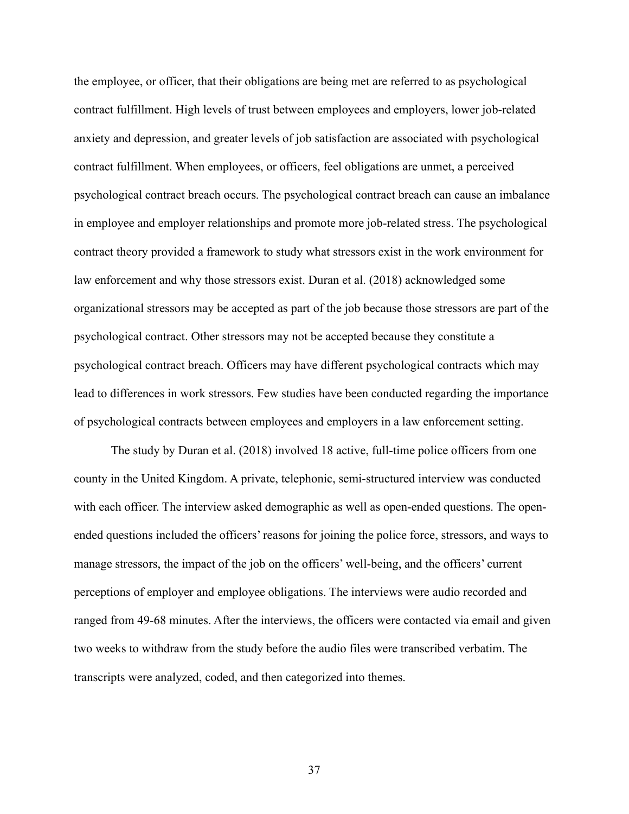the employee, or officer, that their obligations are being met are referred to as psychological contract fulfillment. High levels of trust between employees and employers, lower job-related anxiety and depression, and greater levels of job satisfaction are associated with psychological contract fulfillment. When employees, or officers, feel obligations are unmet, a perceived psychological contract breach occurs. The psychological contract breach can cause an imbalance in employee and employer relationships and promote more job-related stress. The psychological contract theory provided a framework to study what stressors exist in the work environment for law enforcement and why those stressors exist. Duran et al. (2018) acknowledged some organizational stressors may be accepted as part of the job because those stressors are part of the psychological contract. Other stressors may not be accepted because they constitute a psychological contract breach. Officers may have different psychological contracts which may lead to differences in work stressors. Few studies have been conducted regarding the importance of psychological contracts between employees and employers in a law enforcement setting.

The study by Duran et al. (2018) involved 18 active, full-time police officers from one county in the United Kingdom. A private, telephonic, semi-structured interview was conducted with each officer. The interview asked demographic as well as open-ended questions. The openended questions included the officers' reasons for joining the police force, stressors, and ways to manage stressors, the impact of the job on the officers' well-being, and the officers' current perceptions of employer and employee obligations. The interviews were audio recorded and ranged from 49-68 minutes. After the interviews, the officers were contacted via email and given two weeks to withdraw from the study before the audio files were transcribed verbatim. The transcripts were analyzed, coded, and then categorized into themes.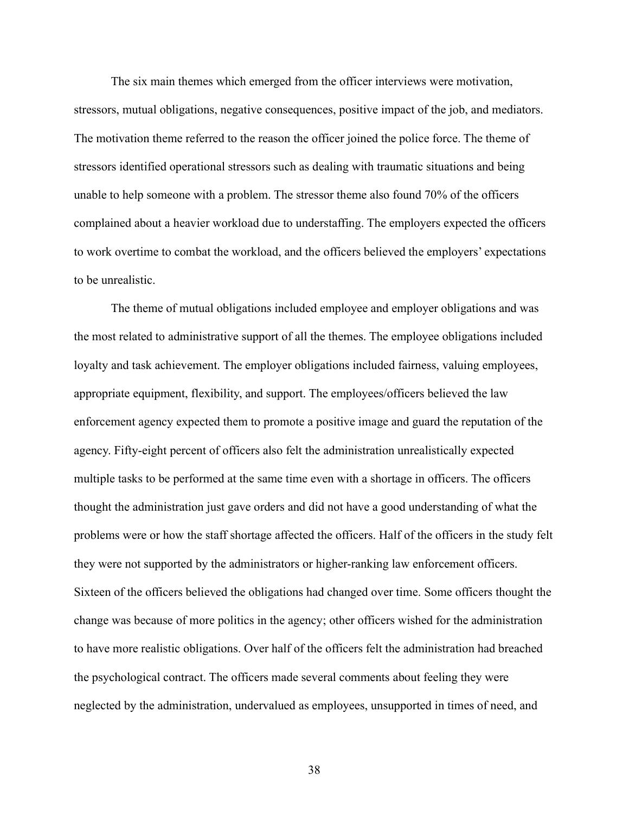The six main themes which emerged from the officer interviews were motivation, stressors, mutual obligations, negative consequences, positive impact of the job, and mediators. The motivation theme referred to the reason the officer joined the police force. The theme of stressors identified operational stressors such as dealing with traumatic situations and being unable to help someone with a problem. The stressor theme also found 70% of the officers complained about a heavier workload due to understaffing. The employers expected the officers to work overtime to combat the workload, and the officers believed the employers' expectations to be unrealistic.

The theme of mutual obligations included employee and employer obligations and was the most related to administrative support of all the themes. The employee obligations included loyalty and task achievement. The employer obligations included fairness, valuing employees, appropriate equipment, flexibility, and support. The employees/officers believed the law enforcement agency expected them to promote a positive image and guard the reputation of the agency. Fifty-eight percent of officers also felt the administration unrealistically expected multiple tasks to be performed at the same time even with a shortage in officers. The officers thought the administration just gave orders and did not have a good understanding of what the problems were or how the staff shortage affected the officers. Half of the officers in the study felt they were not supported by the administrators or higher-ranking law enforcement officers. Sixteen of the officers believed the obligations had changed over time. Some officers thought the change was because of more politics in the agency; other officers wished for the administration to have more realistic obligations. Over half of the officers felt the administration had breached the psychological contract. The officers made several comments about feeling they were neglected by the administration, undervalued as employees, unsupported in times of need, and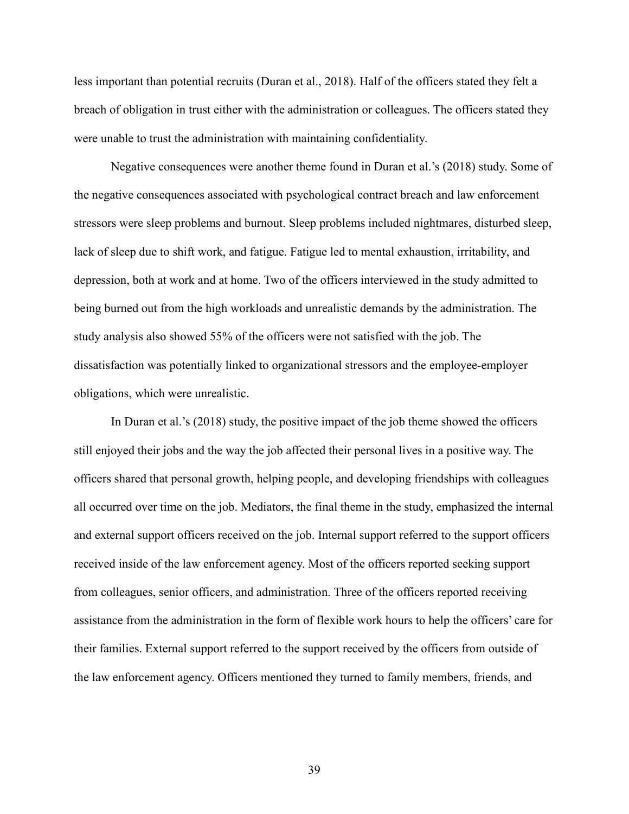less important than potential recruits (Duran et al., 2018). Half of the officers stated they felt a breach of obligation in trust either with the administration or colleagues. The officers stated they were unable to trust the administration with maintaining confidentiality.

Negative consequences were another theme found in Duran et al.'s (2018) study. Some of the negative consequences associated with psychological contract breach and law enforcement stressors were sleep problems and burnout. Sleep problems included nightmares, disturbed sleep, lack of sleep due to shift work, and fatigue. Fatigue led to mental exhaustion, irritability, and depression, both at work and at home. Two of the officers interviewed in the study admitted to being burned out from the high workloads and unrealistic demands by the administration. The study analysis also showed 55% of the officers were not satisfied with the job. The dissatisfaction was potentially linked to organizational stressors and the employee-employer obligations, which were unrealistic.

In Duran et al.'s (2018) study, the positive impact of the job theme showed the officers still enjoyed their jobs and the way the job affected their personal lives in a positive way. The officers shared that personal growth, helping people, and developing friendships with colleagues all occurred over time on the job. Mediators, the final theme in the study, emphasized the internal and external support officers received on the job. Internal support referred to the support officers received inside of the law enforcement agency. Most of the officers reported seeking support from colleagues, senior officers, and administration. Three of the officers reported receiving assistance from the administration in the form of flexible work hours to help the officers' care for their families. External support referred to the support received by the officers from outside of the law enforcement agency. Officers mentioned they turned to family members, friends, and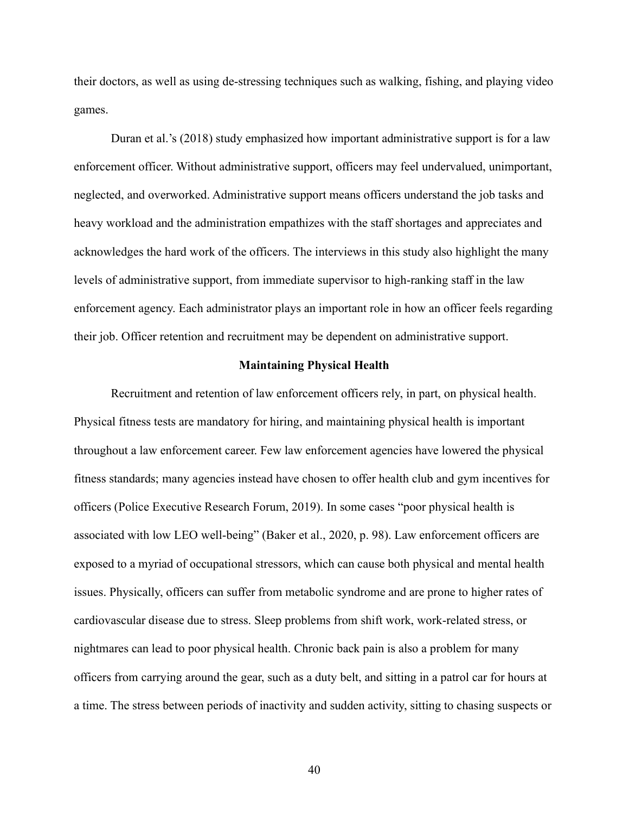their doctors, as well as using de-stressing techniques such as walking, fishing, and playing video games.

Duran et al.'s (2018) study emphasized how important administrative support is for a law enforcement officer. Without administrative support, officers may feel undervalued, unimportant, neglected, and overworked. Administrative support means officers understand the job tasks and heavy workload and the administration empathizes with the staff shortages and appreciates and acknowledges the hard work of the officers. The interviews in this study also highlight the many levels of administrative support, from immediate supervisor to high-ranking staff in the law enforcement agency. Each administrator plays an important role in how an officer feels regarding their job. Officer retention and recruitment may be dependent on administrative support.

#### Maintaining Physical Health

Recruitment and retention of law enforcement officers rely, in part, on physical health. Physical fitness tests are mandatory for hiring, and maintaining physical health is important throughout a law enforcement career. Few law enforcement agencies have lowered the physical fitness standards; many agencies instead have chosen to offer health club and gym incentives for officers (Police Executive Research Forum, 2019). In some cases "poor physical health is associated with low LEO well-being" (Baker et al., 2020, p. 98). Law enforcement officers are exposed to a myriad of occupational stressors, which can cause both physical and mental health issues. Physically, officers can suffer from metabolic syndrome and are prone to higher rates of cardiovascular disease due to stress. Sleep problems from shift work, work-related stress, or nightmares can lead to poor physical health. Chronic back pain is also a problem for many officers from carrying around the gear, such as a duty belt, and sitting in a patrol car for hours at a time. The stress between periods of inactivity and sudden activity, sitting to chasing suspects or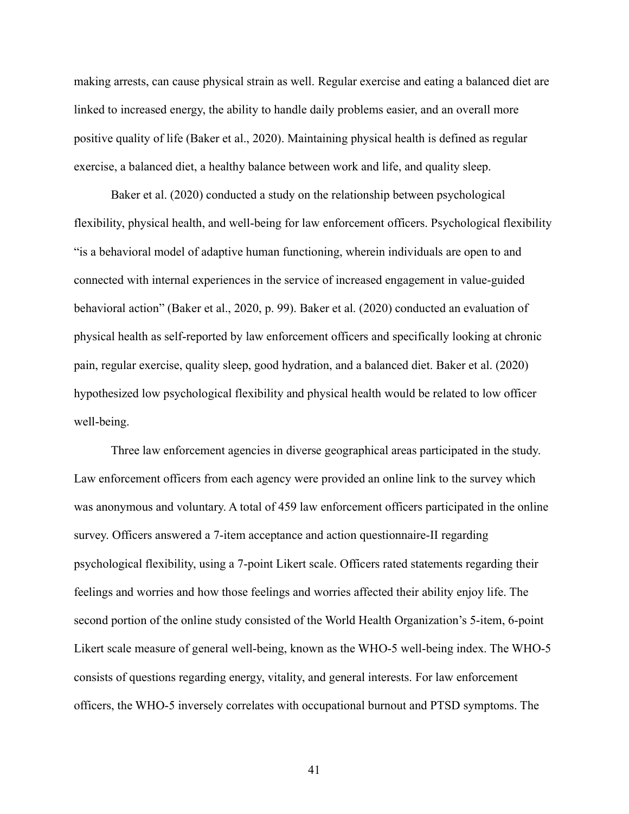making arrests, can cause physical strain as well. Regular exercise and eating a balanced diet are linked to increased energy, the ability to handle daily problems easier, and an overall more positive quality of life (Baker et al., 2020). Maintaining physical health is defined as regular exercise, a balanced diet, a healthy balance between work and life, and quality sleep.

Baker et al. (2020) conducted a study on the relationship between psychological flexibility, physical health, and well-being for law enforcement officers. Psychological flexibility "is a behavioral model of adaptive human functioning, wherein individuals are open to and connected with internal experiences in the service of increased engagement in value-guided behavioral action" (Baker et al., 2020, p. 99). Baker et al. (2020) conducted an evaluation of physical health as self-reported by law enforcement officers and specifically looking at chronic pain, regular exercise, quality sleep, good hydration, and a balanced diet. Baker et al. (2020) hypothesized low psychological flexibility and physical health would be related to low officer well-being.

Three law enforcement agencies in diverse geographical areas participated in the study. Law enforcement officers from each agency were provided an online link to the survey which was anonymous and voluntary. A total of 459 law enforcement officers participated in the online survey. Officers answered a 7-item acceptance and action questionnaire-II regarding psychological flexibility, using a 7-point Likert scale. Officers rated statements regarding their feelings and worries and how those feelings and worries affected their ability enjoy life. The second portion of the online study consisted of the World Health Organization's 5-item, 6-point Likert scale measure of general well-being, known as the WHO-5 well-being index. The WHO-5 consists of questions regarding energy, vitality, and general interests. For law enforcement officers, the WHO-5 inversely correlates with occupational burnout and PTSD symptoms. The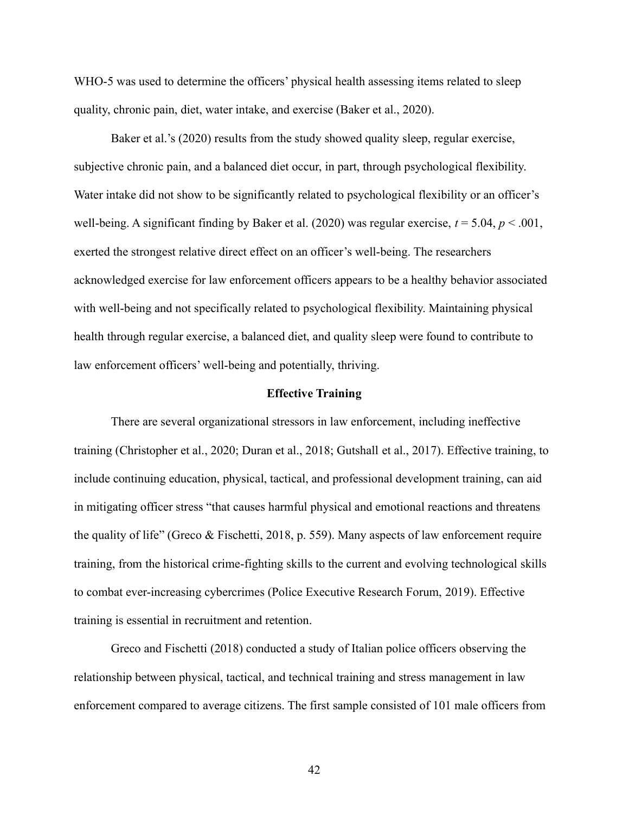WHO-5 was used to determine the officers' physical health assessing items related to sleep quality, chronic pain, diet, water intake, and exercise (Baker et al., 2020).

Baker et al.'s (2020) results from the study showed quality sleep, regular exercise, subjective chronic pain, and a balanced diet occur, in part, through psychological flexibility. Water intake did not show to be significantly related to psychological flexibility or an officer's well-being. A significant finding by Baker et al. (2020) was regular exercise,  $t = 5.04$ ,  $p < .001$ , exerted the strongest relative direct effect on an officer's well-being. The researchers acknowledged exercise for law enforcement officers appears to be a healthy behavior associated with well-being and not specifically related to psychological flexibility. Maintaining physical health through regular exercise, a balanced diet, and quality sleep were found to contribute to law enforcement officers' well-being and potentially, thriving.

#### Effective Training

There are several organizational stressors in law enforcement, including ineffective training (Christopher et al., 2020; Duran et al., 2018; Gutshall et al., 2017). Effective training, to include continuing education, physical, tactical, and professional development training, can aid in mitigating officer stress "that causes harmful physical and emotional reactions and threatens the quality of life" (Greco & Fischetti, 2018, p. 559). Many aspects of law enforcement require training, from the historical crime-fighting skills to the current and evolving technological skills to combat ever-increasing cybercrimes (Police Executive Research Forum, 2019). Effective training is essential in recruitment and retention.

Greco and Fischetti (2018) conducted a study of Italian police officers observing the relationship between physical, tactical, and technical training and stress management in law enforcement compared to average citizens. The first sample consisted of 101 male officers from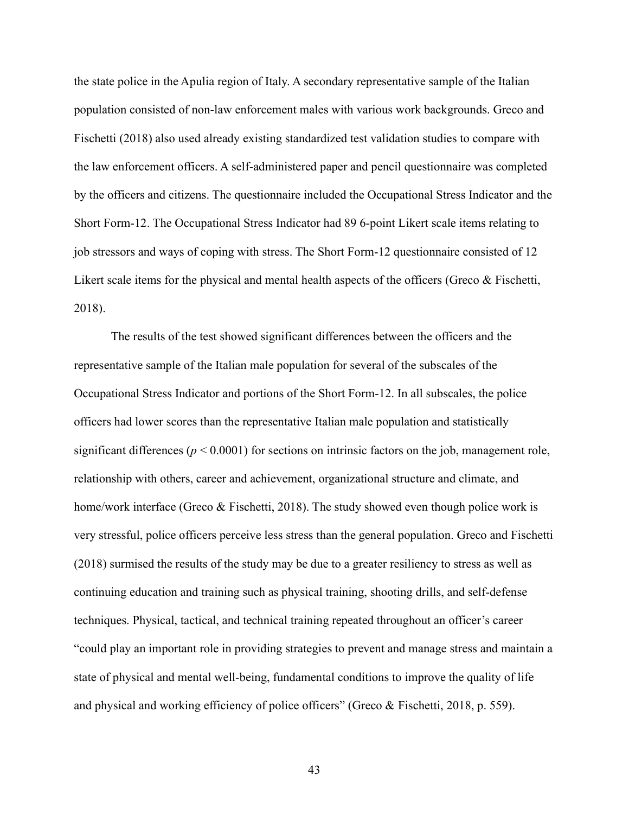the state police in the Apulia region of Italy. A secondary representative sample of the Italian population consisted of non-law enforcement males with various work backgrounds. Greco and Fischetti (2018) also used already existing standardized test validation studies to compare with the law enforcement officers. A self-administered paper and pencil questionnaire was completed by the officers and citizens. The questionnaire included the Occupational Stress Indicator and the Short Form-12. The Occupational Stress Indicator had 89 6-point Likert scale items relating to job stressors and ways of coping with stress. The Short Form-12 questionnaire consisted of 12 Likert scale items for the physical and mental health aspects of the officers (Greco & Fischetti, 2018).

The results of the test showed significant differences between the officers and the representative sample of the Italian male population for several of the subscales of the Occupational Stress Indicator and portions of the Short Form-12. In all subscales, the police officers had lower scores than the representative Italian male population and statistically significant differences ( $p < 0.0001$ ) for sections on intrinsic factors on the job, management role, relationship with others, career and achievement, organizational structure and climate, and home/work interface (Greco & Fischetti, 2018). The study showed even though police work is very stressful, police officers perceive less stress than the general population. Greco and Fischetti (2018) surmised the results of the study may be due to a greater resiliency to stress as well as continuing education and training such as physical training, shooting drills, and self-defense techniques. Physical, tactical, and technical training repeated throughout an officer's career "could play an important role in providing strategies to prevent and manage stress and maintain a state of physical and mental well-being, fundamental conditions to improve the quality of life and physical and working efficiency of police officers" (Greco & Fischetti, 2018, p. 559).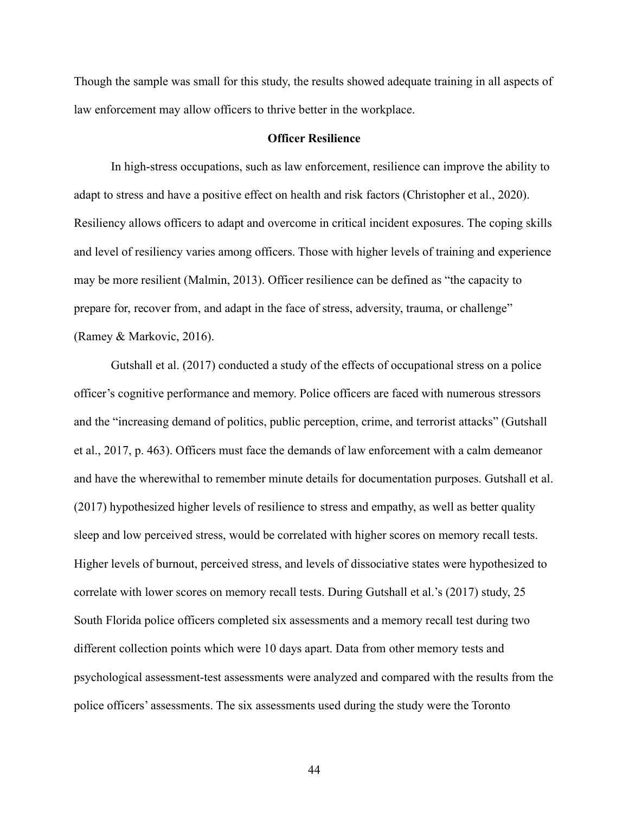Though the sample was small for this study, the results showed adequate training in all aspects of law enforcement may allow officers to thrive better in the workplace.

#### Officer Resilience

In high-stress occupations, such as law enforcement, resilience can improve the ability to adapt to stress and have a positive effect on health and risk factors (Christopher et al., 2020). Resiliency allows officers to adapt and overcome in critical incident exposures. The coping skills and level of resiliency varies among officers. Those with higher levels of training and experience may be more resilient (Malmin, 2013). Officer resilience can be defined as "the capacity to prepare for, recover from, and adapt in the face of stress, adversity, trauma, or challenge" (Ramey & Markovic, 2016).

Gutshall et al. (2017) conducted a study of the effects of occupational stress on a police officer's cognitive performance and memory. Police officers are faced with numerous stressors and the "increasing demand of politics, public perception, crime, and terrorist attacks" (Gutshall et al., 2017, p. 463). Officers must face the demands of law enforcement with a calm demeanor and have the wherewithal to remember minute details for documentation purposes. Gutshall et al. (2017) hypothesized higher levels of resilience to stress and empathy, as well as better quality sleep and low perceived stress, would be correlated with higher scores on memory recall tests. Higher levels of burnout, perceived stress, and levels of dissociative states were hypothesized to correlate with lower scores on memory recall tests. During Gutshall et al.'s (2017) study, 25 South Florida police officers completed six assessments and a memory recall test during two different collection points which were 10 days apart. Data from other memory tests and psychological assessment-test assessments were analyzed and compared with the results from the police officers' assessments. The six assessments used during the study were the Toronto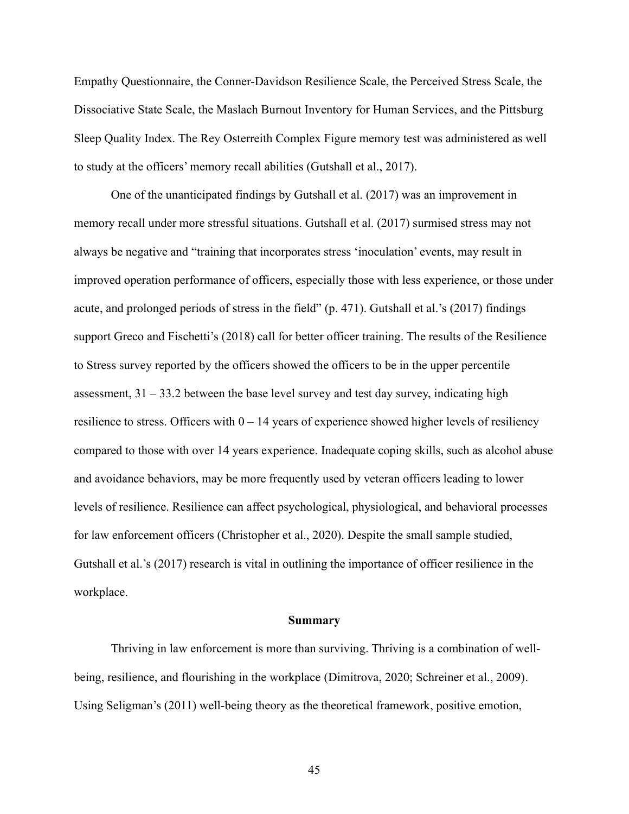Empathy Questionnaire, the Conner-Davidson Resilience Scale, the Perceived Stress Scale, the Dissociative State Scale, the Maslach Burnout Inventory for Human Services, and the Pittsburg Sleep Quality Index. The Rey Osterreith Complex Figure memory test was administered as well to study at the officers' memory recall abilities (Gutshall et al., 2017).

One of the unanticipated findings by Gutshall et al. (2017) was an improvement in memory recall under more stressful situations. Gutshall et al. (2017) surmised stress may not always be negative and "training that incorporates stress 'inoculation' events, may result in improved operation performance of officers, especially those with less experience, or those under acute, and prolonged periods of stress in the field" (p. 471). Gutshall et al.'s (2017) findings support Greco and Fischetti's (2018) call for better officer training. The results of the Resilience to Stress survey reported by the officers showed the officers to be in the upper percentile assessment,  $31 - 33.2$  between the base level survey and test day survey, indicating high resilience to stress. Officers with  $0 - 14$  years of experience showed higher levels of resiliency compared to those with over 14 years experience. Inadequate coping skills, such as alcohol abuse and avoidance behaviors, may be more frequently used by veteran officers leading to lower levels of resilience. Resilience can affect psychological, physiological, and behavioral processes for law enforcement officers (Christopher et al., 2020). Despite the small sample studied, Gutshall et al.'s (2017) research is vital in outlining the importance of officer resilience in the workplace.

#### Summary

Thriving in law enforcement is more than surviving. Thriving is a combination of wellbeing, resilience, and flourishing in the workplace (Dimitrova, 2020; Schreiner et al., 2009). Using Seligman's (2011) well-being theory as the theoretical framework, positive emotion,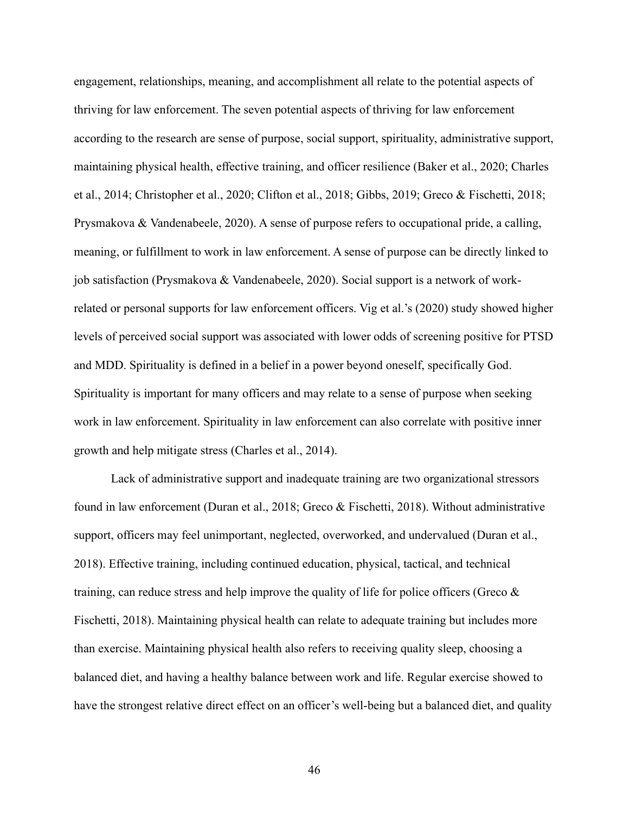engagement, relationships, meaning, and accomplishment all relate to the potential aspects of thriving for law enforcement. The seven potential aspects of thriving for law enforcement according to the research are sense of purpose, social support, spirituality, administrative support, maintaining physical health, effective training, and officer resilience (Baker et al., 2020; Charles et al., 2014; Christopher et al., 2020; Clifton et al., 2018; Gibbs, 2019; Greco & Fischetti, 2018; Prysmakova & Vandenabeele, 2020). A sense of purpose refers to occupational pride, a calling, meaning, or fulfillment to work in law enforcement. A sense of purpose can be directly linked to job satisfaction (Prysmakova & Vandenabeele, 2020). Social support is a network of workrelated or personal supports for law enforcement officers. Vig et al.'s (2020) study showed higher levels of perceived social support was associated with lower odds of screening positive for PTSD and MDD. Spirituality is defined in a belief in a power beyond oneself, specifically God. Spirituality is important for many officers and may relate to a sense of purpose when seeking work in law enforcement. Spirituality in law enforcement can also correlate with positive inner growth and help mitigate stress (Charles et al., 2014).

Lack of administrative support and inadequate training are two organizational stressors found in law enforcement (Duran et al., 2018; Greco & Fischetti, 2018). Without administrative support, officers may feel unimportant, neglected, overworked, and undervalued (Duran et al., 2018). Effective training, including continued education, physical, tactical, and technical training, can reduce stress and help improve the quality of life for police officers (Greco & Fischetti, 2018). Maintaining physical health can relate to adequate training but includes more than exercise. Maintaining physical health also refers to receiving quality sleep, choosing a balanced diet, and having a healthy balance between work and life. Regular exercise showed to have the strongest relative direct effect on an officer's well-being but a balanced diet, and quality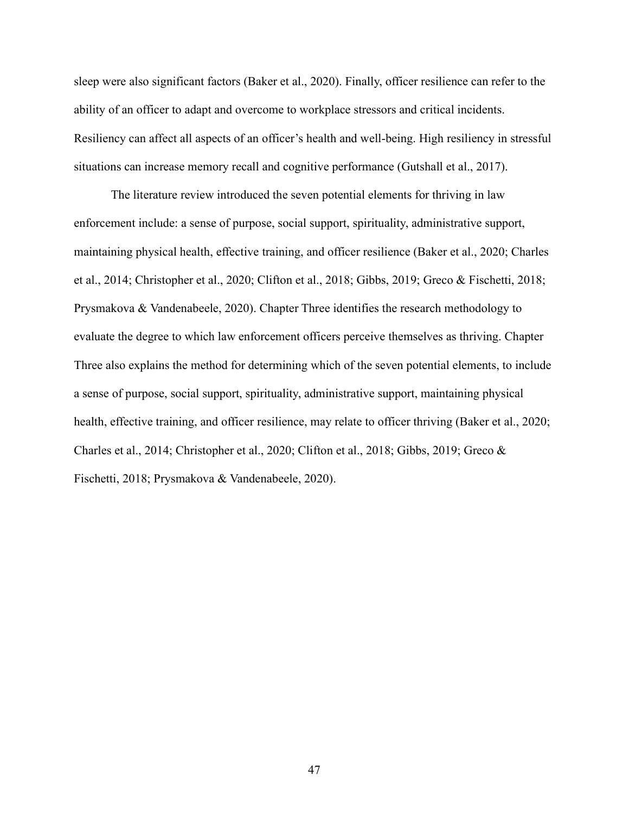sleep were also significant factors (Baker et al., 2020). Finally, officer resilience can refer to the ability of an officer to adapt and overcome to workplace stressors and critical incidents. Resiliency can affect all aspects of an officer's health and well-being. High resiliency in stressful situations can increase memory recall and cognitive performance (Gutshall et al., 2017).

 The literature review introduced the seven potential elements for thriving in law enforcement include: a sense of purpose, social support, spirituality, administrative support, maintaining physical health, effective training, and officer resilience (Baker et al., 2020; Charles et al., 2014; Christopher et al., 2020; Clifton et al., 2018; Gibbs, 2019; Greco & Fischetti, 2018; Prysmakova & Vandenabeele, 2020). Chapter Three identifies the research methodology to evaluate the degree to which law enforcement officers perceive themselves as thriving. Chapter Three also explains the method for determining which of the seven potential elements, to include a sense of purpose, social support, spirituality, administrative support, maintaining physical health, effective training, and officer resilience, may relate to officer thriving (Baker et al., 2020; Charles et al., 2014; Christopher et al., 2020; Clifton et al., 2018; Gibbs, 2019; Greco & Fischetti, 2018; Prysmakova & Vandenabeele, 2020).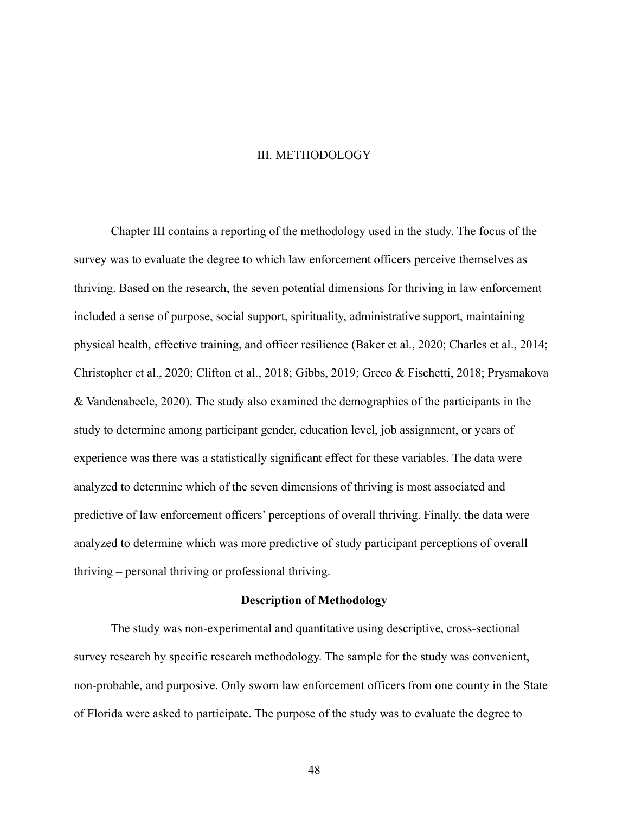### III. METHODOLOGY

Chapter III contains a reporting of the methodology used in the study. The focus of the survey was to evaluate the degree to which law enforcement officers perceive themselves as thriving. Based on the research, the seven potential dimensions for thriving in law enforcement included a sense of purpose, social support, spirituality, administrative support, maintaining physical health, effective training, and officer resilience (Baker et al., 2020; Charles et al., 2014; Christopher et al., 2020; Clifton et al., 2018; Gibbs, 2019; Greco & Fischetti, 2018; Prysmakova & Vandenabeele, 2020). The study also examined the demographics of the participants in the study to determine among participant gender, education level, job assignment, or years of experience was there was a statistically significant effect for these variables. The data were analyzed to determine which of the seven dimensions of thriving is most associated and predictive of law enforcement officers' perceptions of overall thriving. Finally, the data were analyzed to determine which was more predictive of study participant perceptions of overall thriving – personal thriving or professional thriving.

#### Description of Methodology

The study was non-experimental and quantitative using descriptive, cross-sectional survey research by specific research methodology. The sample for the study was convenient, non-probable, and purposive. Only sworn law enforcement officers from one county in the State of Florida were asked to participate. The purpose of the study was to evaluate the degree to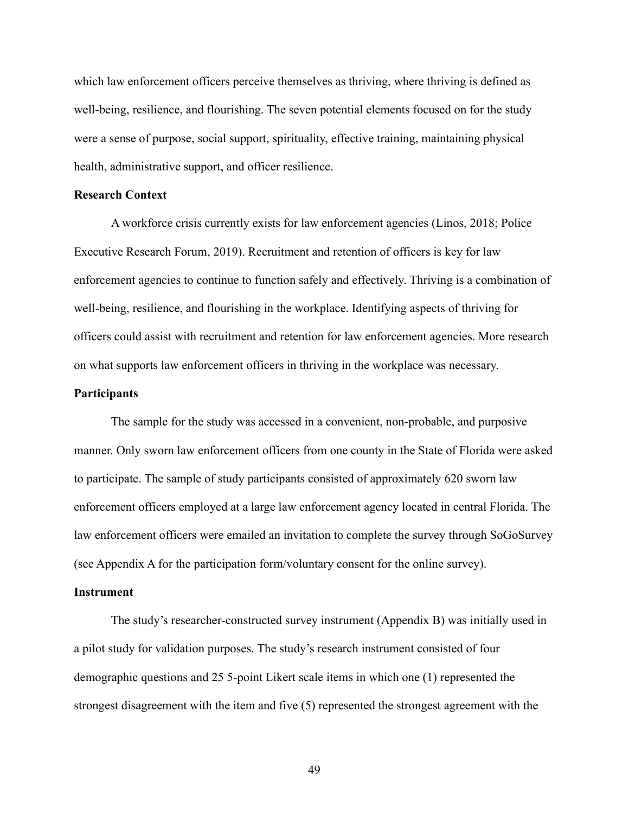which law enforcement officers perceive themselves as thriving, where thriving is defined as well-being, resilience, and flourishing. The seven potential elements focused on for the study were a sense of purpose, social support, spirituality, effective training, maintaining physical health, administrative support, and officer resilience.

# Research Context

A workforce crisis currently exists for law enforcement agencies (Linos, 2018; Police Executive Research Forum, 2019). Recruitment and retention of officers is key for law enforcement agencies to continue to function safely and effectively. Thriving is a combination of well-being, resilience, and flourishing in the workplace. Identifying aspects of thriving for officers could assist with recruitment and retention for law enforcement agencies. More research on what supports law enforcement officers in thriving in the workplace was necessary.

# Participants

The sample for the study was accessed in a convenient, non-probable, and purposive manner. Only sworn law enforcement officers from one county in the State of Florida were asked to participate. The sample of study participants consisted of approximately 620 sworn law enforcement officers employed at a large law enforcement agency located in central Florida. The law enforcement officers were emailed an invitation to complete the survey through SoGoSurvey (see Appendix A for the participation form/voluntary consent for the online survey).

#### Instrument

The study's researcher-constructed survey instrument (Appendix B) was initially used in a pilot study for validation purposes. The study's research instrument consisted of four demographic questions and 25 5-point Likert scale items in which one (1) represented the strongest disagreement with the item and five (5) represented the strongest agreement with the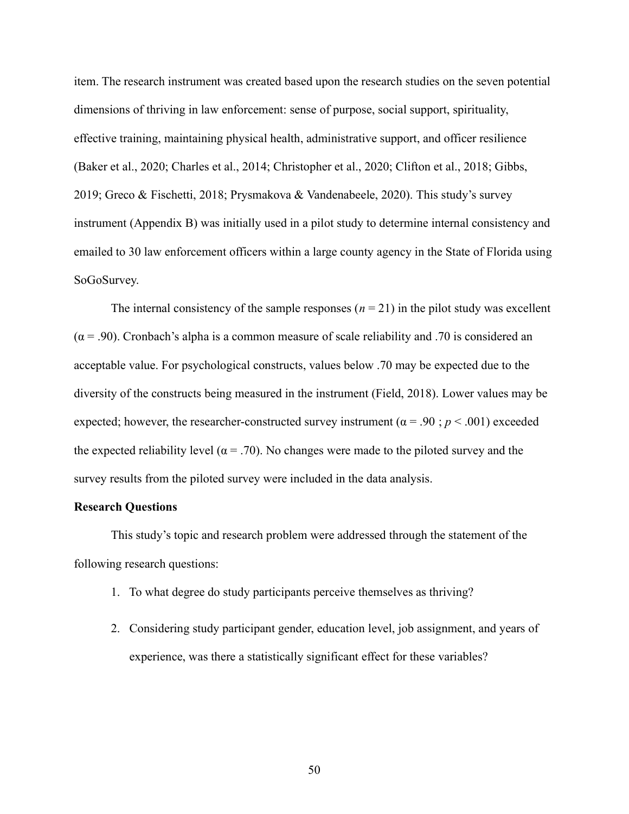item. The research instrument was created based upon the research studies on the seven potential dimensions of thriving in law enforcement: sense of purpose, social support, spirituality, effective training, maintaining physical health, administrative support, and officer resilience (Baker et al., 2020; Charles et al., 2014; Christopher et al., 2020; Clifton et al., 2018; Gibbs, 2019; Greco & Fischetti, 2018; Prysmakova & Vandenabeele, 2020). This study's survey instrument (Appendix B) was initially used in a pilot study to determine internal consistency and emailed to 30 law enforcement officers within a large county agency in the State of Florida using SoGoSurvey.

The internal consistency of the sample responses ( $n = 21$ ) in the pilot study was excellent  $(\alpha = .90)$ . Cronbach's alpha is a common measure of scale reliability and .70 is considered an acceptable value. For psychological constructs, values below .70 may be expected due to the diversity of the constructs being measured in the instrument (Field, 2018). Lower values may be expected; however, the researcher-constructed survey instrument ( $\alpha$  = .90; p < .001) exceeded the expected reliability level ( $\alpha$  = .70). No changes were made to the piloted survey and the survey results from the piloted survey were included in the data analysis.

### Research Questions

This study's topic and research problem were addressed through the statement of the following research questions:

- 1. To what degree do study participants perceive themselves as thriving?
- 2. Considering study participant gender, education level, job assignment, and years of experience, was there a statistically significant effect for these variables?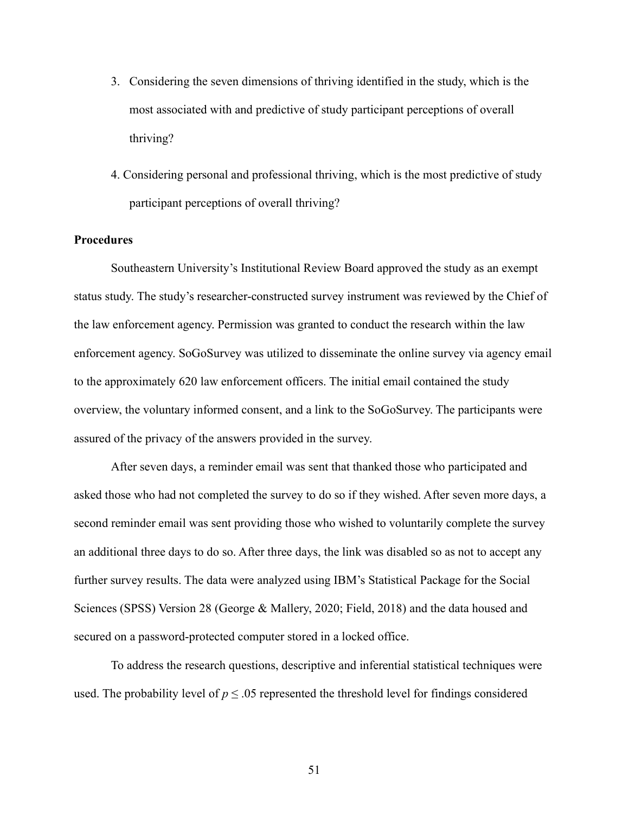- 3. Considering the seven dimensions of thriving identified in the study, which is the most associated with and predictive of study participant perceptions of overall thriving?
- 4. Considering personal and professional thriving, which is the most predictive of study participant perceptions of overall thriving?

# **Procedures**

Southeastern University's Institutional Review Board approved the study as an exempt status study. The study's researcher-constructed survey instrument was reviewed by the Chief of the law enforcement agency. Permission was granted to conduct the research within the law enforcement agency. SoGoSurvey was utilized to disseminate the online survey via agency email to the approximately 620 law enforcement officers. The initial email contained the study overview, the voluntary informed consent, and a link to the SoGoSurvey. The participants were assured of the privacy of the answers provided in the survey.

After seven days, a reminder email was sent that thanked those who participated and asked those who had not completed the survey to do so if they wished. After seven more days, a second reminder email was sent providing those who wished to voluntarily complete the survey an additional three days to do so. After three days, the link was disabled so as not to accept any further survey results. The data were analyzed using IBM's Statistical Package for the Social Sciences (SPSS) Version 28 (George & Mallery, 2020; Field, 2018) and the data housed and secured on a password-protected computer stored in a locked office.

To address the research questions, descriptive and inferential statistical techniques were used. The probability level of  $p \leq 0.05$  represented the threshold level for findings considered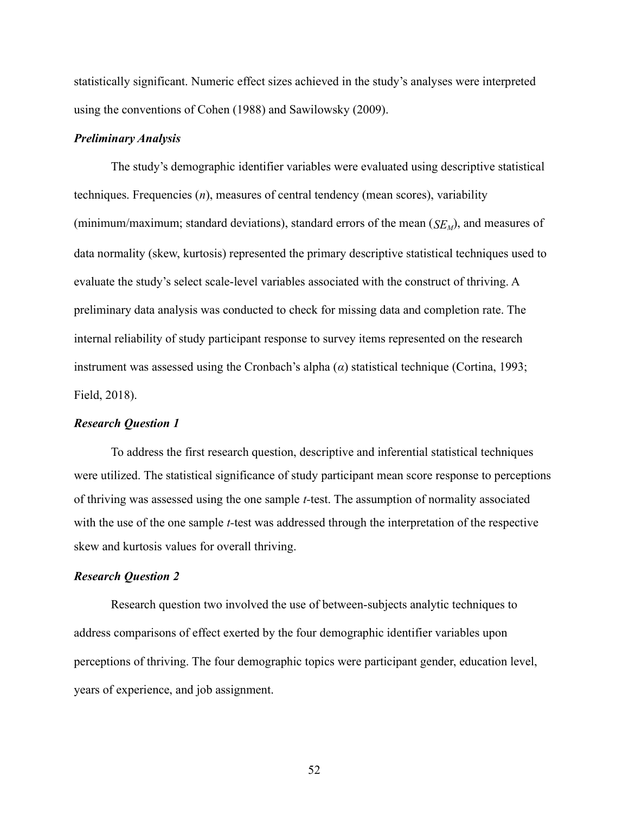statistically significant. Numeric effect sizes achieved in the study's analyses were interpreted using the conventions of Cohen (1988) and Sawilowsky (2009).

# Preliminary Analysis

The study's demographic identifier variables were evaluated using descriptive statistical techniques. Frequencies  $(n)$ , measures of central tendency (mean scores), variability (minimum/maximum; standard deviations), standard errors of the mean  $(SE_M)$ , and measures of data normality (skew, kurtosis) represented the primary descriptive statistical techniques used to evaluate the study's select scale-level variables associated with the construct of thriving. A preliminary data analysis was conducted to check for missing data and completion rate. The internal reliability of study participant response to survey items represented on the research instrument was assessed using the Cronbach's alpha  $(\alpha)$  statistical technique (Cortina, 1993; Field, 2018).

# Research Question 1

To address the first research question, descriptive and inferential statistical techniques were utilized. The statistical significance of study participant mean score response to perceptions of thriving was assessed using the one sample t-test. The assumption of normality associated with the use of the one sample *t*-test was addressed through the interpretation of the respective skew and kurtosis values for overall thriving.

# Research Question 2

Research question two involved the use of between-subjects analytic techniques to address comparisons of effect exerted by the four demographic identifier variables upon perceptions of thriving. The four demographic topics were participant gender, education level, years of experience, and job assignment.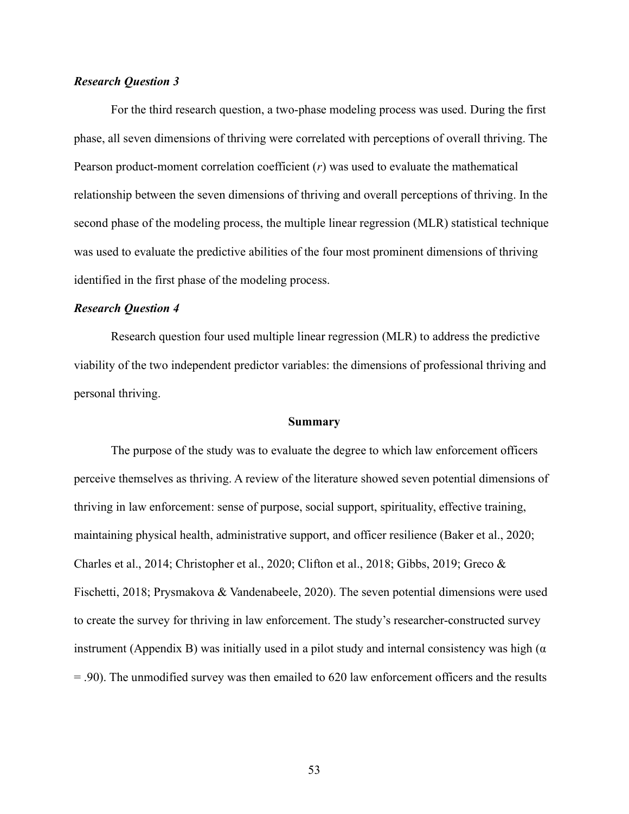# Research Question 3

For the third research question, a two-phase modeling process was used. During the first phase, all seven dimensions of thriving were correlated with perceptions of overall thriving. The Pearson product-moment correlation coefficient  $(r)$  was used to evaluate the mathematical relationship between the seven dimensions of thriving and overall perceptions of thriving. In the second phase of the modeling process, the multiple linear regression (MLR) statistical technique was used to evaluate the predictive abilities of the four most prominent dimensions of thriving identified in the first phase of the modeling process.

# Research Question 4

Research question four used multiple linear regression (MLR) to address the predictive viability of the two independent predictor variables: the dimensions of professional thriving and personal thriving.

#### Summary

The purpose of the study was to evaluate the degree to which law enforcement officers perceive themselves as thriving. A review of the literature showed seven potential dimensions of thriving in law enforcement: sense of purpose, social support, spirituality, effective training, maintaining physical health, administrative support, and officer resilience (Baker et al., 2020; Charles et al., 2014; Christopher et al., 2020; Clifton et al., 2018; Gibbs, 2019; Greco & Fischetti, 2018; Prysmakova & Vandenabeele, 2020). The seven potential dimensions were used to create the survey for thriving in law enforcement. The study's researcher-constructed survey instrument (Appendix B) was initially used in a pilot study and internal consistency was high  $(\alpha$ = .90). The unmodified survey was then emailed to 620 law enforcement officers and the results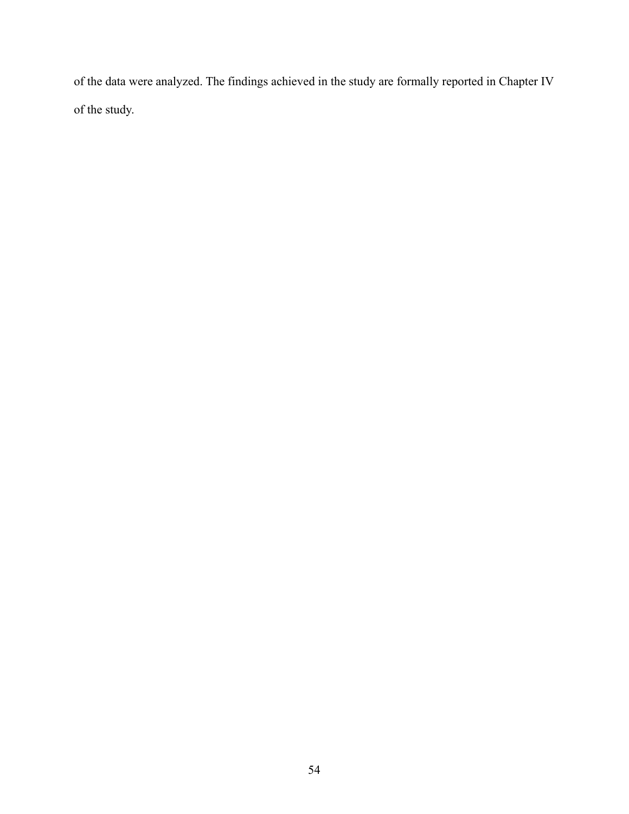of the data were analyzed. The findings achieved in the study are formally reported in Chapter IV of the study.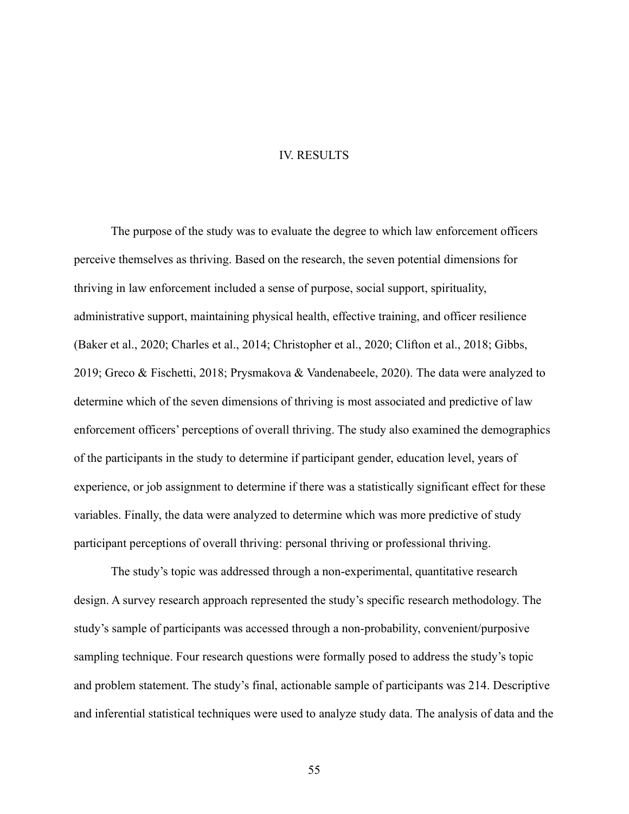### IV. RESULTS

The purpose of the study was to evaluate the degree to which law enforcement officers perceive themselves as thriving. Based on the research, the seven potential dimensions for thriving in law enforcement included a sense of purpose, social support, spirituality, administrative support, maintaining physical health, effective training, and officer resilience (Baker et al., 2020; Charles et al., 2014; Christopher et al., 2020; Clifton et al., 2018; Gibbs, 2019; Greco & Fischetti, 2018; Prysmakova & Vandenabeele, 2020). The data were analyzed to determine which of the seven dimensions of thriving is most associated and predictive of law enforcement officers' perceptions of overall thriving. The study also examined the demographics of the participants in the study to determine if participant gender, education level, years of experience, or job assignment to determine if there was a statistically significant effect for these variables. Finally, the data were analyzed to determine which was more predictive of study participant perceptions of overall thriving: personal thriving or professional thriving.

The study's topic was addressed through a non-experimental, quantitative research design. A survey research approach represented the study's specific research methodology. The study's sample of participants was accessed through a non-probability, convenient/purposive sampling technique. Four research questions were formally posed to address the study's topic and problem statement. The study's final, actionable sample of participants was 214. Descriptive and inferential statistical techniques were used to analyze study data. The analysis of data and the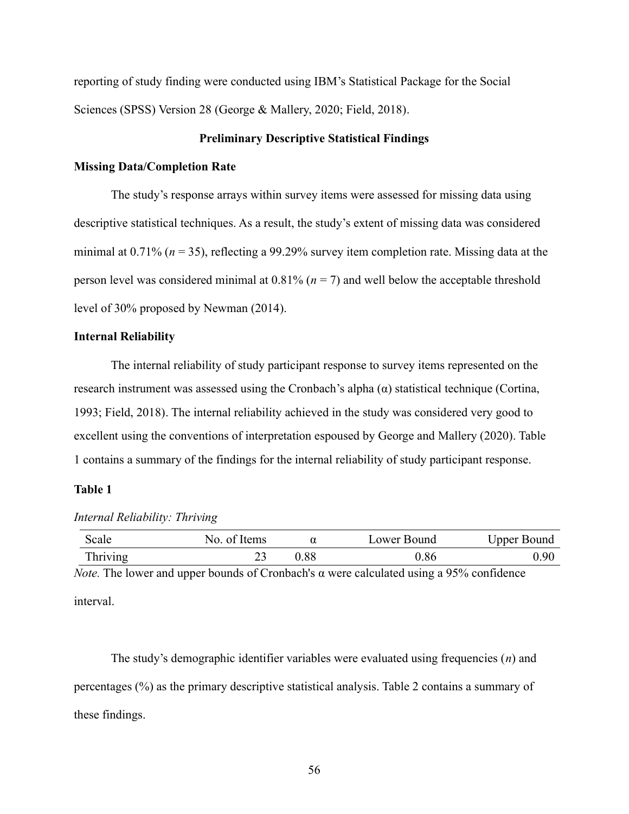reporting of study finding were conducted using IBM's Statistical Package for the Social Sciences (SPSS) Version 28 (George & Mallery, 2020; Field, 2018).

# Preliminary Descriptive Statistical Findings

# Missing Data/Completion Rate

The study's response arrays within survey items were assessed for missing data using descriptive statistical techniques. As a result, the study's extent of missing data was considered minimal at 0.71% ( $n = 35$ ), reflecting a 99.29% survey item completion rate. Missing data at the person level was considered minimal at 0.81% ( $n = 7$ ) and well below the acceptable threshold level of 30% proposed by Newman (2014).

#### Internal Reliability

The internal reliability of study participant response to survey items represented on the research instrument was assessed using the Cronbach's alpha  $(α)$  statistical technique (Cortina, 1993; Field, 2018). The internal reliability achieved in the study was considered very good to excellent using the conventions of interpretation espoused by George and Mallery (2020). Table 1 contains a summary of the findings for the internal reliability of study participant response.

# Table 1

| Scale                                                                                              | No. of Items |      | Lower Bound | Upper Bound |  |  |
|----------------------------------------------------------------------------------------------------|--------------|------|-------------|-------------|--|--|
| <b>Thriving</b>                                                                                    |              | 0.88 | 0.86        | 0.90        |  |  |
| $N_{\text{obs}}$ The Leven and more ham to of Cuenteedes more coloulated mine of $0.50$ confidence |              |      |             |             |  |  |

#### Internal Reliability: Thriving

*Note.* The lower and upper bounds of Cronbach's  $\alpha$  were calculated using a 95% confidence interval.

The study's demographic identifier variables were evaluated using frequencies  $(n)$  and percentages (%) as the primary descriptive statistical analysis. Table 2 contains a summary of these findings.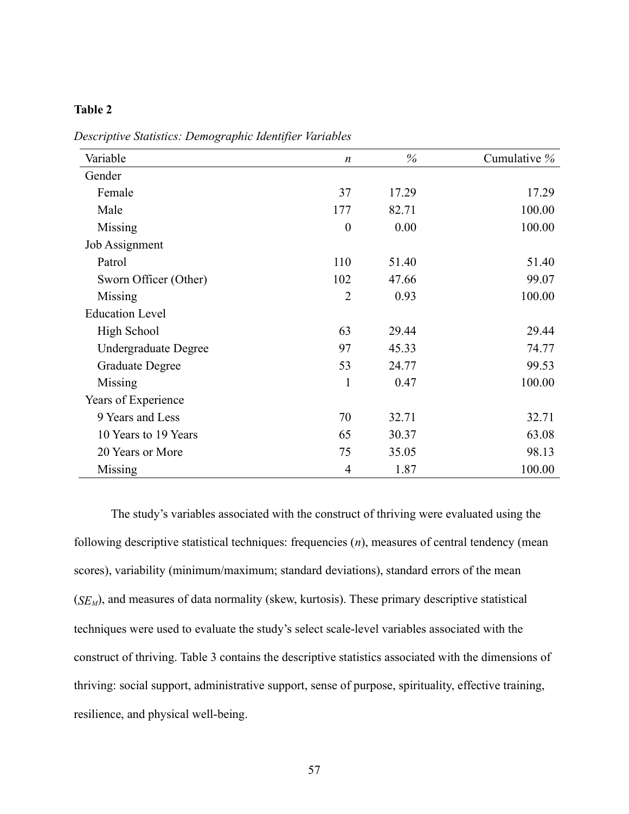# Table 2

| Variable               | $\boldsymbol{n}$ | $\%$  | Cumulative % |
|------------------------|------------------|-------|--------------|
| Gender                 |                  |       |              |
| Female                 | 37               | 17.29 | 17.29        |
| Male                   | 177              | 82.71 | 100.00       |
| Missing                | $\overline{0}$   | 0.00  | 100.00       |
| Job Assignment         |                  |       |              |
| Patrol                 | 110              | 51.40 | 51.40        |
| Sworn Officer (Other)  | 102              | 47.66 | 99.07        |
| Missing                | $\overline{2}$   | 0.93  | 100.00       |
| <b>Education Level</b> |                  |       |              |
| High School            | 63               | 29.44 | 29.44        |
| Undergraduate Degree   | 97               | 45.33 | 74.77        |
| <b>Graduate Degree</b> | 53               | 24.77 | 99.53        |
| Missing                | 1                | 0.47  | 100.00       |
| Years of Experience    |                  |       |              |
| 9 Years and Less       | 70               | 32.71 | 32.71        |
| 10 Years to 19 Years   | 65               | 30.37 | 63.08        |
| 20 Years or More       | 75               | 35.05 | 98.13        |
| Missing                | $\overline{4}$   | 1.87  | 100.00       |

Descriptive Statistics: Demographic Identifier Variables

The study's variables associated with the construct of thriving were evaluated using the following descriptive statistical techniques: frequencies  $(n)$ , measures of central tendency (mean scores), variability (minimum/maximum; standard deviations), standard errors of the mean  $(SE_M)$ , and measures of data normality (skew, kurtosis). These primary descriptive statistical techniques were used to evaluate the study's select scale-level variables associated with the construct of thriving. Table 3 contains the descriptive statistics associated with the dimensions of thriving: social support, administrative support, sense of purpose, spirituality, effective training, resilience, and physical well-being.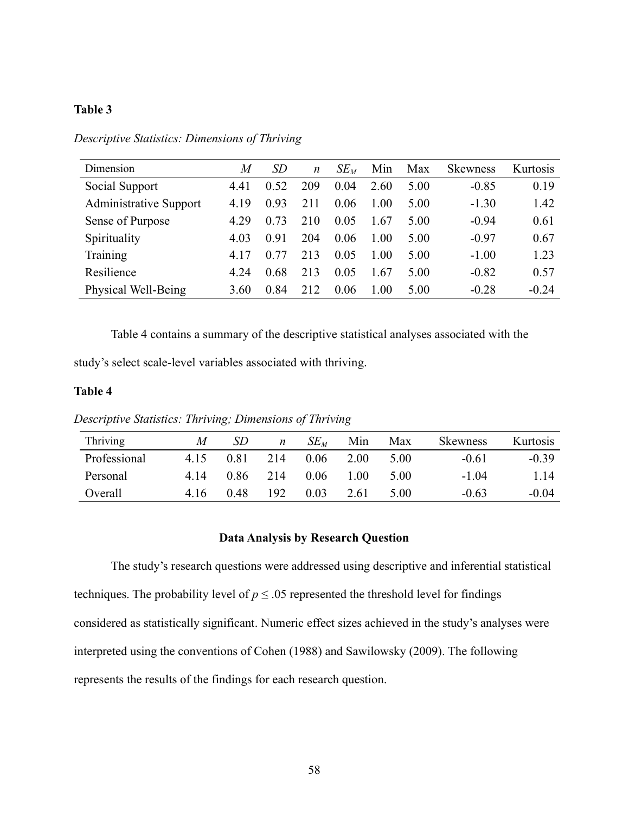# Table 3

Descriptive Statistics: Dimensions of Thriving

| Dimension                     | M    | <i>SD</i> | $\boldsymbol{n}$ | $SE_M$ | Min  | Max  | <b>Skewness</b> | Kurtosis |
|-------------------------------|------|-----------|------------------|--------|------|------|-----------------|----------|
| Social Support                | 4.41 | 0.52      | 209              | 0.04   | 2.60 | 5.00 | $-0.85$         | 0.19     |
| <b>Administrative Support</b> | 4.19 | 0.93      | 211              | 0.06   | 1.00 | 5.00 | $-1.30$         | 1.42     |
| Sense of Purpose              | 4.29 | 0.73      | 210              | 0.05   | 1.67 | 5.00 | $-0.94$         | 0.61     |
| Spirituality                  | 4.03 | 0.91      | 204              | 0.06   | 1.00 | 5.00 | $-0.97$         | 0.67     |
| Training                      | 4.17 | 0.77      | 213              | 0.05   | 1.00 | 5.00 | $-1.00$         | 1.23     |
| Resilience                    | 4.24 | 0.68      | 213              | 0.05   | 1.67 | 5.00 | $-0.82$         | 0.57     |
| Physical Well-Being           | 3.60 | 0.84      | 212              | 0.06   | 1.00 | 5.00 | $-0.28$         | $-0.24$  |

Table 4 contains a summary of the descriptive statistical analyses associated with the

study's select scale-level variables associated with thriving.

# Table 4

Descriptive Statistics: Thriving; Dimensions of Thriving

| Thriving     | M    | SD.  | n    | $SE_M$ | Min  | Max  | <b>Skewness</b> | Kurtosis |
|--------------|------|------|------|--------|------|------|-----------------|----------|
| Professional | 4.15 | 0.81 | 214  | 0.06   | 2.00 | 5.00 | $-0.61$         | $-0.39$  |
| Personal     | 4.14 | 0.86 | 214  | 0.06   | 1.00 | 5.00 | $-1.04$         | 1.14     |
| Overall      | 4.16 | 0.48 | 192. | 0.03   | 2.61 | 5.00 | $-0.63$         | $-0.04$  |

# Data Analysis by Research Question

The study's research questions were addressed using descriptive and inferential statistical techniques. The probability level of  $p \leq 0.05$  represented the threshold level for findings considered as statistically significant. Numeric effect sizes achieved in the study's analyses were interpreted using the conventions of Cohen (1988) and Sawilowsky (2009). The following represents the results of the findings for each research question.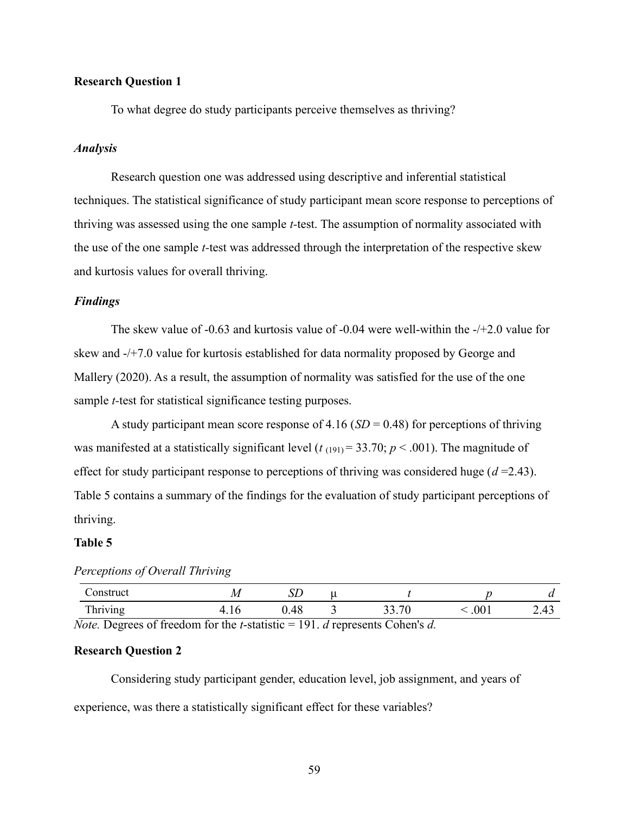# Research Question 1

To what degree do study participants perceive themselves as thriving?

### Analysis

Research question one was addressed using descriptive and inferential statistical techniques. The statistical significance of study participant mean score response to perceptions of thriving was assessed using the one sample *t*-test. The assumption of normality associated with the use of the one sample t-test was addressed through the interpretation of the respective skew and kurtosis values for overall thriving.

# Findings

The skew value of -0.63 and kurtosis value of -0.04 were well-within the -/+2.0 value for skew and -/+7.0 value for kurtosis established for data normality proposed by George and Mallery (2020). As a result, the assumption of normality was satisfied for the use of the one sample *t*-test for statistical significance testing purposes.

A study participant mean score response of 4.16 ( $SD = 0.48$ ) for perceptions of thriving was manifested at a statistically significant level ( $t_{(191)} = 33.70$ ;  $p < .001$ ). The magnitude of effect for study participant response to perceptions of thriving was considered huge ( $d = 2.43$ ). Table 5 contains a summary of the findings for the evaluation of study participant perceptions of thriving.

### Table 5

| Construct                                                                                                 |       |      |       |       |      |
|-----------------------------------------------------------------------------------------------------------|-------|------|-------|-------|------|
| Thriving                                                                                                  | 4 I h | 0.48 | 33.70 | < .OO | 2.43 |
| <i>Note.</i> Degrees of freedom for the <i>t</i> -statistic = 191. <i>d</i> represents Cohen's <i>d</i> . |       |      |       |       |      |

# Perceptions of Overall Thriving

# Research Question 2

Considering study participant gender, education level, job assignment, and years of experience, was there a statistically significant effect for these variables?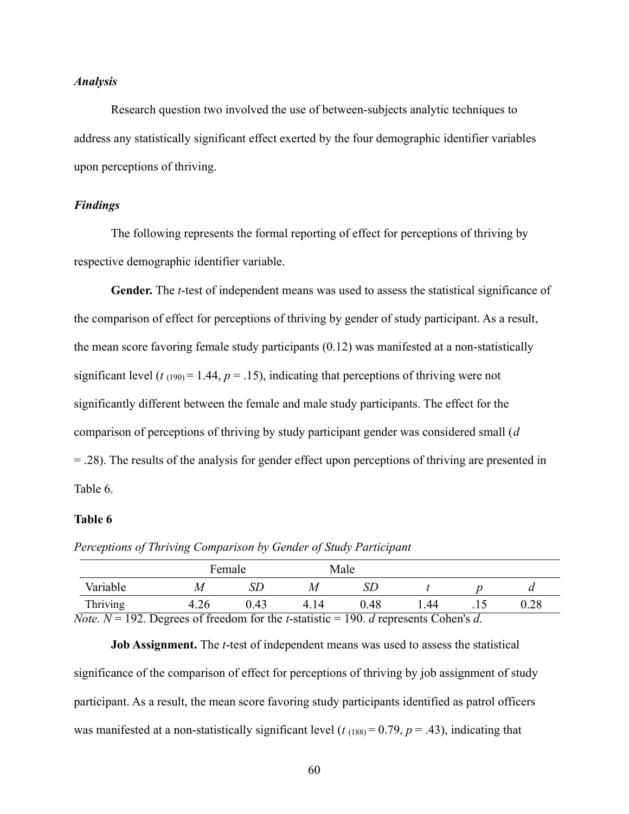# Analysis

Research question two involved the use of between-subjects analytic techniques to address any statistically significant effect exerted by the four demographic identifier variables upon perceptions of thriving.

# Findings

The following represents the formal reporting of effect for perceptions of thriving by respective demographic identifier variable.

Gender. The *t*-test of independent means was used to assess the statistical significance of the comparison of effect for perceptions of thriving by gender of study participant. As a result, the mean score favoring female study participants (0.12) was manifested at a non-statistically significant level ( $t_{(190)} = 1.44$ ,  $p = .15$ ), indicating that perceptions of thriving were not significantly different between the female and male study participants. The effect for the comparison of perceptions of thriving by study participant gender was considered small (d = .28). The results of the analysis for gender effect upon perceptions of thriving are presented in Table 6.

### Table 6

|                           |                                                                                  | Female   |      | Male     |                                  |      |
|---------------------------|----------------------------------------------------------------------------------|----------|------|----------|----------------------------------|------|
| Variable                  | М                                                                                | SE       | М    | SĽ       |                                  | u    |
| Thriving                  | 4.26                                                                             | $0.43\,$ | 4.14 | $0.48\,$ | l.44                             | 0.28 |
| $\mathbf{M}$ $\mathbf{M}$ | $102 \quad \text{R}$ $0 \quad 1 \quad 0 \quad 1 \quad 1 \quad 1 \quad 1 \quad 1$ |          |      | 100      | $\sqrt{1}$ $\sqrt{1}$ $\sqrt{1}$ |      |

Perceptions of Thriving Comparison by Gender of Study Participant

*Note.*  $N = 192$ . Degrees of freedom for the *t*-statistic = 190. *d* represents Cohen's *d*.

**Job Assignment.** The *t*-test of independent means was used to assess the statistical significance of the comparison of effect for perceptions of thriving by job assignment of study participant. As a result, the mean score favoring study participants identified as patrol officers was manifested at a non-statistically significant level ( $t_{(188)} = 0.79$ ,  $p = .43$ ), indicating that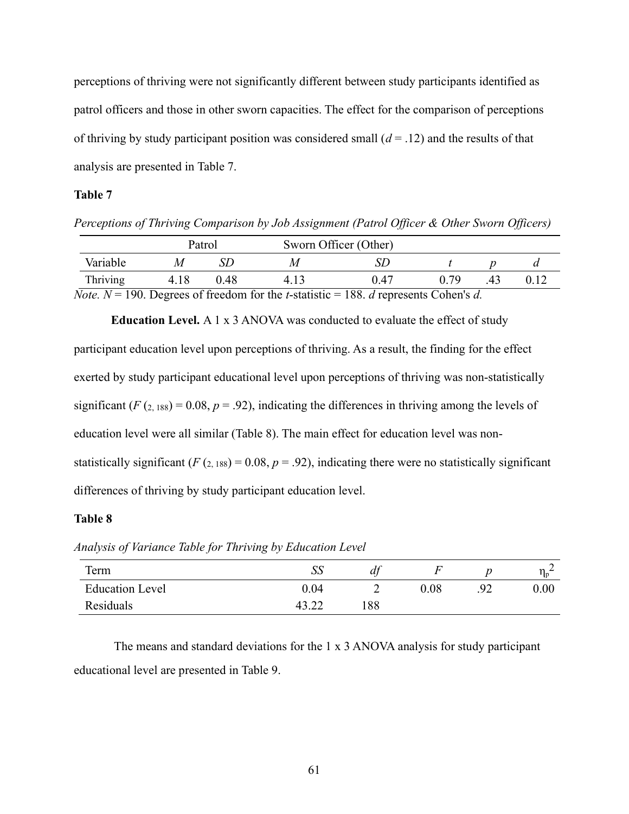perceptions of thriving were not significantly different between study participants identified as patrol officers and those in other sworn capacities. The effect for the comparison of perceptions of thriving by study participant position was considered small  $(d = .12)$  and the results of that analysis are presented in Table 7.

# Table 7

Perceptions of Thriving Comparison by Job Assignment (Patrol Officer & Other Sworn Officers)

|          |      | Patrol | Sworn Officer (Other)                                                     |      |                          |  |
|----------|------|--------|---------------------------------------------------------------------------|------|--------------------------|--|
| Variable | М    |        |                                                                           |      |                          |  |
| Thriving | 4.18 | 0.48   | 4.13                                                                      | በ 47 | በ 79                     |  |
|          |      |        | $N_{\text{obs}}$ , $N = 100$ , Decrees of freedom for the feature $= 100$ |      | . Januar Lude Orleants J |  |

*Note.*  $N = 190$ . Degrees of freedom for the *t*-statistic = 188. *d* represents Cohen's *d*.

Education Level. A 1 x 3 ANOVA was conducted to evaluate the effect of study

participant education level upon perceptions of thriving. As a result, the finding for the effect exerted by study participant educational level upon perceptions of thriving was non-statistically significant (F  $(z_{.188})$  = 0.08, p = .92), indicating the differences in thriving among the levels of education level were all similar (Table 8). The main effect for education level was nonstatistically significant ( $F(z, 188) = 0.08$ ,  $p = .92$ ), indicating there were no statistically significant differences of thriving by study participant education level.

# Table 8

Term  $SS$  df  $F$  p  $\eta_p$ Education Level 0.04 2 0.08 .92 0.00 Residuals 43.22 188

 $n_e^2$ 

Analysis of Variance Table for Thriving by Education Level

 The means and standard deviations for the 1 x 3 ANOVA analysis for study participant educational level are presented in Table 9.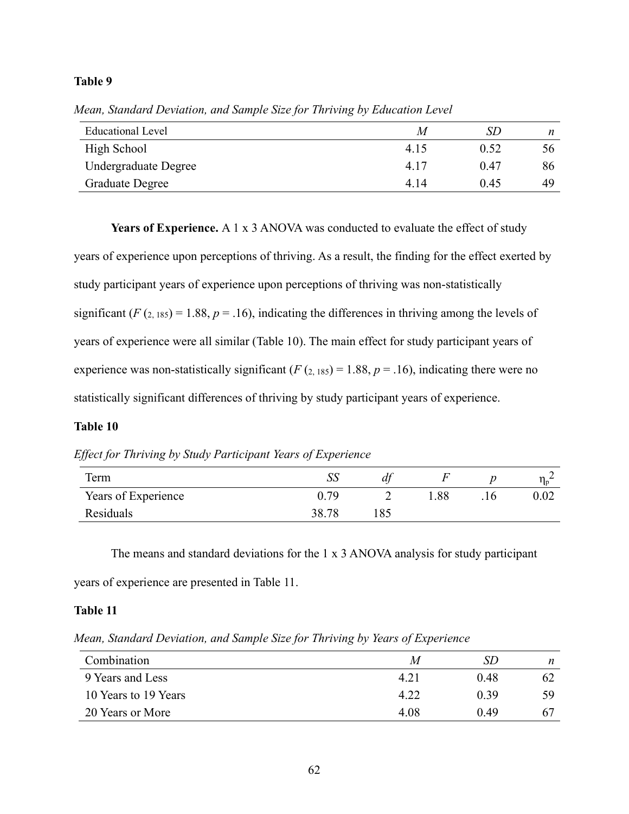# Table 9

| Educational Level      | M    | SD   |     |
|------------------------|------|------|-----|
| High School            | 4.15 | 0.52 | 56. |
| Undergraduate Degree   | 4.17 | 0.47 | 86  |
| <b>Graduate Degree</b> | 4.14 | 0.45 | 49  |

Mean, Standard Deviation, and Sample Size for Thriving by Education Level

Years of Experience. A 1 x 3 ANOVA was conducted to evaluate the effect of study years of experience upon perceptions of thriving. As a result, the finding for the effect exerted by study participant years of experience upon perceptions of thriving was non-statistically significant ( $F(z_{.185}) = 1.88$ ,  $p = .16$ ), indicating the differences in thriving among the levels of years of experience were all similar (Table 10). The main effect for study participant years of experience was non-statistically significant ( $F (2, 185) = 1.88$ ,  $p = .16$ ), indicating there were no statistically significant differences of thriving by study participant years of experience.

# Table 10

Effect for Thriving by Study Participant Years of Experience

| Term                | IJΕ   | a |      | $\eta_{p}$<br>∼ |
|---------------------|-------|---|------|-----------------|
| Years of Experience | 0.79  | ∽ | 1.88 | $0.02\,$        |
| Residuals           | 38.78 |   |      |                 |

The means and standard deviations for the 1 x 3 ANOVA analysis for study participant years of experience are presented in Table 11.

#### Table 11

Mean, Standard Deviation, and Sample Size for Thriving by Years of Experience

| Combination          | M    | SD   | n  |
|----------------------|------|------|----|
| 9 Years and Less     | 4.21 | 0.48 | 62 |
| 10 Years to 19 Years | 4.22 | 0.39 | 59 |
| 20 Years or More     | 4.08 | 0.49 |    |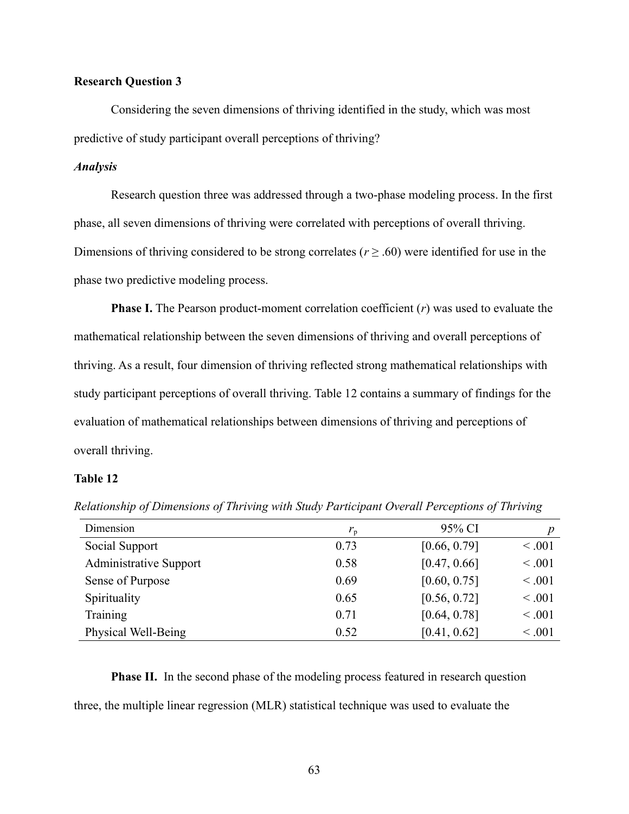# Research Question 3

Considering the seven dimensions of thriving identified in the study, which was most predictive of study participant overall perceptions of thriving?

### Analysis

Research question three was addressed through a two-phase modeling process. In the first phase, all seven dimensions of thriving were correlated with perceptions of overall thriving. Dimensions of thriving considered to be strong correlates ( $r \geq .60$ ) were identified for use in the phase two predictive modeling process.

**Phase I.** The Pearson product-moment correlation coefficient  $(r)$  was used to evaluate the mathematical relationship between the seven dimensions of thriving and overall perceptions of thriving. As a result, four dimension of thriving reflected strong mathematical relationships with study participant perceptions of overall thriving. Table 12 contains a summary of findings for the evaluation of mathematical relationships between dimensions of thriving and perceptions of overall thriving.

## Table 12

| Dimension                     | $r_{\rm p}$ | 95% CI       | $\boldsymbol{p}$ |
|-------------------------------|-------------|--------------|------------------|
| Social Support                | 0.73        | [0.66, 0.79] | < .001           |
| <b>Administrative Support</b> | 0.58        | [0.47, 0.66] | < .001           |
| Sense of Purpose              | 0.69        | [0.60, 0.75] | < .001           |
| Spirituality                  | 0.65        | [0.56, 0.72] | < .001           |
| Training                      | 0.71        | [0.64, 0.78] | < .001           |
| Physical Well-Being           | 0.52        | [0.41, 0.62] | < .001           |

Relationship of Dimensions of Thriving with Study Participant Overall Perceptions of Thriving

Phase II. In the second phase of the modeling process featured in research question three, the multiple linear regression (MLR) statistical technique was used to evaluate the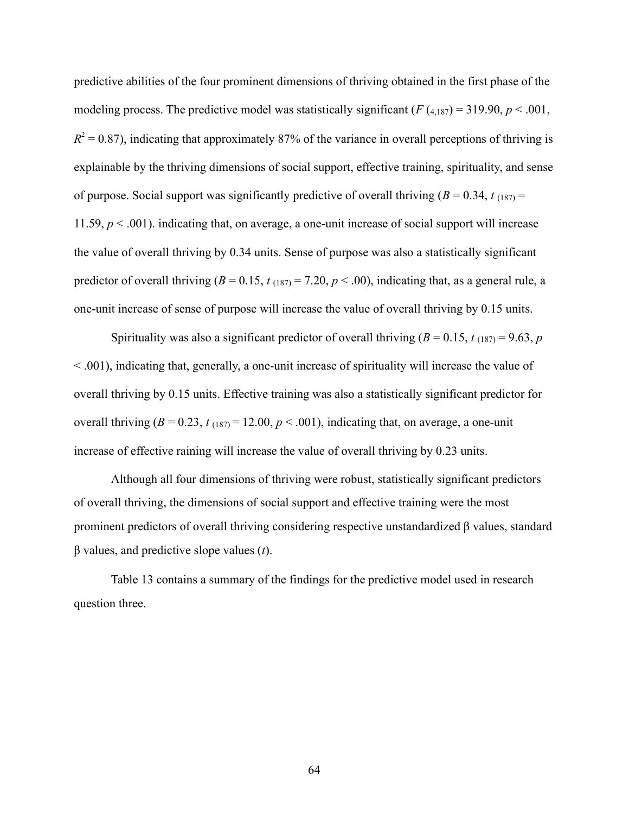predictive abilities of the four prominent dimensions of thriving obtained in the first phase of the modeling process. The predictive model was statistically significant ( $F(4,187) = 319.90, p < .001,$  $R^2 = 0.87$ ), indicating that approximately 87% of the variance in overall perceptions of thriving is explainable by the thriving dimensions of social support, effective training, spirituality, and sense of purpose. Social support was significantly predictive of overall thriving ( $B = 0.34$ ,  $t_{(187)} =$ 11.59,  $p < .001$ ). indicating that, on average, a one-unit increase of social support will increase the value of overall thriving by 0.34 units. Sense of purpose was also a statistically significant predictor of overall thriving ( $B = 0.15$ ,  $t_{(187)} = 7.20$ ,  $p < .00$ ), indicating that, as a general rule, a one-unit increase of sense of purpose will increase the value of overall thriving by 0.15 units.

Spirituality was also a significant predictor of overall thriving ( $B = 0.15$ ,  $t_{(187)} = 9.63$ ,  $p$ < .001), indicating that, generally, a one-unit increase of spirituality will increase the value of overall thriving by 0.15 units. Effective training was also a statistically significant predictor for overall thriving  $(B = 0.23, t_{(187)} = 12.00, p < .001)$ , indicating that, on average, a one-unit increase of effective raining will increase the value of overall thriving by 0.23 units.

Although all four dimensions of thriving were robust, statistically significant predictors of overall thriving, the dimensions of social support and effective training were the most prominent predictors of overall thriving considering respective unstandardized β values, standard β values, and predictive slope values  $(t)$ .

Table 13 contains a summary of the findings for the predictive model used in research question three.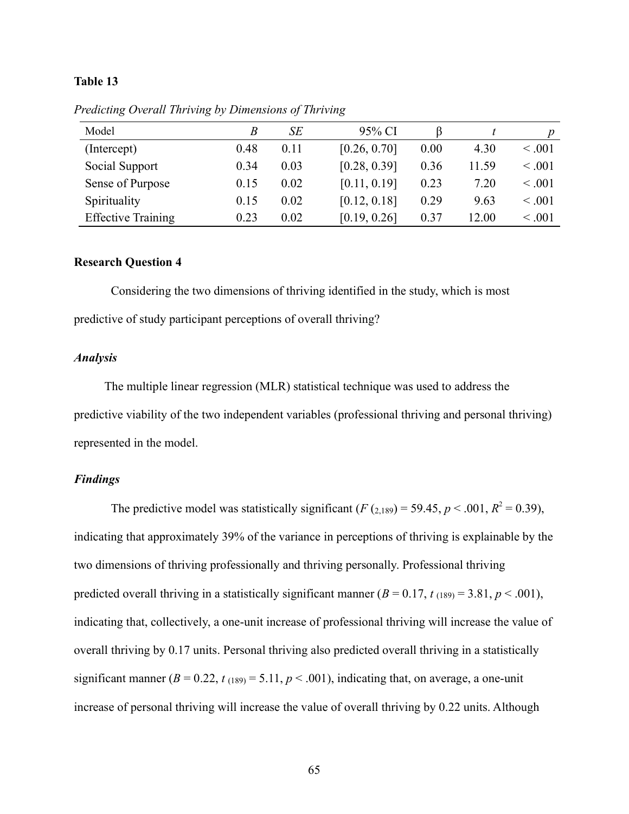### Table 13

| Model                     | B    | SE   | 95% CI       |      |       |         |
|---------------------------|------|------|--------------|------|-------|---------|
| (Intercept)               | 0.48 | 0.11 | [0.26, 0.70] | 0.00 | 4.30  | < 0.001 |
| Social Support            | 0.34 | 0.03 | [0.28, 0.39] | 0.36 | 11.59 | < 0.001 |
| Sense of Purpose          | 0.15 | 0.02 | [0.11, 0.19] | 0.23 | 7.20  | < 0.001 |
| Spirituality              | 0.15 | 0.02 | [0.12, 0.18] | 0.29 | 9.63  | < 0.001 |
| <b>Effective Training</b> | 0.23 | 0.02 | [0.19, 0.26] | 0.37 | 12.00 | < 0.001 |

Predicting Overall Thriving by Dimensions of Thriving

# Research Question 4

Considering the two dimensions of thriving identified in the study, which is most predictive of study participant perceptions of overall thriving?

#### Analysis

 The multiple linear regression (MLR) statistical technique was used to address the predictive viability of the two independent variables (professional thriving and personal thriving) represented in the model.

# Findings

The predictive model was statistically significant ( $F (2,189) = 59.45, p < .001, R^2 = 0.39$ ), indicating that approximately 39% of the variance in perceptions of thriving is explainable by the two dimensions of thriving professionally and thriving personally. Professional thriving predicted overall thriving in a statistically significant manner  $(B = 0.17, t_{(189)} = 3.81, p < .001)$ , indicating that, collectively, a one-unit increase of professional thriving will increase the value of overall thriving by 0.17 units. Personal thriving also predicted overall thriving in a statistically significant manner ( $B = 0.22$ ,  $t_{(189)} = 5.11$ ,  $p < .001$ ), indicating that, on average, a one-unit increase of personal thriving will increase the value of overall thriving by 0.22 units. Although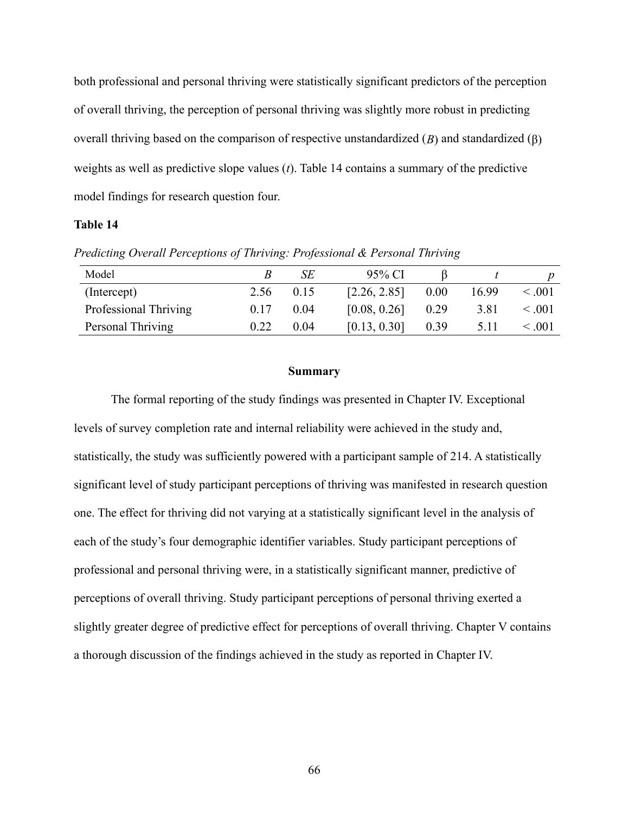both professional and personal thriving were statistically significant predictors of the perception of overall thriving, the perception of personal thriving was slightly more robust in predicting overall thriving based on the comparison of respective unstandardized  $(B)$  and standardized  $(B)$ weights as well as predictive slope values  $(t)$ . Table 14 contains a summary of the predictive model findings for research question four.

### Table 14

| Model                 |      | SE   | 95% CI       |      |       |         |
|-----------------------|------|------|--------------|------|-------|---------|
| (Intercept)           | 2.56 | 0.15 | [2.26, 2.85] | 0.00 | 16.99 | < 0.001 |
| Professional Thriving | 0.17 | 0.04 | [0.08, 0.26] | 0.29 | 3.81  | 0.001   |
| Personal Thriving     | 0.22 | 0.04 | [0.13, 0.30] | 0.39 | 5.11  | < 0.001 |

Predicting Overall Perceptions of Thriving: Professional & Personal Thriving

#### Summary

The formal reporting of the study findings was presented in Chapter IV. Exceptional levels of survey completion rate and internal reliability were achieved in the study and, statistically, the study was sufficiently powered with a participant sample of 214. A statistically significant level of study participant perceptions of thriving was manifested in research question one. The effect for thriving did not varying at a statistically significant level in the analysis of each of the study's four demographic identifier variables. Study participant perceptions of professional and personal thriving were, in a statistically significant manner, predictive of perceptions of overall thriving. Study participant perceptions of personal thriving exerted a slightly greater degree of predictive effect for perceptions of overall thriving. Chapter V contains a thorough discussion of the findings achieved in the study as reported in Chapter IV.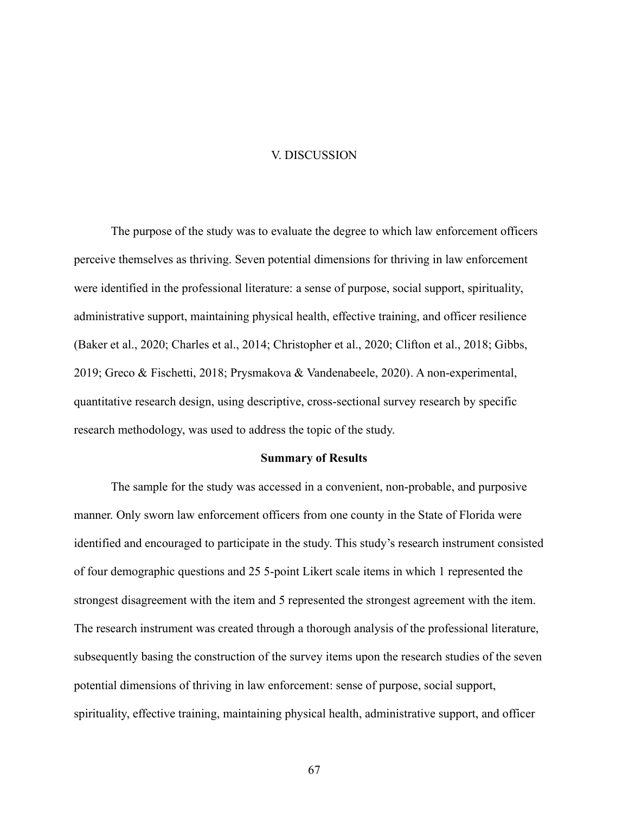#### V. DISCUSSION

The purpose of the study was to evaluate the degree to which law enforcement officers perceive themselves as thriving. Seven potential dimensions for thriving in law enforcement were identified in the professional literature: a sense of purpose, social support, spirituality, administrative support, maintaining physical health, effective training, and officer resilience (Baker et al., 2020; Charles et al., 2014; Christopher et al., 2020; Clifton et al., 2018; Gibbs, 2019; Greco & Fischetti, 2018; Prysmakova & Vandenabeele, 2020). A non-experimental, quantitative research design, using descriptive, cross-sectional survey research by specific research methodology, was used to address the topic of the study.

#### Summary of Results

The sample for the study was accessed in a convenient, non-probable, and purposive manner. Only sworn law enforcement officers from one county in the State of Florida were identified and encouraged to participate in the study. This study's research instrument consisted of four demographic questions and 25 5-point Likert scale items in which 1 represented the strongest disagreement with the item and 5 represented the strongest agreement with the item. The research instrument was created through a thorough analysis of the professional literature, subsequently basing the construction of the survey items upon the research studies of the seven potential dimensions of thriving in law enforcement: sense of purpose, social support, spirituality, effective training, maintaining physical health, administrative support, and officer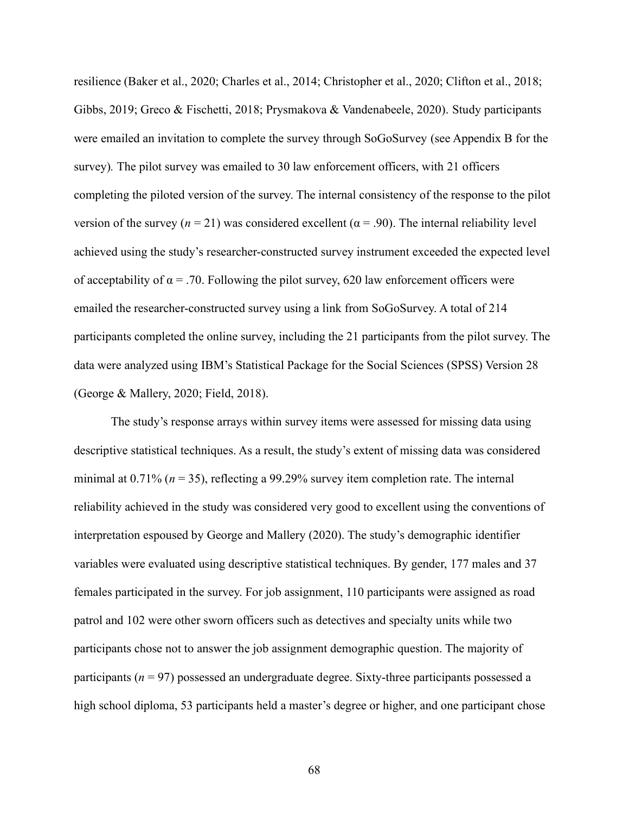resilience (Baker et al., 2020; Charles et al., 2014; Christopher et al., 2020; Clifton et al., 2018; Gibbs, 2019; Greco & Fischetti, 2018; Prysmakova & Vandenabeele, 2020). Study participants were emailed an invitation to complete the survey through SoGoSurvey (see Appendix B for the survey). The pilot survey was emailed to 30 law enforcement officers, with 21 officers completing the piloted version of the survey. The internal consistency of the response to the pilot version of the survey  $(n = 21)$  was considered excellent  $(\alpha = .90)$ . The internal reliability level achieved using the study's researcher-constructed survey instrument exceeded the expected level of acceptability of  $\alpha = 0.70$ . Following the pilot survey, 620 law enforcement officers were emailed the researcher-constructed survey using a link from SoGoSurvey. A total of 214 participants completed the online survey, including the 21 participants from the pilot survey. The data were analyzed using IBM's Statistical Package for the Social Sciences (SPSS) Version 28 (George & Mallery, 2020; Field, 2018).

The study's response arrays within survey items were assessed for missing data using descriptive statistical techniques. As a result, the study's extent of missing data was considered minimal at 0.71% ( $n = 35$ ), reflecting a 99.29% survey item completion rate. The internal reliability achieved in the study was considered very good to excellent using the conventions of interpretation espoused by George and Mallery (2020). The study's demographic identifier variables were evaluated using descriptive statistical techniques. By gender, 177 males and 37 females participated in the survey. For job assignment, 110 participants were assigned as road patrol and 102 were other sworn officers such as detectives and specialty units while two participants chose not to answer the job assignment demographic question. The majority of participants ( $n = 97$ ) possessed an undergraduate degree. Sixty-three participants possessed a high school diploma, 53 participants held a master's degree or higher, and one participant chose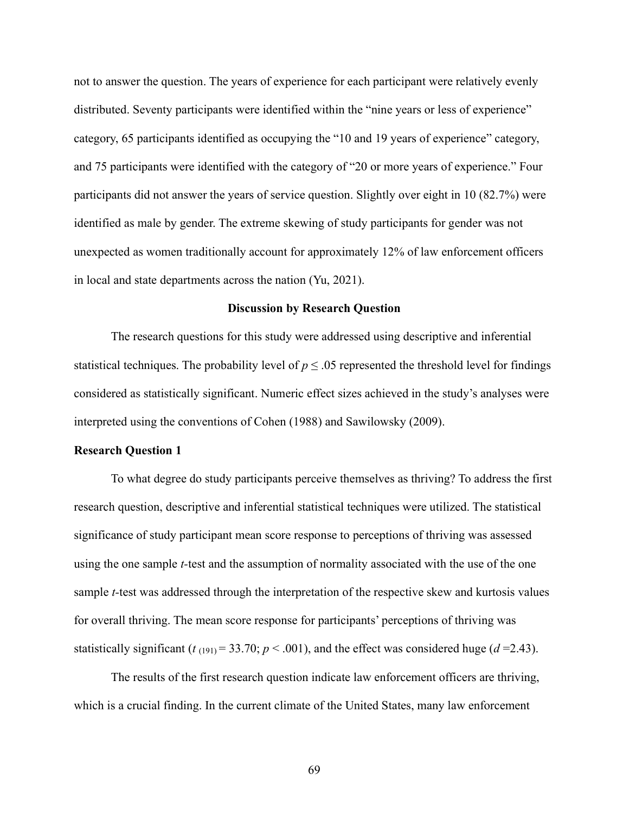not to answer the question. The years of experience for each participant were relatively evenly distributed. Seventy participants were identified within the "nine years or less of experience" category, 65 participants identified as occupying the "10 and 19 years of experience" category, and 75 participants were identified with the category of "20 or more years of experience." Four participants did not answer the years of service question. Slightly over eight in 10 (82.7%) were identified as male by gender. The extreme skewing of study participants for gender was not unexpected as women traditionally account for approximately 12% of law enforcement officers in local and state departments across the nation (Yu, 2021).

#### Discussion by Research Question

The research questions for this study were addressed using descriptive and inferential statistical techniques. The probability level of  $p \leq 0.05$  represented the threshold level for findings considered as statistically significant. Numeric effect sizes achieved in the study's analyses were interpreted using the conventions of Cohen (1988) and Sawilowsky (2009).

#### Research Question 1

To what degree do study participants perceive themselves as thriving? To address the first research question, descriptive and inferential statistical techniques were utilized. The statistical significance of study participant mean score response to perceptions of thriving was assessed using the one sample *t*-test and the assumption of normality associated with the use of the one sample t-test was addressed through the interpretation of the respective skew and kurtosis values for overall thriving. The mean score response for participants' perceptions of thriving was statistically significant (t<sub>(191)</sub> = 33.70;  $p < .001$ ), and the effect was considered huge (d = 2.43).

The results of the first research question indicate law enforcement officers are thriving, which is a crucial finding. In the current climate of the United States, many law enforcement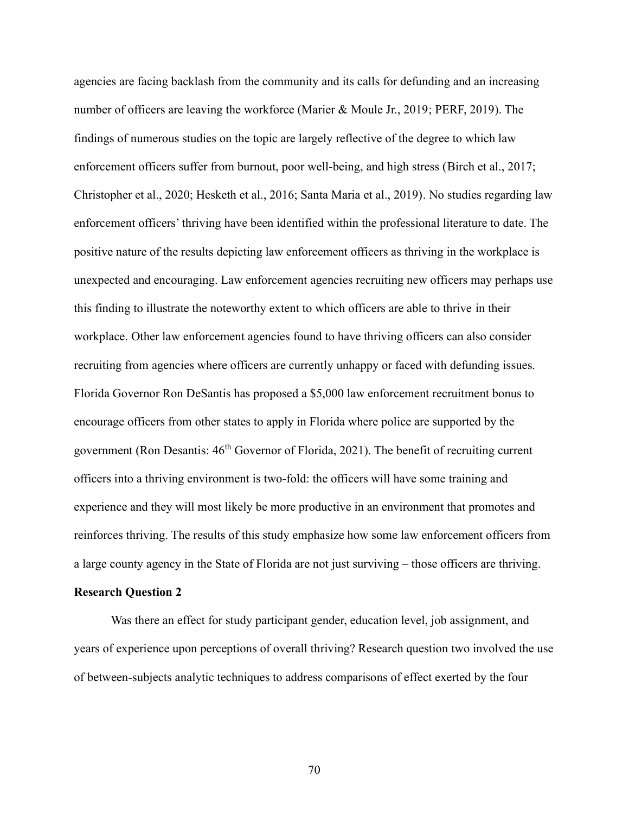agencies are facing backlash from the community and its calls for defunding and an increasing number of officers are leaving the workforce (Marier & Moule Jr., 2019; PERF, 2019). The findings of numerous studies on the topic are largely reflective of the degree to which law enforcement officers suffer from burnout, poor well-being, and high stress (Birch et al., 2017; Christopher et al., 2020; Hesketh et al., 2016; Santa Maria et al., 2019). No studies regarding law enforcement officers' thriving have been identified within the professional literature to date. The positive nature of the results depicting law enforcement officers as thriving in the workplace is unexpected and encouraging. Law enforcement agencies recruiting new officers may perhaps use this finding to illustrate the noteworthy extent to which officers are able to thrive in their workplace. Other law enforcement agencies found to have thriving officers can also consider recruiting from agencies where officers are currently unhappy or faced with defunding issues. Florida Governor Ron DeSantis has proposed a \$5,000 law enforcement recruitment bonus to encourage officers from other states to apply in Florida where police are supported by the government (Ron Desantis:  $46<sup>th</sup>$  Governor of Florida, 2021). The benefit of recruiting current officers into a thriving environment is two-fold: the officers will have some training and experience and they will most likely be more productive in an environment that promotes and reinforces thriving. The results of this study emphasize how some law enforcement officers from a large county agency in the State of Florida are not just surviving – those officers are thriving.

#### Research Question 2

Was there an effect for study participant gender, education level, job assignment, and years of experience upon perceptions of overall thriving? Research question two involved the use of between-subjects analytic techniques to address comparisons of effect exerted by the four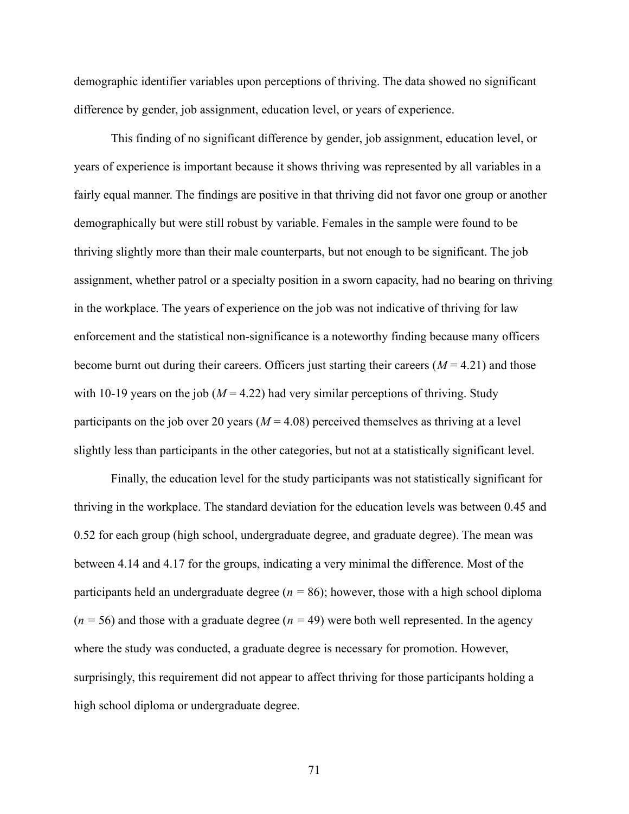demographic identifier variables upon perceptions of thriving. The data showed no significant difference by gender, job assignment, education level, or years of experience.

This finding of no significant difference by gender, job assignment, education level, or years of experience is important because it shows thriving was represented by all variables in a fairly equal manner. The findings are positive in that thriving did not favor one group or another demographically but were still robust by variable. Females in the sample were found to be thriving slightly more than their male counterparts, but not enough to be significant. The job assignment, whether patrol or a specialty position in a sworn capacity, had no bearing on thriving in the workplace. The years of experience on the job was not indicative of thriving for law enforcement and the statistical non-significance is a noteworthy finding because many officers become burnt out during their careers. Officers just starting their careers ( $M = 4.21$ ) and those with 10-19 years on the job ( $M = 4.22$ ) had very similar perceptions of thriving. Study participants on the job over 20 years ( $M = 4.08$ ) perceived themselves as thriving at a level slightly less than participants in the other categories, but not at a statistically significant level.

Finally, the education level for the study participants was not statistically significant for thriving in the workplace. The standard deviation for the education levels was between 0.45 and 0.52 for each group (high school, undergraduate degree, and graduate degree). The mean was between 4.14 and 4.17 for the groups, indicating a very minimal the difference. Most of the participants held an undergraduate degree ( $n = 86$ ); however, those with a high school diploma  $(n = 56)$  and those with a graduate degree  $(n = 49)$  were both well represented. In the agency where the study was conducted, a graduate degree is necessary for promotion. However, surprisingly, this requirement did not appear to affect thriving for those participants holding a high school diploma or undergraduate degree.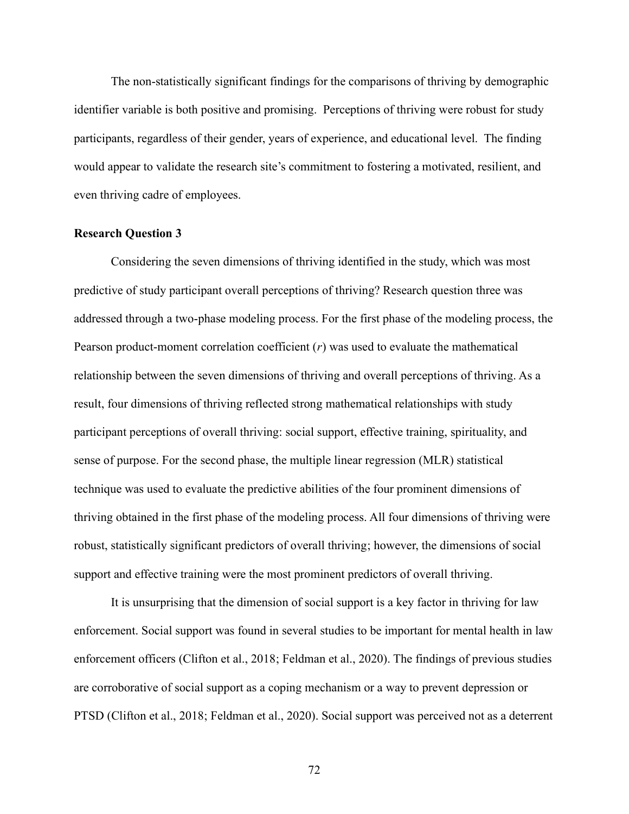The non-statistically significant findings for the comparisons of thriving by demographic identifier variable is both positive and promising. Perceptions of thriving were robust for study participants, regardless of their gender, years of experience, and educational level. The finding would appear to validate the research site's commitment to fostering a motivated, resilient, and even thriving cadre of employees.

#### Research Question 3

Considering the seven dimensions of thriving identified in the study, which was most predictive of study participant overall perceptions of thriving? Research question three was addressed through a two-phase modeling process. For the first phase of the modeling process, the Pearson product-moment correlation coefficient  $(r)$  was used to evaluate the mathematical relationship between the seven dimensions of thriving and overall perceptions of thriving. As a result, four dimensions of thriving reflected strong mathematical relationships with study participant perceptions of overall thriving: social support, effective training, spirituality, and sense of purpose. For the second phase, the multiple linear regression (MLR) statistical technique was used to evaluate the predictive abilities of the four prominent dimensions of thriving obtained in the first phase of the modeling process. All four dimensions of thriving were robust, statistically significant predictors of overall thriving; however, the dimensions of social support and effective training were the most prominent predictors of overall thriving.

It is unsurprising that the dimension of social support is a key factor in thriving for law enforcement. Social support was found in several studies to be important for mental health in law enforcement officers (Clifton et al., 2018; Feldman et al., 2020). The findings of previous studies are corroborative of social support as a coping mechanism or a way to prevent depression or PTSD (Clifton et al., 2018; Feldman et al., 2020). Social support was perceived not as a deterrent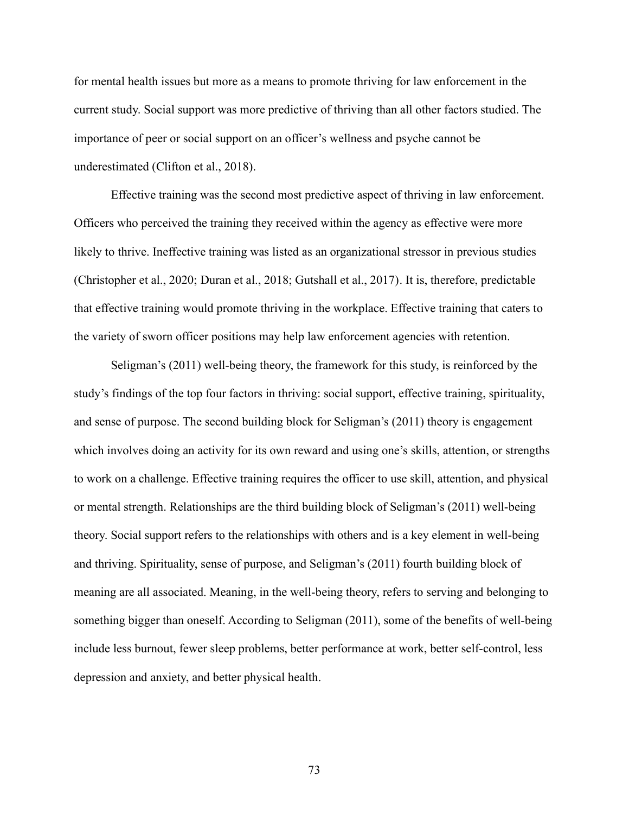for mental health issues but more as a means to promote thriving for law enforcement in the current study. Social support was more predictive of thriving than all other factors studied. The importance of peer or social support on an officer's wellness and psyche cannot be underestimated (Clifton et al., 2018).

Effective training was the second most predictive aspect of thriving in law enforcement. Officers who perceived the training they received within the agency as effective were more likely to thrive. Ineffective training was listed as an organizational stressor in previous studies (Christopher et al., 2020; Duran et al., 2018; Gutshall et al., 2017). It is, therefore, predictable that effective training would promote thriving in the workplace. Effective training that caters to the variety of sworn officer positions may help law enforcement agencies with retention.

Seligman's (2011) well-being theory, the framework for this study, is reinforced by the study's findings of the top four factors in thriving: social support, effective training, spirituality, and sense of purpose. The second building block for Seligman's (2011) theory is engagement which involves doing an activity for its own reward and using one's skills, attention, or strengths to work on a challenge. Effective training requires the officer to use skill, attention, and physical or mental strength. Relationships are the third building block of Seligman's (2011) well-being theory. Social support refers to the relationships with others and is a key element in well-being and thriving. Spirituality, sense of purpose, and Seligman's (2011) fourth building block of meaning are all associated. Meaning, in the well-being theory, refers to serving and belonging to something bigger than oneself. According to Seligman (2011), some of the benefits of well-being include less burnout, fewer sleep problems, better performance at work, better self-control, less depression and anxiety, and better physical health.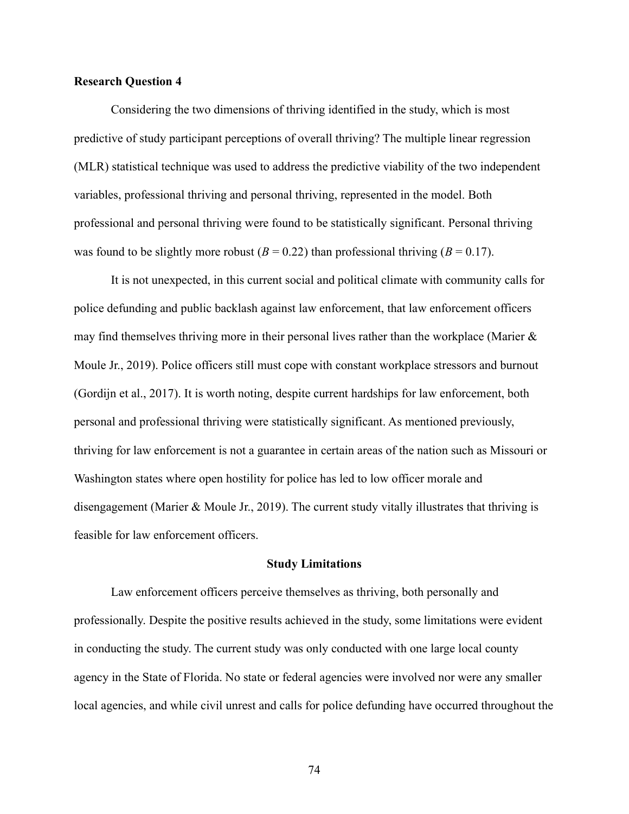#### Research Question 4

Considering the two dimensions of thriving identified in the study, which is most predictive of study participant perceptions of overall thriving? The multiple linear regression (MLR) statistical technique was used to address the predictive viability of the two independent variables, professional thriving and personal thriving, represented in the model. Both professional and personal thriving were found to be statistically significant. Personal thriving was found to be slightly more robust  $(B = 0.22)$  than professional thriving  $(B = 0.17)$ .

It is not unexpected, in this current social and political climate with community calls for police defunding and public backlash against law enforcement, that law enforcement officers may find themselves thriving more in their personal lives rather than the workplace (Marier & Moule Jr., 2019). Police officers still must cope with constant workplace stressors and burnout (Gordijn et al., 2017). It is worth noting, despite current hardships for law enforcement, both personal and professional thriving were statistically significant. As mentioned previously, thriving for law enforcement is not a guarantee in certain areas of the nation such as Missouri or Washington states where open hostility for police has led to low officer morale and disengagement (Marier & Moule Jr., 2019). The current study vitally illustrates that thriving is feasible for law enforcement officers.

#### Study Limitations

Law enforcement officers perceive themselves as thriving, both personally and professionally. Despite the positive results achieved in the study, some limitations were evident in conducting the study. The current study was only conducted with one large local county agency in the State of Florida. No state or federal agencies were involved nor were any smaller local agencies, and while civil unrest and calls for police defunding have occurred throughout the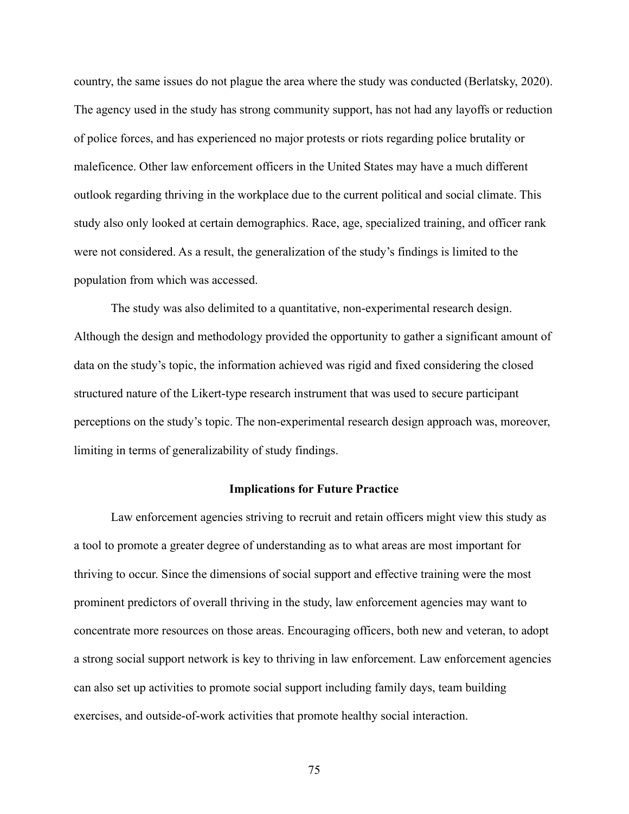country, the same issues do not plague the area where the study was conducted (Berlatsky, 2020). The agency used in the study has strong community support, has not had any layoffs or reduction of police forces, and has experienced no major protests or riots regarding police brutality or maleficence. Other law enforcement officers in the United States may have a much different outlook regarding thriving in the workplace due to the current political and social climate. This study also only looked at certain demographics. Race, age, specialized training, and officer rank were not considered. As a result, the generalization of the study's findings is limited to the population from which was accessed.

The study was also delimited to a quantitative, non-experimental research design. Although the design and methodology provided the opportunity to gather a significant amount of data on the study's topic, the information achieved was rigid and fixed considering the closed structured nature of the Likert-type research instrument that was used to secure participant perceptions on the study's topic. The non-experimental research design approach was, moreover, limiting in terms of generalizability of study findings.

## Implications for Future Practice

Law enforcement agencies striving to recruit and retain officers might view this study as a tool to promote a greater degree of understanding as to what areas are most important for thriving to occur. Since the dimensions of social support and effective training were the most prominent predictors of overall thriving in the study, law enforcement agencies may want to concentrate more resources on those areas. Encouraging officers, both new and veteran, to adopt a strong social support network is key to thriving in law enforcement. Law enforcement agencies can also set up activities to promote social support including family days, team building exercises, and outside-of-work activities that promote healthy social interaction.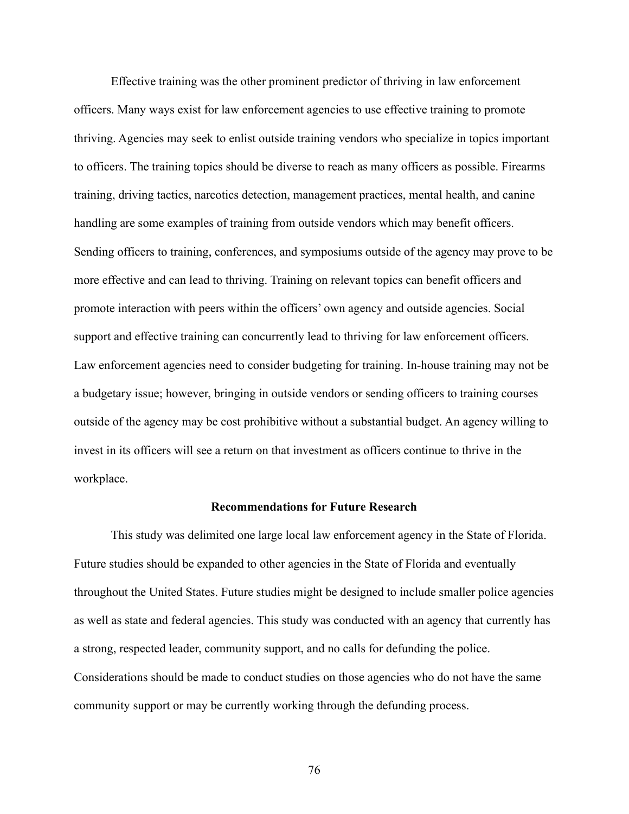Effective training was the other prominent predictor of thriving in law enforcement officers. Many ways exist for law enforcement agencies to use effective training to promote thriving. Agencies may seek to enlist outside training vendors who specialize in topics important to officers. The training topics should be diverse to reach as many officers as possible. Firearms training, driving tactics, narcotics detection, management practices, mental health, and canine handling are some examples of training from outside vendors which may benefit officers. Sending officers to training, conferences, and symposiums outside of the agency may prove to be more effective and can lead to thriving. Training on relevant topics can benefit officers and promote interaction with peers within the officers' own agency and outside agencies. Social support and effective training can concurrently lead to thriving for law enforcement officers. Law enforcement agencies need to consider budgeting for training. In-house training may not be a budgetary issue; however, bringing in outside vendors or sending officers to training courses outside of the agency may be cost prohibitive without a substantial budget. An agency willing to invest in its officers will see a return on that investment as officers continue to thrive in the workplace.

#### Recommendations for Future Research

This study was delimited one large local law enforcement agency in the State of Florida. Future studies should be expanded to other agencies in the State of Florida and eventually throughout the United States. Future studies might be designed to include smaller police agencies as well as state and federal agencies. This study was conducted with an agency that currently has a strong, respected leader, community support, and no calls for defunding the police. Considerations should be made to conduct studies on those agencies who do not have the same community support or may be currently working through the defunding process.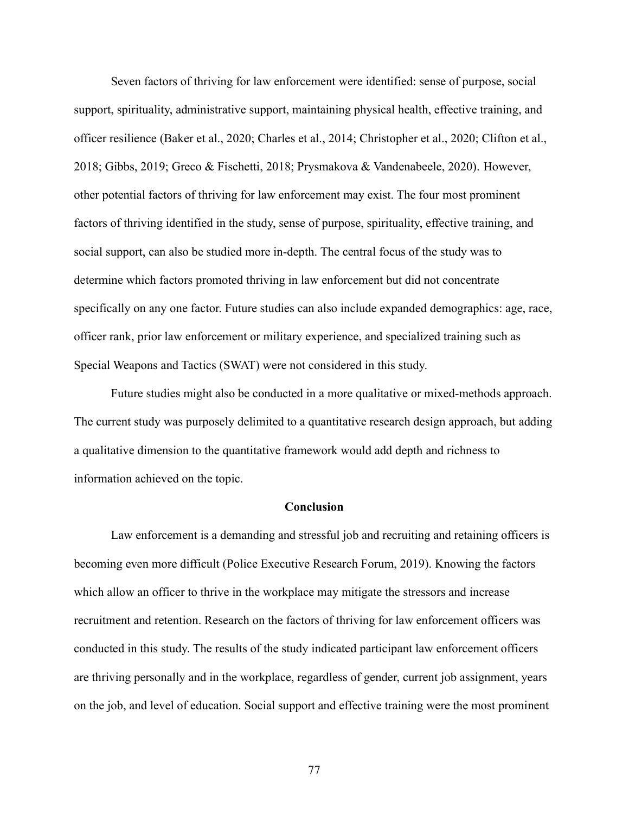Seven factors of thriving for law enforcement were identified: sense of purpose, social support, spirituality, administrative support, maintaining physical health, effective training, and officer resilience (Baker et al., 2020; Charles et al., 2014; Christopher et al., 2020; Clifton et al., 2018; Gibbs, 2019; Greco & Fischetti, 2018; Prysmakova & Vandenabeele, 2020). However, other potential factors of thriving for law enforcement may exist. The four most prominent factors of thriving identified in the study, sense of purpose, spirituality, effective training, and social support, can also be studied more in-depth. The central focus of the study was to determine which factors promoted thriving in law enforcement but did not concentrate specifically on any one factor. Future studies can also include expanded demographics: age, race, officer rank, prior law enforcement or military experience, and specialized training such as Special Weapons and Tactics (SWAT) were not considered in this study.

Future studies might also be conducted in a more qualitative or mixed-methods approach. The current study was purposely delimited to a quantitative research design approach, but adding a qualitative dimension to the quantitative framework would add depth and richness to information achieved on the topic.

#### **Conclusion**

Law enforcement is a demanding and stressful job and recruiting and retaining officers is becoming even more difficult (Police Executive Research Forum, 2019). Knowing the factors which allow an officer to thrive in the workplace may mitigate the stressors and increase recruitment and retention. Research on the factors of thriving for law enforcement officers was conducted in this study. The results of the study indicated participant law enforcement officers are thriving personally and in the workplace, regardless of gender, current job assignment, years on the job, and level of education. Social support and effective training were the most prominent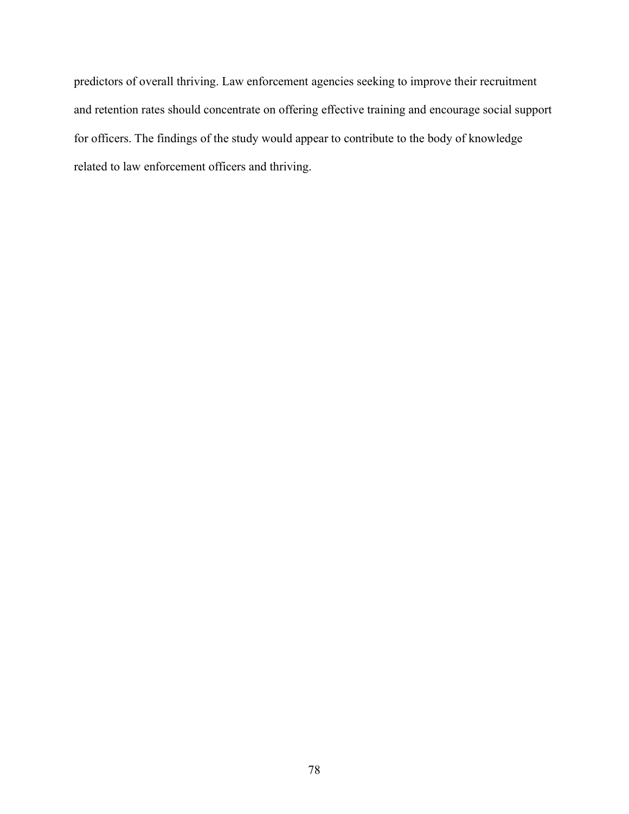predictors of overall thriving. Law enforcement agencies seeking to improve their recruitment and retention rates should concentrate on offering effective training and encourage social support for officers. The findings of the study would appear to contribute to the body of knowledge related to law enforcement officers and thriving.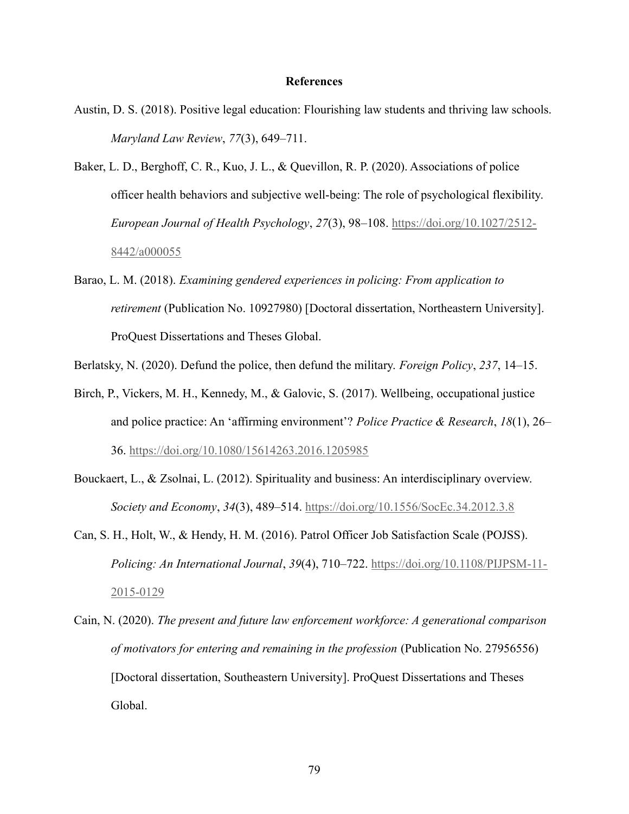#### References

- Austin, D. S. (2018). Positive legal education: Flourishing law students and thriving law schools. Maryland Law Review, 77(3), 649–711.
- Baker, L. D., Berghoff, C. R., Kuo, J. L., & Quevillon, R. P. (2020). Associations of police officer health behaviors and subjective well-being: The role of psychological flexibility. European Journal of Health Psychology, 27(3), 98–108. https://doi.org/10.1027/2512- 8442/a000055
- Barao, L. M. (2018). Examining gendered experiences in policing: From application to retirement (Publication No. 10927980) [Doctoral dissertation, Northeastern University]. ProQuest Dissertations and Theses Global.
- Berlatsky, N. (2020). Defund the police, then defund the military. *Foreign Policy*, 237, 14–15.
- Birch, P., Vickers, M. H., Kennedy, M., & Galovic, S. (2017). Wellbeing, occupational justice and police practice: An 'affirming environment'? Police Practice & Research, 18(1), 26– 36. https://doi.org/10.1080/15614263.2016.1205985
- Bouckaert, L., & Zsolnai, L. (2012). Spirituality and business: An interdisciplinary overview. Society and Economy, 34(3), 489–514. https://doi.org/10.1556/SocEc.34.2012.3.8
- Can, S. H., Holt, W., & Hendy, H. M. (2016). Patrol Officer Job Satisfaction Scale (POJSS). Policing: An International Journal, 39(4), 710–722. https://doi.org/10.1108/PIJPSM-11-2015-0129
- Cain, N. (2020). The present and future law enforcement workforce: A generational comparison of motivators for entering and remaining in the profession (Publication No. 27956556) [Doctoral dissertation, Southeastern University]. ProQuest Dissertations and Theses Global.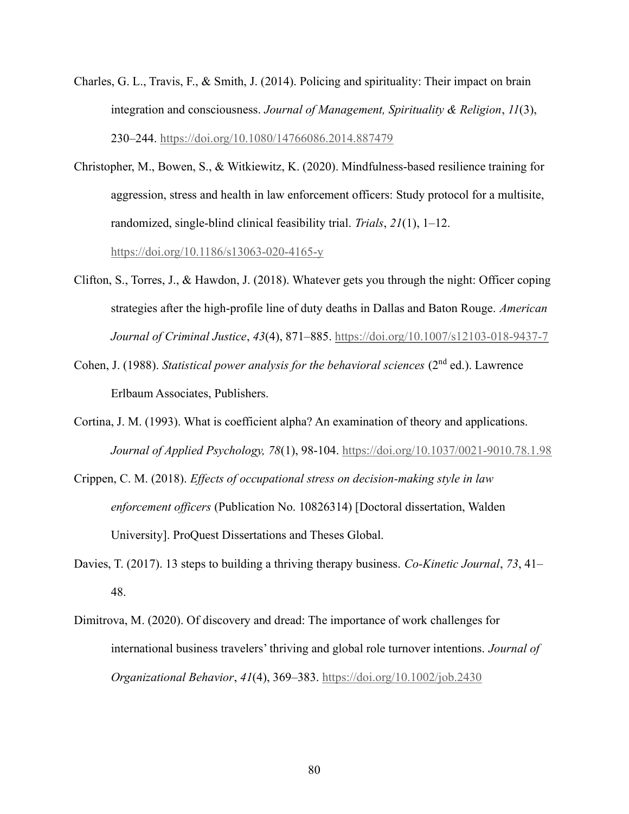- Charles, G. L., Travis, F., & Smith, J. (2014). Policing and spirituality: Their impact on brain integration and consciousness. Journal of Management, Spirituality & Religion,  $11(3)$ , 230–244. https://doi.org/10.1080/14766086.2014.887479
- Christopher, M., Bowen, S., & Witkiewitz, K. (2020). Mindfulness-based resilience training for aggression, stress and health in law enforcement officers: Study protocol for a multisite, randomized, single-blind clinical feasibility trial. Trials,  $2I(1)$ ,  $1-12$ .

https://doi.org/10.1186/s13063-020-4165-y

- Clifton, S., Torres, J., & Hawdon, J. (2018). Whatever gets you through the night: Officer coping strategies after the high-profile line of duty deaths in Dallas and Baton Rouge. American Journal of Criminal Justice, 43(4), 871–885. https://doi.org/10.1007/s12103-018-9437-7
- Cohen, J. (1988). Statistical power analysis for the behavioral sciences ( $2<sup>nd</sup>$  ed.). Lawrence Erlbaum Associates, Publishers.
- Cortina, J. M. (1993). What is coefficient alpha? An examination of theory and applications. Journal of Applied Psychology, 78(1), 98-104. https://doi.org/10.1037/0021-9010.78.1.98
- Crippen, C. M. (2018). Effects of occupational stress on decision-making style in law enforcement officers (Publication No. 10826314) [Doctoral dissertation, Walden University]. ProQuest Dissertations and Theses Global.
- Davies, T. (2017). 13 steps to building a thriving therapy business. Co-Kinetic Journal, 73, 41– 48.
- Dimitrova, M. (2020). Of discovery and dread: The importance of work challenges for international business travelers' thriving and global role turnover intentions. Journal of Organizational Behavior, 41(4), 369–383. https://doi.org/10.1002/job.2430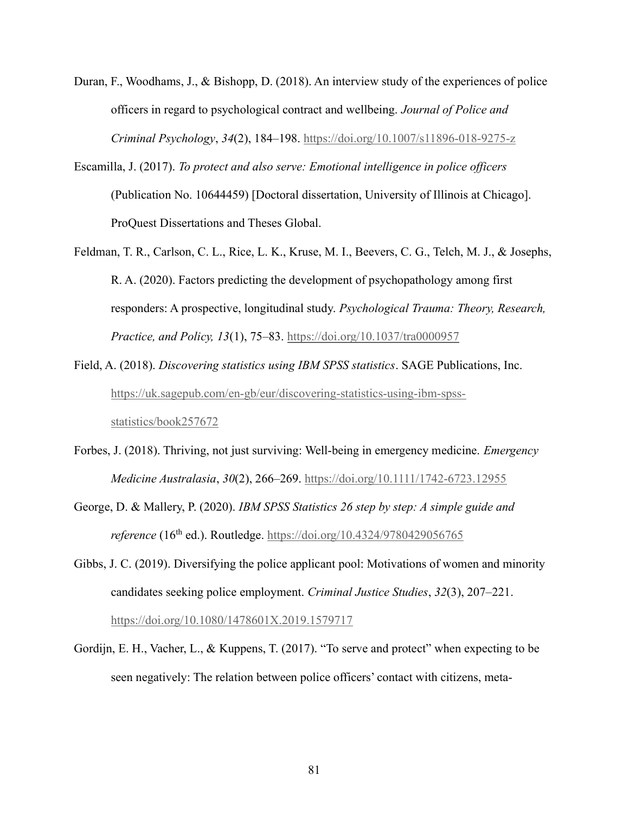- Duran, F., Woodhams, J., & Bishopp, D. (2018). An interview study of the experiences of police officers in regard to psychological contract and wellbeing. Journal of Police and Criminal Psychology, 34(2), 184–198. https://doi.org/10.1007/s11896-018-9275-z
- Escamilla, J. (2017). To protect and also serve: Emotional intelligence in police officers (Publication No. 10644459) [Doctoral dissertation, University of Illinois at Chicago]. ProQuest Dissertations and Theses Global.
- Feldman, T. R., Carlson, C. L., Rice, L. K., Kruse, M. I., Beevers, C. G., Telch, M. J., & Josephs, R. A. (2020). Factors predicting the development of psychopathology among first responders: A prospective, longitudinal study. Psychological Trauma: Theory, Research, Practice, and Policy, 13(1), 75–83. https://doi.org/10.1037/tra0000957
- Field, A. (2018). Discovering statistics using IBM SPSS statistics. SAGE Publications, Inc. https://uk.sagepub.com/en-gb/eur/discovering-statistics-using-ibm-spssstatistics/book257672
- Forbes, J. (2018). Thriving, not just surviving: Well-being in emergency medicine. Emergency Medicine Australasia, 30(2), 266–269. https://doi.org/10.1111/1742-6723.12955
- George, D. & Mallery, P. (2020). IBM SPSS Statistics 26 step by step: A simple guide and  $reference (16<sup>th</sup> ed.).$  Routledge. https://doi.org/10.4324/9780429056765
- Gibbs, J. C. (2019). Diversifying the police applicant pool: Motivations of women and minority candidates seeking police employment. Criminal Justice Studies, 32(3), 207–221. https://doi.org/10.1080/1478601X.2019.1579717
- Gordijn, E. H., Vacher, L., & Kuppens, T. (2017). "To serve and protect" when expecting to be seen negatively: The relation between police officers' contact with citizens, meta-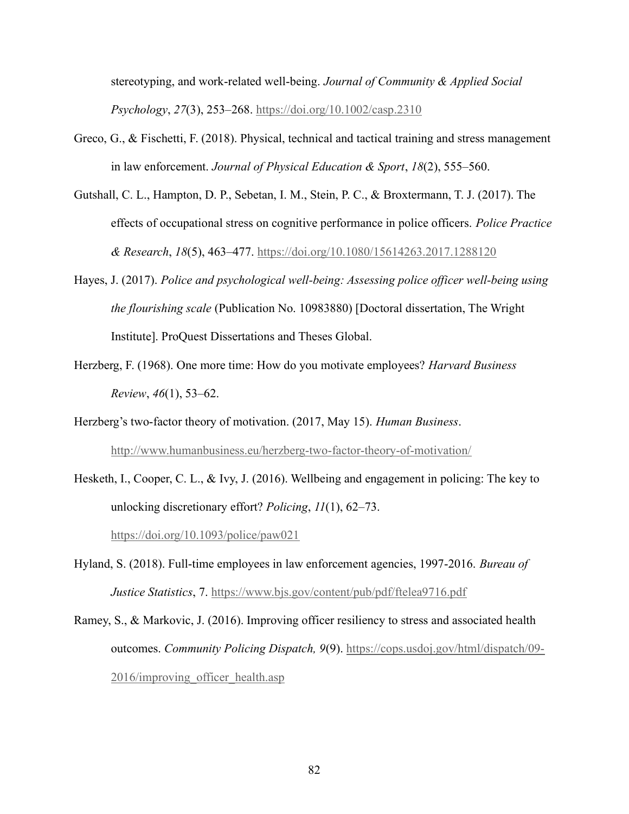stereotyping, and work-related well-being. Journal of Community & Applied Social Psychology, 27(3), 253–268. https://doi.org/10.1002/casp.2310

- Greco, G., & Fischetti, F. (2018). Physical, technical and tactical training and stress management in law enforcement. Journal of Physical Education & Sport, 18(2), 555–560.
- Gutshall, C. L., Hampton, D. P., Sebetan, I. M., Stein, P. C., & Broxtermann, T. J. (2017). The effects of occupational stress on cognitive performance in police officers. Police Practice  $\&$  Research, 18(5), 463–477. https://doi.org/10.1080/15614263.2017.1288120
- Hayes, J. (2017). Police and psychological well-being: Assessing police officer well-being using the flourishing scale (Publication No. 10983880) [Doctoral dissertation, The Wright Institute]. ProQuest Dissertations and Theses Global.
- Herzberg, F. (1968). One more time: How do you motivate employees? Harvard Business *Review*,  $46(1)$ , 53–62.
- Herzberg's two-factor theory of motivation. (2017, May 15). Human Business. http://www.humanbusiness.eu/herzberg-two-factor-theory-of-motivation/
- Hesketh, I., Cooper, C. L., & Ivy, J. (2016). Wellbeing and engagement in policing: The key to unlocking discretionary effort? *Policing*, 11(1), 62–73. https://doi.org/10.1093/police/paw021
- Hyland, S. (2018). Full-time employees in law enforcement agencies, 1997-2016. Bureau of Justice Statistics, 7. https://www.bjs.gov/content/pub/pdf/ftelea9716.pdf
- Ramey, S., & Markovic, J. (2016). Improving officer resiliency to stress and associated health outcomes. Community Policing Dispatch, 9(9). https://cops.usdoj.gov/html/dispatch/09- 2016/improving officer health.asp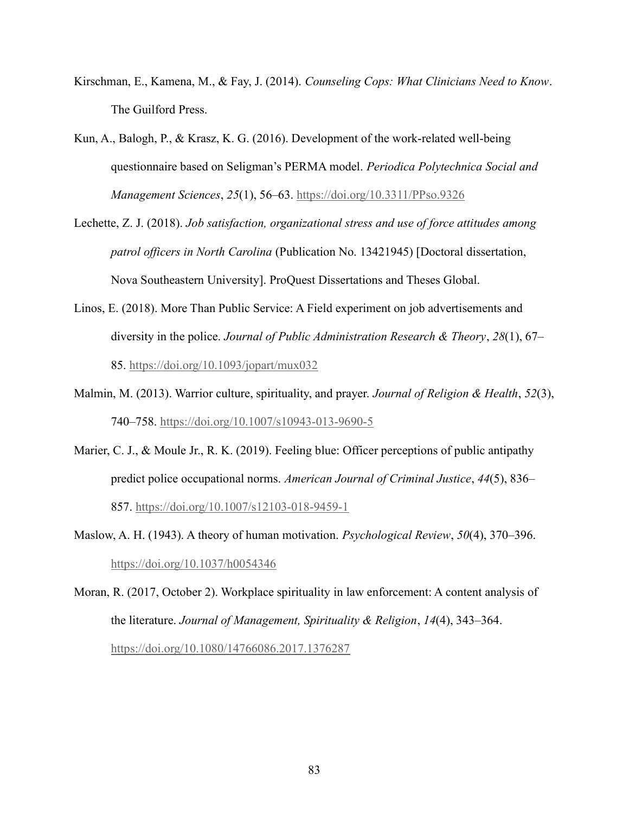- Kirschman, E., Kamena, M., & Fay, J. (2014). Counseling Cops: What Clinicians Need to Know. The Guilford Press.
- Kun, A., Balogh, P., & Krasz, K. G. (2016). Development of the work-related well-being questionnaire based on Seligman's PERMA model. Periodica Polytechnica Social and Management Sciences, 25(1), 56–63. https://doi.org/10.3311/PPso.9326
- Lechette, Z. J. (2018). Job satisfaction, organizational stress and use of force attitudes among patrol officers in North Carolina (Publication No. 13421945) [Doctoral dissertation, Nova Southeastern University]. ProQuest Dissertations and Theses Global.
- Linos, E. (2018). More Than Public Service: A Field experiment on job advertisements and diversity in the police. Journal of Public Administration Research & Theory,  $28(1)$ , 67– 85. https://doi.org/10.1093/jopart/mux032
- Malmin, M. (2013). Warrior culture, spirituality, and prayer. Journal of Religion & Health,  $52(3)$ , 740–758. https://doi.org/10.1007/s10943-013-9690-5
- Marier, C. J., & Moule Jr., R. K. (2019). Feeling blue: Officer perceptions of public antipathy predict police occupational norms. American Journal of Criminal Justice, 44(5), 836– 857. https://doi.org/10.1007/s12103-018-9459-1
- Maslow, A. H. (1943). A theory of human motivation. Psychological Review, 50(4), 370–396. https://doi.org/10.1037/h0054346
- Moran, R. (2017, October 2). Workplace spirituality in law enforcement: A content analysis of the literature. Journal of Management, Spirituality & Religion, 14(4), 343–364. https://doi.org/10.1080/14766086.2017.1376287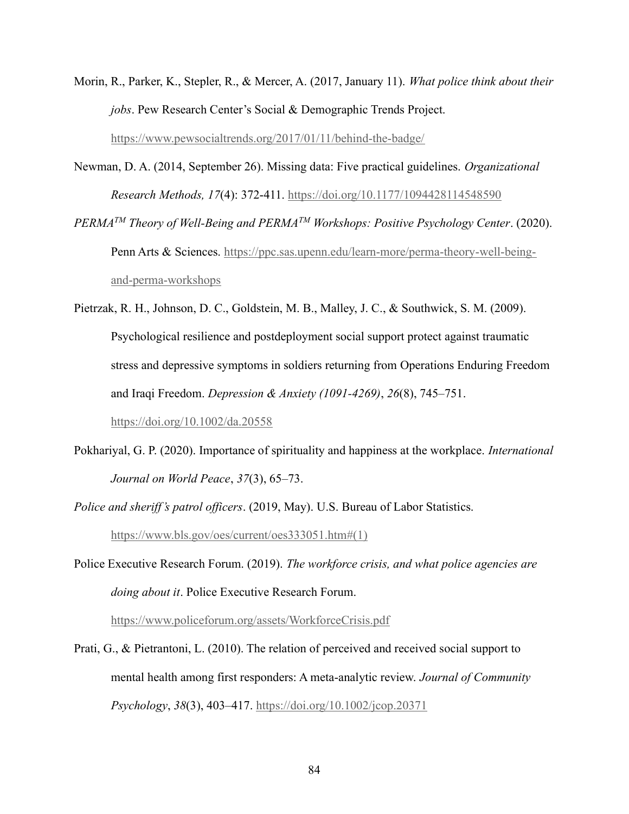- Morin, R., Parker, K., Stepler, R., & Mercer, A. (2017, January 11). What police think about their jobs. Pew Research Center's Social & Demographic Trends Project. https://www.pewsocialtrends.org/2017/01/11/behind-the-badge/
- Newman, D. A. (2014, September 26). Missing data: Five practical guidelines. Organizational Research Methods, 17(4): 372-411. https://doi.org/10.1177/1094428114548590
- $PERMA^{TM}$  Theory of Well-Being and  $PERMA^{TM}$  Workshops: Positive Psychology Center. (2020). Penn Arts & Sciences. https://ppc.sas.upenn.edu/learn-more/perma-theory-well-beingand-perma-workshops

Pietrzak, R. H., Johnson, D. C., Goldstein, M. B., Malley, J. C., & Southwick, S. M. (2009). Psychological resilience and postdeployment social support protect against traumatic stress and depressive symptoms in soldiers returning from Operations Enduring Freedom and Iraqi Freedom. Depression & Anxiety (1091-4269), 26(8), 745–751.

https://doi.org/10.1002/da.20558

Pokhariyal, G. P. (2020). Importance of spirituality and happiness at the workplace. International Journal on World Peace, 37(3), 65–73.

Police and sheriff's patrol officers. (2019, May). U.S. Bureau of Labor Statistics. https://www.bls.gov/oes/current/oes333051.htm#(1)

Police Executive Research Forum. (2019). The workforce crisis, and what police agencies are doing about it. Police Executive Research Forum.

https://www.policeforum.org/assets/WorkforceCrisis.pdf

Prati, G., & Pietrantoni, L. (2010). The relation of perceived and received social support to mental health among first responders: A meta-analytic review. Journal of Community Psychology, 38(3), 403–417. https://doi.org/10.1002/jcop.20371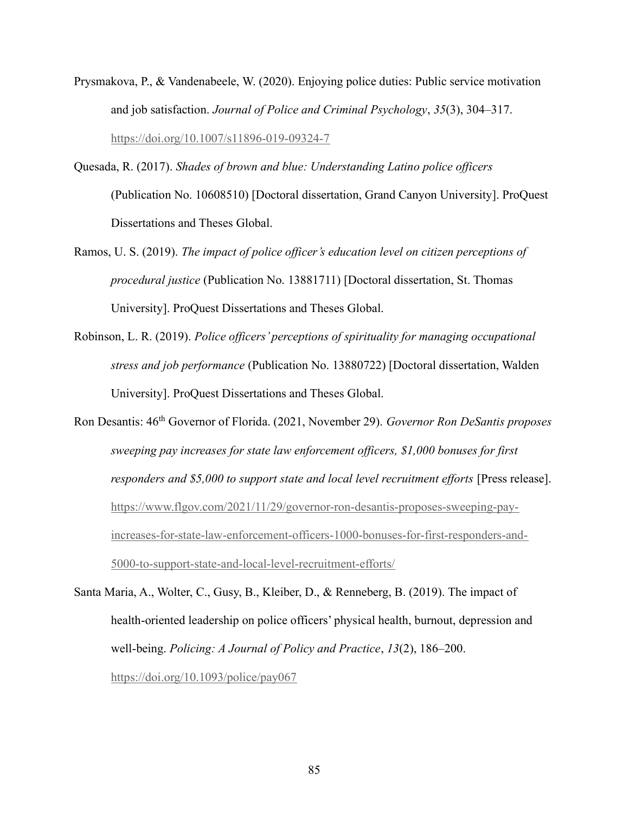- Prysmakova, P., & Vandenabeele, W. (2020). Enjoying police duties: Public service motivation and job satisfaction. Journal of Police and Criminal Psychology, 35(3), 304–317. https://doi.org/10.1007/s11896-019-09324-7
- Quesada, R. (2017). Shades of brown and blue: Understanding Latino police officers (Publication No. 10608510) [Doctoral dissertation, Grand Canyon University]. ProQuest Dissertations and Theses Global.
- Ramos, U. S. (2019). The impact of police officer's education level on citizen perceptions of procedural justice (Publication No. 13881711) [Doctoral dissertation, St. Thomas University]. ProQuest Dissertations and Theses Global.
- Robinson, L. R. (2019). Police officers' perceptions of spirituality for managing occupational stress and job performance (Publication No. 13880722) [Doctoral dissertation, Walden University]. ProQuest Dissertations and Theses Global.
- Ron Desantis: 46<sup>th</sup> Governor of Florida. (2021, November 29). Governor Ron DeSantis proposes sweeping pay increases for state law enforcement officers, \$1,000 bonuses for first responders and \$5,000 to support state and local level recruitment efforts [Press release]. https://www.flgov.com/2021/11/29/governor-ron-desantis-proposes-sweeping-payincreases-for-state-law-enforcement-officers-1000-bonuses-for-first-responders-and-5000-to-support-state-and-local-level-recruitment-efforts/
- Santa Maria, A., Wolter, C., Gusy, B., Kleiber, D., & Renneberg, B. (2019). The impact of health-oriented leadership on police officers' physical health, burnout, depression and well-being. Policing: A Journal of Policy and Practice, 13(2), 186–200. https://doi.org/10.1093/police/pay067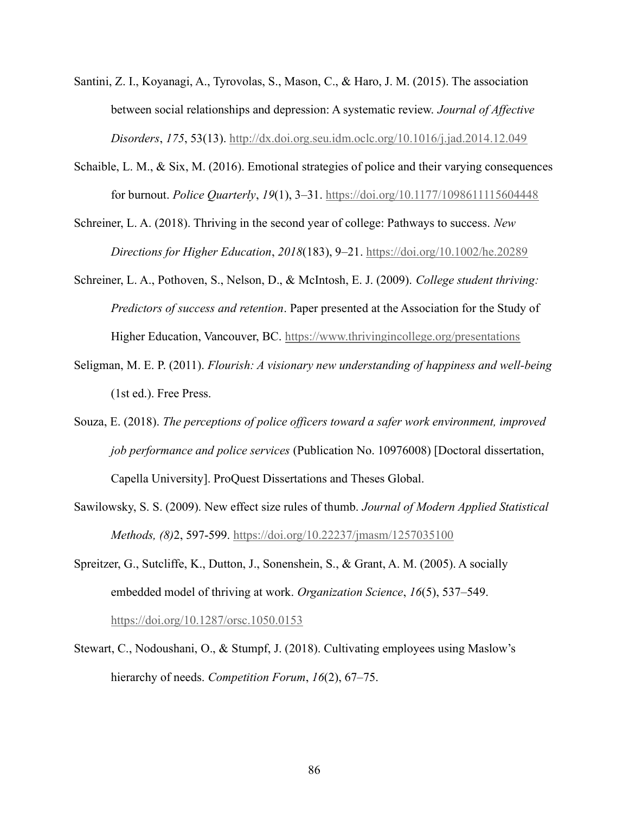- Santini, Z. I., Koyanagi, A., Tyrovolas, S., Mason, C., & Haro, J. M. (2015). The association between social relationships and depression: A systematic review. Journal of Affective Disorders, 175, 53(13). http://dx.doi.org.seu.idm.oclc.org/10.1016/j.jad.2014.12.049
- Schaible, L. M., & Six, M. (2016). Emotional strategies of police and their varying consequences for burnout. Police Quarterly, 19(1), 3–31. https://doi.org/10.1177/1098611115604448
- Schreiner, L. A. (2018). Thriving in the second year of college: Pathways to success. New Directions for Higher Education, 2018(183), 9–21. https://doi.org/10.1002/he.20289
- Schreiner, L. A., Pothoven, S., Nelson, D., & McIntosh, E. J. (2009). College student thriving: Predictors of success and retention. Paper presented at the Association for the Study of Higher Education, Vancouver, BC. https://www.thrivingincollege.org/presentations
- Seligman, M. E. P. (2011). Flourish: A visionary new understanding of happiness and well-being (1st ed.). Free Press.
- Souza, E. (2018). The perceptions of police officers toward a safer work environment, improved job performance and police services (Publication No. 10976008) [Doctoral dissertation, Capella University]. ProQuest Dissertations and Theses Global.
- Sawilowsky, S. S. (2009). New effect size rules of thumb. Journal of Modern Applied Statistical Methods, (8)2, 597-599. https://doi.org/10.22237/jmasm/1257035100
- Spreitzer, G., Sutcliffe, K., Dutton, J., Sonenshein, S., & Grant, A. M. (2005). A socially embedded model of thriving at work. Organization Science, 16(5), 537–549. https://doi.org/10.1287/orsc.1050.0153
- Stewart, C., Nodoushani, O., & Stumpf, J. (2018). Cultivating employees using Maslow's hierarchy of needs. Competition Forum, 16(2), 67–75.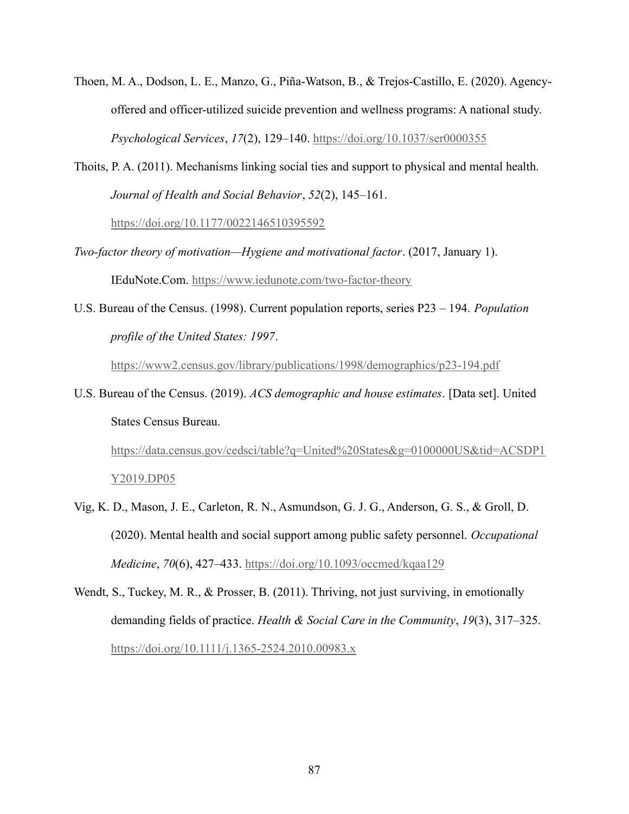- Thoen, M. A., Dodson, L. E., Manzo, G., Piña-Watson, B., & Trejos-Castillo, E. (2020). Agencyoffered and officer-utilized suicide prevention and wellness programs: A national study. Psychological Services, 17(2), 129–140. https://doi.org/10.1037/ser0000355
- Thoits, P. A. (2011). Mechanisms linking social ties and support to physical and mental health. Journal of Health and Social Behavior, 52(2), 145–161.

https://doi.org/10.1177/0022146510395592

- Two-factor theory of motivation—Hygiene and motivational factor. (2017, January 1). IEduNote.Com. https://www.iedunote.com/two-factor-theory
- U.S. Bureau of the Census. (1998). Current population reports, series P23 194. Population profile of the United States: 1997.

https://www2.census.gov/library/publications/1998/demographics/p23-194.pdf

U.S. Bureau of the Census. (2019). ACS demographic and house estimates. [Data set]. United States Census Bureau.

https://data.census.gov/cedsci/table?q=United%20States&g=0100000US&tid=ACSDP1 Y2019.DP05

- Vig, K. D., Mason, J. E., Carleton, R. N., Asmundson, G. J. G., Anderson, G. S., & Groll, D. (2020). Mental health and social support among public safety personnel. Occupational Medicine, 70(6), 427–433. https://doi.org/10.1093/occmed/kqaa129
- Wendt, S., Tuckey, M. R., & Prosser, B. (2011). Thriving, not just surviving, in emotionally demanding fields of practice. Health & Social Care in the Community, 19(3), 317–325. https://doi.org/10.1111/j.1365-2524.2010.00983.x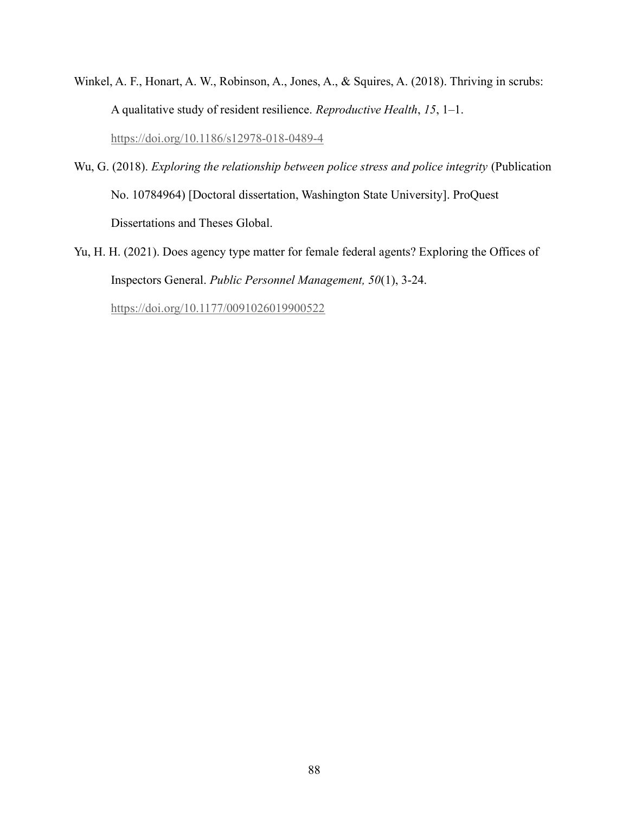- Winkel, A. F., Honart, A. W., Robinson, A., Jones, A., & Squires, A. (2018). Thriving in scrubs: A qualitative study of resident resilience. Reproductive Health, 15, 1–1. https://doi.org/10.1186/s12978-018-0489-4
- Wu, G. (2018). Exploring the relationship between police stress and police integrity (Publication No. 10784964) [Doctoral dissertation, Washington State University]. ProQuest Dissertations and Theses Global.
- Yu, H. H. (2021). Does agency type matter for female federal agents? Exploring the Offices of Inspectors General. Public Personnel Management, 50(1), 3-24.

https://doi.org/10.1177/0091026019900522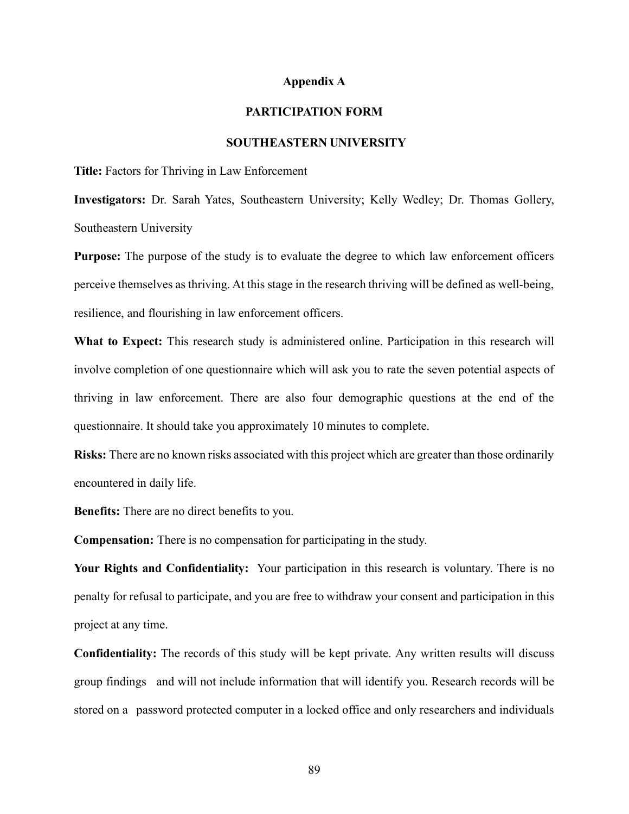#### Appendix A

### PARTICIPATION FORM

# SOUTHEASTERN UNIVERSITY

Title: Factors for Thriving in Law Enforcement

Investigators: Dr. Sarah Yates, Southeastern University; Kelly Wedley; Dr. Thomas Gollery, Southeastern University

Purpose: The purpose of the study is to evaluate the degree to which law enforcement officers perceive themselves as thriving. At this stage in the research thriving will be defined as well-being, resilience, and flourishing in law enforcement officers.

What to Expect: This research study is administered online. Participation in this research will involve completion of one questionnaire which will ask you to rate the seven potential aspects of thriving in law enforcement. There are also four demographic questions at the end of the questionnaire. It should take you approximately 10 minutes to complete.

Risks: There are no known risks associated with this project which are greater than those ordinarily encountered in daily life.

Benefits: There are no direct benefits to you.

Compensation: There is no compensation for participating in the study.

Your Rights and Confidentiality: Your participation in this research is voluntary. There is no penalty for refusal to participate, and you are free to withdraw your consent and participation in this project at any time.

Confidentiality: The records of this study will be kept private. Any written results will discuss group findings and will not include information that will identify you. Research records will be stored on a password protected computer in a locked office and only researchers and individuals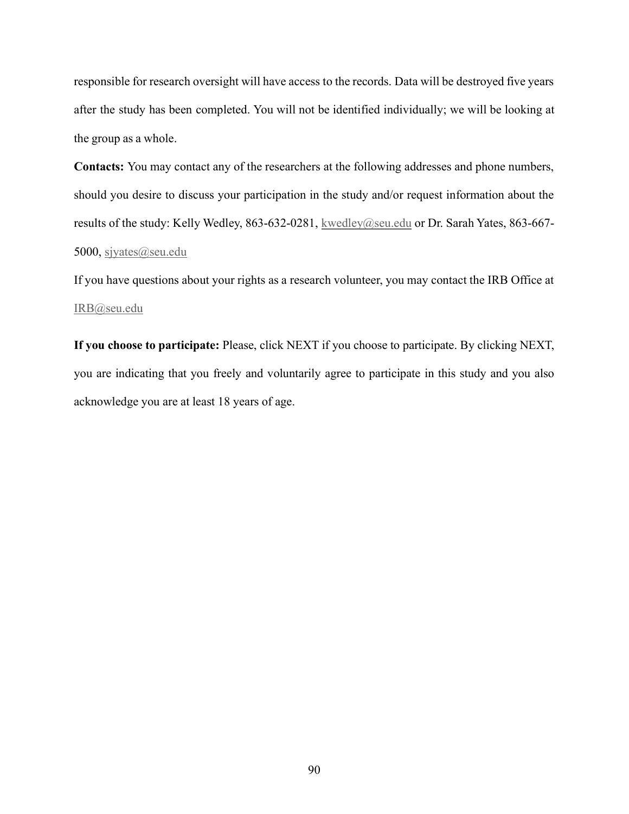responsible for research oversight will have access to the records. Data will be destroyed five years after the study has been completed. You will not be identified individually; we will be looking at the group as a whole.

Contacts: You may contact any of the researchers at the following addresses and phone numbers, should you desire to discuss your participation in the study and/or request information about the results of the study: Kelly Wedley, 863-632-0281, kwedley@seu.edu or Dr. Sarah Yates, 863-667-5000, sjyates@seu.edu

If you have questions about your rights as a research volunteer, you may contact the IRB Office at IRB@seu.edu

If you choose to participate: Please, click NEXT if you choose to participate. By clicking NEXT, you are indicating that you freely and voluntarily agree to participate in this study and you also acknowledge you are at least 18 years of age.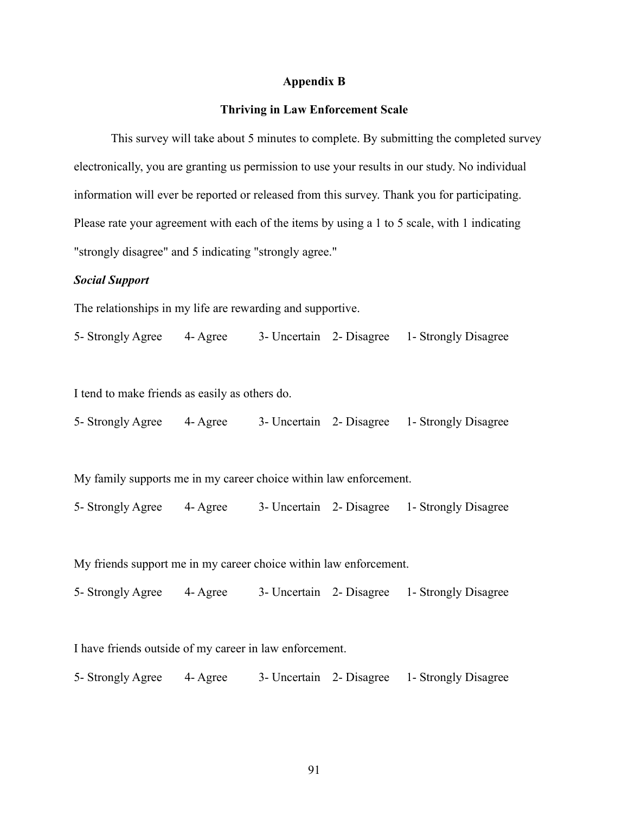#### Appendix B

#### Thriving in Law Enforcement Scale

This survey will take about 5 minutes to complete. By submitting the completed survey electronically, you are granting us permission to use your results in our study. No individual information will ever be reported or released from this survey. Thank you for participating. Please rate your agreement with each of the items by using a 1 to 5 scale, with 1 indicating "strongly disagree" and 5 indicating "strongly agree."

## Social Support

The relationships in my life are rewarding and supportive.

|  | 5- Strongly Agree | 4- Agree |  |  | 3- Uncertain 2- Disagree 1- Strongly Disagree |
|--|-------------------|----------|--|--|-----------------------------------------------|
|--|-------------------|----------|--|--|-----------------------------------------------|

I tend to make friends as easily as others do.

5- Strongly Agree 4- Agree 3- Uncertain 2- Disagree 1- Strongly Disagree

My family supports me in my career choice within law enforcement.

5- Strongly Agree 4- Agree 3- Uncertain 2- Disagree 1- Strongly Disagree

My friends support me in my career choice within law enforcement.

5- Strongly Agree 4- Agree 3- Uncertain 2- Disagree 1- Strongly Disagree

I have friends outside of my career in law enforcement.

5- Strongly Agree 4- Agree 3- Uncertain 2- Disagree 1- Strongly Disagree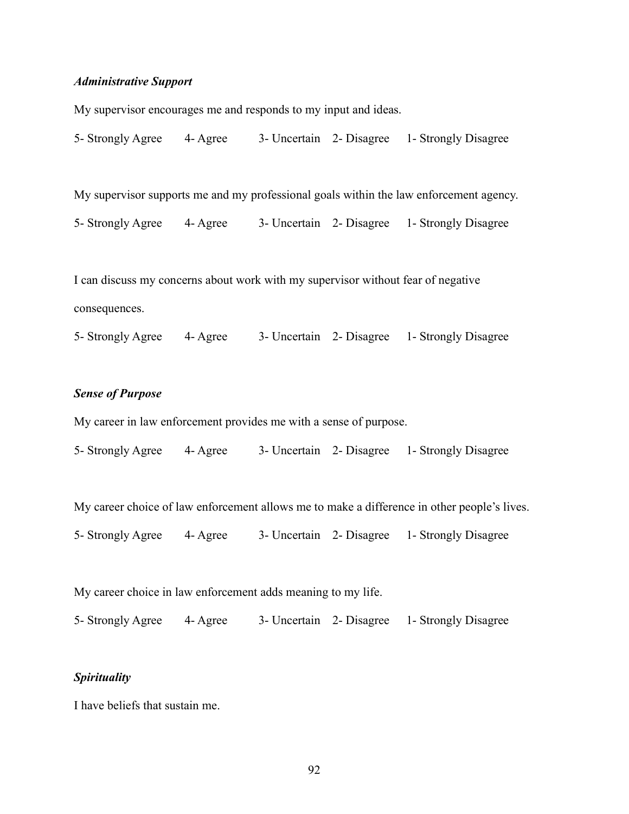## Administrative Support

My supervisor encourages me and responds to my input and ideas.

| 3- Uncertain 2- Disagree 1- Strongly Disagree<br>5- Strongly Agree 4- Agree |
|-----------------------------------------------------------------------------|
|-----------------------------------------------------------------------------|

My supervisor supports me and my professional goals within the law enforcement agency.

| 5- Strongly Agree 4- Agree |  |  |  | 3- Uncertain 2- Disagree 1- Strongly Disagree |
|----------------------------|--|--|--|-----------------------------------------------|
|----------------------------|--|--|--|-----------------------------------------------|

I can discuss my concerns about work with my supervisor without fear of negative consequences.

5- Strongly Agree 4- Agree 3- Uncertain 2- Disagree 1- Strongly Disagree

# Sense of Purpose

My career in law enforcement provides me with a sense of purpose.

5- Strongly Agree 4- Agree 3- Uncertain 2- Disagree 1- Strongly Disagree

My career choice of law enforcement allows me to make a difference in other people's lives.

5- Strongly Agree 4- Agree 3- Uncertain 2- Disagree 1- Strongly Disagree

My career choice in law enforcement adds meaning to my life.

5- Strongly Agree 4- Agree 3- Uncertain 2- Disagree 1- Strongly Disagree

### **Spirituality**

I have beliefs that sustain me.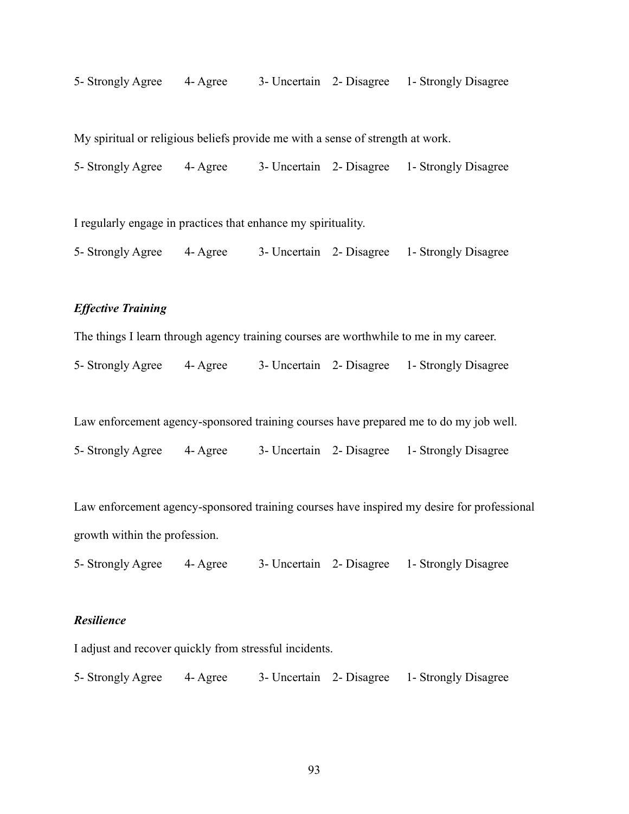5- Strongly Agree 4- Agree 3- Uncertain 2- Disagree 1- Strongly Disagree

My spiritual or religious beliefs provide me with a sense of strength at work.

5- Strongly Agree 4- Agree 3- Uncertain 2- Disagree 1- Strongly Disagree

I regularly engage in practices that enhance my spirituality.

5- Strongly Agree 4- Agree 3- Uncertain 2- Disagree 1- Strongly Disagree

# Effective Training

The things I learn through agency training courses are worthwhile to me in my career.

| 5- Strongly Agree 4- Agree |  | 3- Uncertain 2- Disagree 1- Strongly Disagree |
|----------------------------|--|-----------------------------------------------|

Law enforcement agency-sponsored training courses have prepared me to do my job well.

5- Strongly Agree 4- Agree 3- Uncertain 2- Disagree 1- Strongly Disagree

Law enforcement agency-sponsored training courses have inspired my desire for professional growth within the profession.

5- Strongly Agree 4- Agree 3- Uncertain 2- Disagree 1- Strongly Disagree

#### Resilience

I adjust and recover quickly from stressful incidents.

5- Strongly Agree 4- Agree 3- Uncertain 2- Disagree 1- Strongly Disagree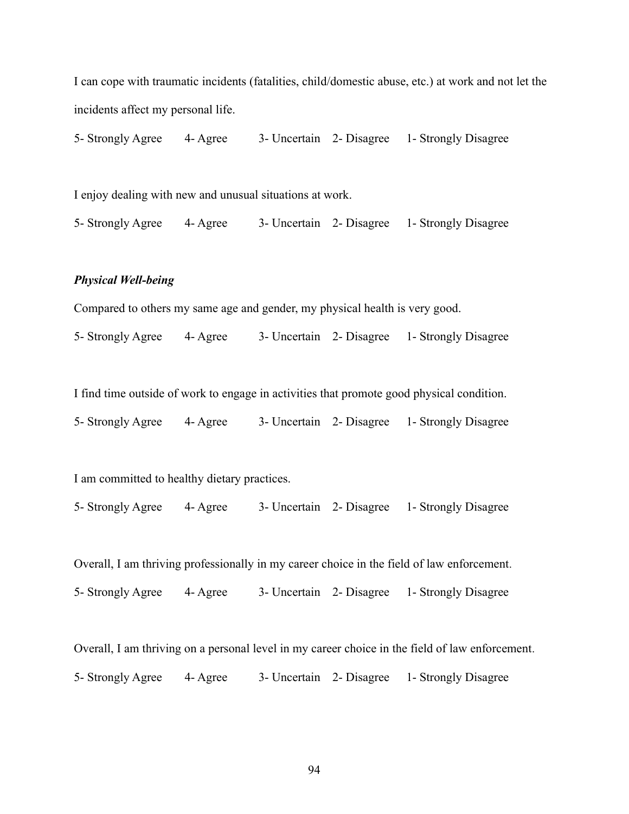I can cope with traumatic incidents (fatalities, child/domestic abuse, etc.) at work and not let the incidents affect my personal life.

5- Strongly Agree 4- Agree 3- Uncertain 2- Disagree 1- Strongly Disagree

I enjoy dealing with new and unusual situations at work.

5- Strongly Agree 4- Agree 3- Uncertain 2- Disagree 1- Strongly Disagree

## Physical Well-being

Compared to others my same age and gender, my physical health is very good.

| 5- Strongly Agree | 4- Agree |  | 3- Uncertain 2- Disagree 1- Strongly Disagree |
|-------------------|----------|--|-----------------------------------------------|
|                   |          |  |                                               |

I find time outside of work to engage in activities that promote good physical condition.

5- Strongly Agree 4- Agree 3- Uncertain 2- Disagree 1- Strongly Disagree

I am committed to healthy dietary practices.

5- Strongly Agree 4- Agree 3- Uncertain 2- Disagree 1- Strongly Disagree

Overall, I am thriving professionally in my career choice in the field of law enforcement.

5- Strongly Agree 4- Agree 3- Uncertain 2- Disagree 1- Strongly Disagree

Overall, I am thriving on a personal level in my career choice in the field of law enforcement. 5- Strongly Agree 4- Agree 3- Uncertain 2- Disagree 1- Strongly Disagree